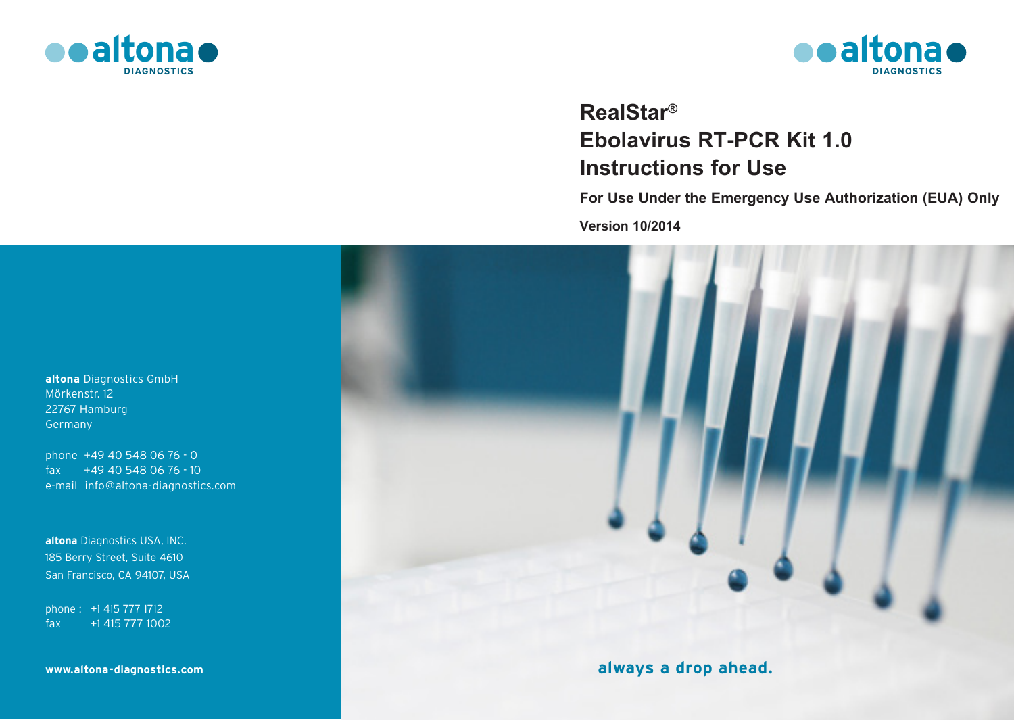



# **RealStar® Ebolavirus RT-PCR Kit 1.0 Instructions for Use**

**For Use Under the Emergency Use Authorization (EUA) Only**

**Version 10/2014**



**altona** Diagnostics GmbH Mörkenstr. 12 22767 Hamburg Germany

phone +49 40 548 06 76 - 0 fax +49 40 548 06 76 - 10 e-mail info@altona-diagnostics.com

**altona** Diagnostics USA, INC. 185 Berry Street, Suite 4610 San Francisco, CA 94107, USA

phone : +1 415 777 1712 fax +1 415 777 1002

**www.altona-diagnostics.com**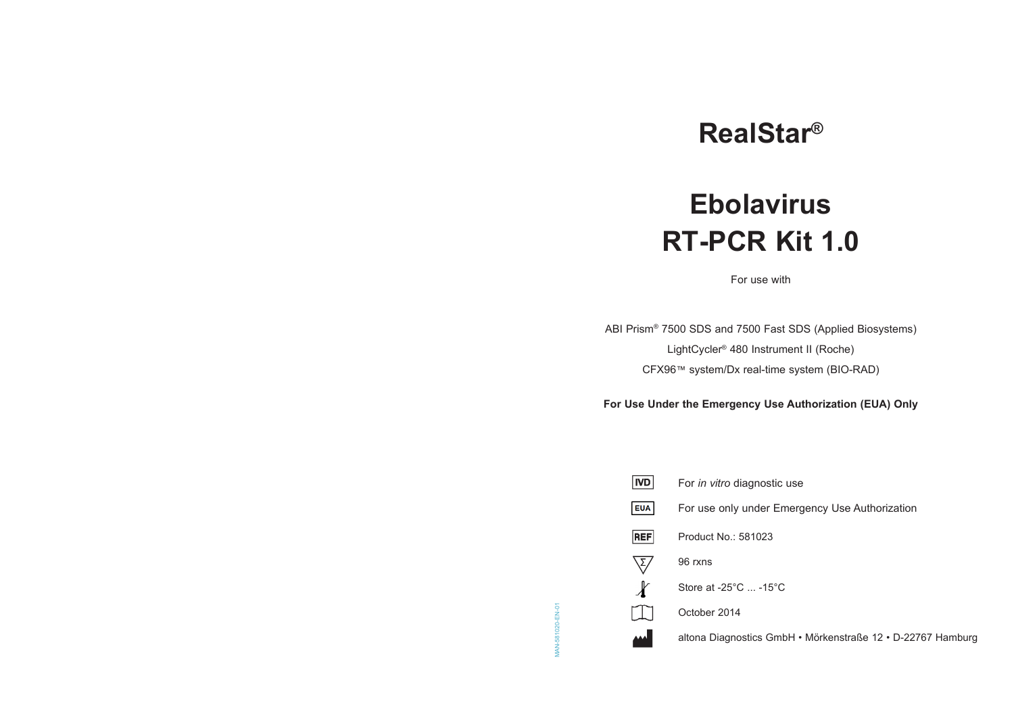# **RealStar®**

# **Ebolavirus RT-PCR Kit 1.0**

For use with

ABI Prism® 7500 SDS and 7500 Fast SDS (Applied Biosystems) LightCycler® 480 Instrument II (Roche) CFX96™ system/Dx real-time system (BIO-RAD)

**For Use Under the Emergency Use Authorization (EUA) Only**

| For <i>in vitro</i> diagnostic use                          |
|-------------------------------------------------------------|
| For use only under Emergency Use Authorization              |
| Product No.: 581023                                         |
| 96 rxns                                                     |
| Store at $-25^{\circ}$ C $-15^{\circ}$ C                    |
| October 2014                                                |
| altona Diagnostics GmbH • Mörkenstraße 12 • D-22767 Hamburg |
|                                                             |

MAN-581020-EN-01

MAN-581020-EN-01

 $|ND|$ 

**EUA** 

**REF** 

 $\begin{matrix} \nabla \sqrt{2} & \mathbf{0} & \mathbf{0} & \mathbf{0} & \mathbf{0} & \mathbf{0} & \mathbf{0} & \mathbf{0} & \mathbf{0} & \mathbf{0} & \mathbf{0} & \mathbf{0} & \mathbf{0} & \mathbf{0} & \mathbf{0} & \mathbf{0} & \mathbf{0} & \mathbf{0} & \mathbf{0} & \mathbf{0} & \mathbf{0} & \mathbf{0} & \mathbf{0} & \mathbf{0} & \mathbf{0} & \mathbf{0} & \mathbf{0} & \mathbf{0} & \mathbf{0} & \mathbf{0} & \math$ 

 $\Box$ 

 $\mathbf{M}$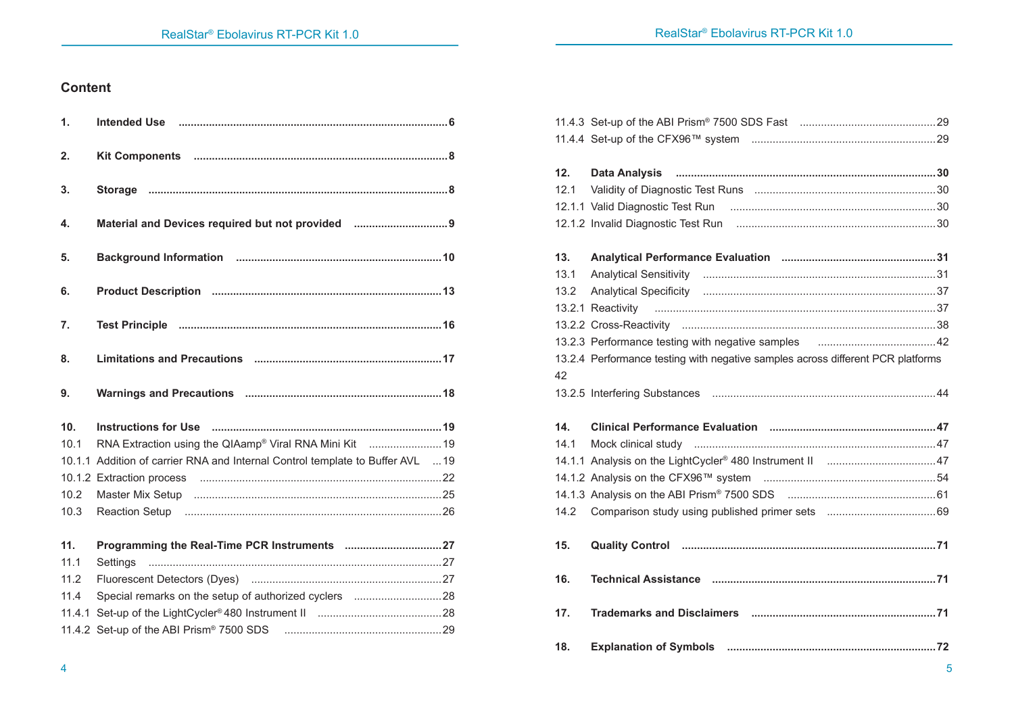# **Content**

| 1.     |                                                                                |  |
|--------|--------------------------------------------------------------------------------|--|
| 2.     |                                                                                |  |
| 3.     |                                                                                |  |
| 4.     | Material and Devices required but not provided                                 |  |
| 5.     |                                                                                |  |
| 6.     |                                                                                |  |
| 7.     |                                                                                |  |
| 8.     |                                                                                |  |
| 9.     |                                                                                |  |
|        |                                                                                |  |
| 10.    |                                                                                |  |
| 10.1   |                                                                                |  |
|        | 10.1.1 Addition of carrier RNA and Internal Control template to Buffer AVL  19 |  |
|        |                                                                                |  |
| 10.2   |                                                                                |  |
| 10.3   |                                                                                |  |
| 11.    |                                                                                |  |
| 11.1   | Settings                                                                       |  |
| 11.2   |                                                                                |  |
| 11.4   |                                                                                |  |
| 11.4.1 |                                                                                |  |
|        |                                                                                |  |

| 12.  |                                                                                 |  |
|------|---------------------------------------------------------------------------------|--|
| 12.1 |                                                                                 |  |
|      |                                                                                 |  |
|      |                                                                                 |  |
| 13.  |                                                                                 |  |
| 13.1 |                                                                                 |  |
| 13.2 |                                                                                 |  |
|      |                                                                                 |  |
|      |                                                                                 |  |
|      |                                                                                 |  |
|      | 13.2.4 Performance testing with negative samples across different PCR platforms |  |
| 42   |                                                                                 |  |
|      |                                                                                 |  |
|      |                                                                                 |  |
| 14.  |                                                                                 |  |
| 14.1 |                                                                                 |  |
|      |                                                                                 |  |
|      |                                                                                 |  |
|      |                                                                                 |  |
| 14.2 |                                                                                 |  |
|      |                                                                                 |  |
| 15.  |                                                                                 |  |
| 16.  |                                                                                 |  |
| 17.  |                                                                                 |  |
|      |                                                                                 |  |
| 18.  |                                                                                 |  |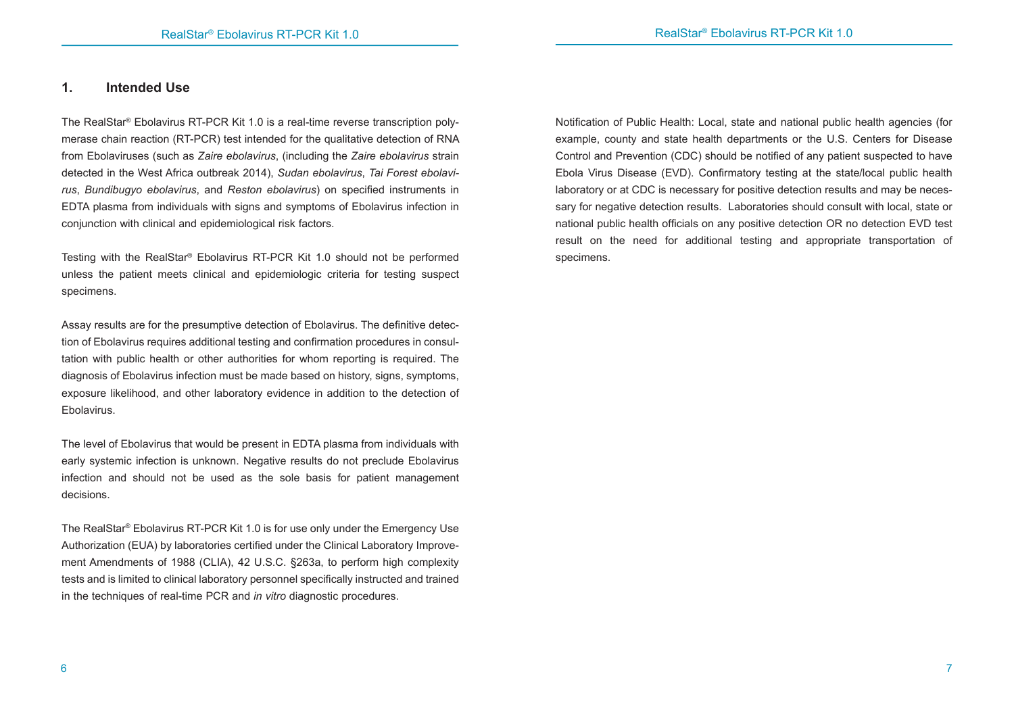# **1. Intended Use**

The RealStar® Ebolavirus RT-PCR Kit 1.0 is a real-time reverse transcription polymerase chain reaction (RT-PCR) test intended for the qualitative detection of RNA from Ebolaviruses (such as *Zaire ebolavirus*, (including the *Zaire ebolavirus* strain detected in the West Africa outbreak 2014), *Sudan ebolavirus*, *Tai Forest ebolavirus*, *Bundibugyo ebolavirus*, and *Reston ebolavirus*) on specified instruments in EDTA plasma from individuals with signs and symptoms of Ebolavirus infection in conjunction with clinical and epidemiological risk factors.

Testing with the RealStar® Ebolavirus RT-PCR Kit 1.0 should not be performed unless the patient meets clinical and epidemiologic criteria for testing suspect specimens.

Assay results are for the presumptive detection of Ebolavirus. The definitive detection of Ebolavirus requires additional testing and confirmation procedures in consultation with public health or other authorities for whom reporting is required. The diagnosis of Ebolavirus infection must be made based on history, signs, symptoms, exposure likelihood, and other laboratory evidence in addition to the detection of Ebolavirus.

The level of Ebolavirus that would be present in EDTA plasma from individuals with early systemic infection is unknown. Negative results do not preclude Ebolavirus infection and should not be used as the sole basis for patient management decisions.

The RealStar® Ebolavirus RT-PCR Kit 1.0 is for use only under the Emergency Use Authorization (EUA) by laboratories certified under the Clinical Laboratory Improvement Amendments of 1988 (CLIA), 42 U.S.C. §263a, to perform high complexity tests and is limited to clinical laboratory personnel specifically instructed and trained in the techniques of real-time PCR and *in vitro* diagnostic procedures.

Notification of Public Health: Local, state and national public health agencies (for example, county and state health departments or the U.S. Centers for Disease Control and Prevention (CDC) should be notified of any patient suspected to have Ebola Virus Disease (EVD). Confirmatory testing at the state/local public health laboratory or at CDC is necessary for positive detection results and may be necessary for negative detection results. Laboratories should consult with local, state or national public health officials on any positive detection OR no detection EVD test result on the need for additional testing and appropriate transportation of specimens.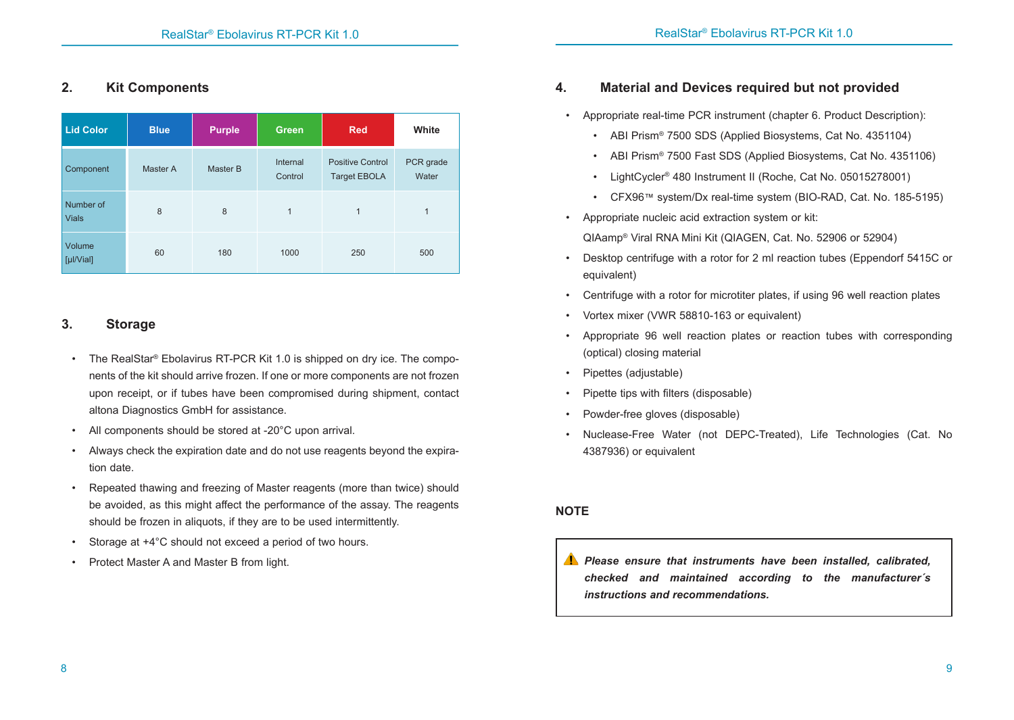# **2. Kit Components**

| <b>Lid Color</b>          | <b>Blue</b> | <b>Purple</b> | Green               | Red                                            | White              |
|---------------------------|-------------|---------------|---------------------|------------------------------------------------|--------------------|
| Component                 | Master A    | Master B      | Internal<br>Control | <b>Positive Control</b><br><b>Target EBOLA</b> | PCR grade<br>Water |
| Number of<br><b>Vials</b> | 8           | 8             | 1                   | 1                                              | $\mathbf{1}$       |
| Volume<br>[µ V            | 60          | 180           | 1000                | 250                                            | 500                |

# **3. Storage**

- The RealStar<sup>®</sup> Ebolavirus RT-PCR Kit 1.0 is shipped on dry ice. The components of the kit should arrive frozen. If one or more components are not frozen upon receipt, or if tubes have been compromised during shipment, contact altona Diagnostics GmbH for assistance.
- All components should be stored at -20°C upon arrival.
- Always check the expiration date and do not use reagents beyond the expiration date.
- Repeated thawing and freezing of Master reagents (more than twice) should be avoided, as this might affect the performance of the assay. The reagents should be frozen in aliquots, if they are to be used intermittently.
- Storage at  $+4^{\circ}$ C should not exceed a period of two hours.
- Protect Master A and Master B from light.

# **4. Material and Devices required but not provided**

• Appropriate real-time PCR instrument (chapter 6. Product Description):

- ABI Prism® 7500 SDS (Applied Biosystems, Cat No. 4351104)
- ABI Prism® 7500 Fast SDS (Applied Biosystems, Cat No. 4351106)
- LightCycler® 480 Instrument II (Roche, Cat No. 05015278001)
- CFX96™ system/Dx real-time system (BIO-RAD, Cat. No. 185-5195)
- Appropriate nucleic acid extraction system or kit:

QIAamp® Viral RNA Mini Kit (QIAGEN, Cat. No. 52906 or 52904)

- Desktop centrifuge with a rotor for 2 ml reaction tubes (Eppendorf 5415C or equivalent)
- Centrifuge with a rotor for microtiter plates, if using 96 well reaction plates
- Vortex mixer (VWR 58810-163 or equivalent)
- Appropriate 96 well reaction plates or reaction tubes with corresponding (optical) closing material
- Pipettes (adjustable)
- Pipette tips with filters (disposable)
- Powder-free gloves (disposable)
- Nuclease-Free Water (not DEPC-Treated), Life Technologies (Cat. No 4387936) or equivalent

# **NOTE**

*Please ensure that instruments have been installed, calibrated, checked and maintained according to the manufacturer´s instructions and recommendations.*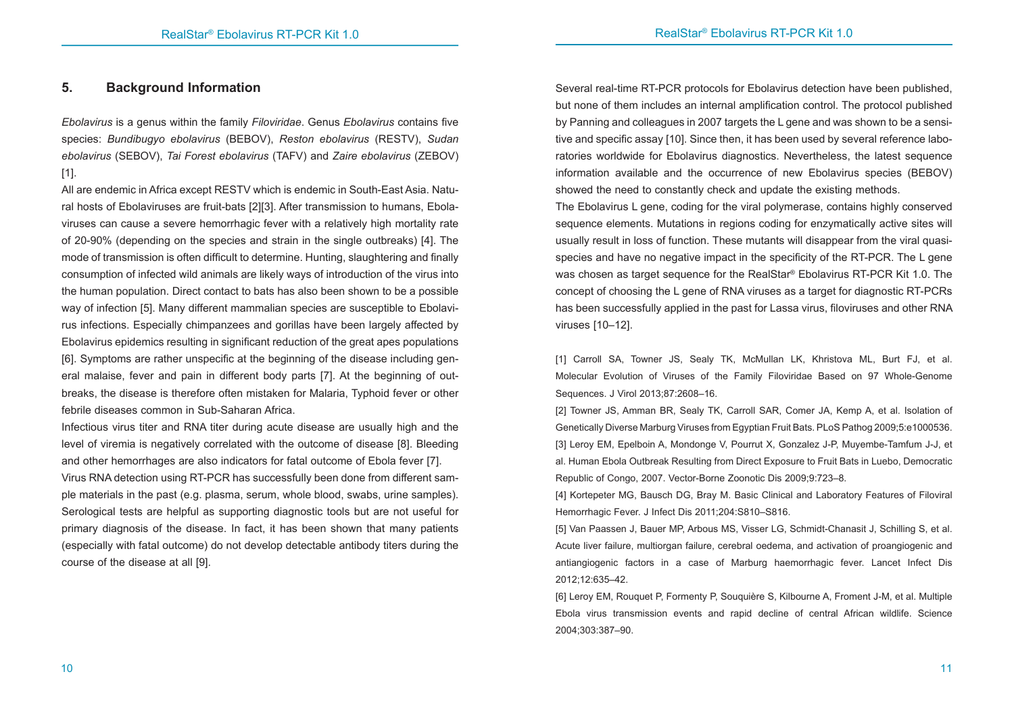#### **5. Background Information**

*Ebolavirus* is a genus within the family *Filoviridae*. Genus *Ebolavirus* contains five species: *Bundibugyo ebolavirus* (BEBOV), *Reston ebolavirus* (RESTV), *Sudan ebolavirus* (SEBOV), *Tai Forest ebolavirus* (TAFV) and *Zaire ebolavirus* (ZEBOV) [1].

All are endemic in Africa except RESTV which is endemic in South-East Asia. Natural hosts of Ebolaviruses are fruit-bats [2][3]. After transmission to humans, Ebolaviruses can cause a severe hemorrhagic fever with a relatively high mortality rate of 20-90% (depending on the species and strain in the single outbreaks) [4]. The mode of transmission is often difficult to determine. Hunting, slaughtering and finally consumption of infected wild animals are likely ways of introduction of the virus into the human population. Direct contact to bats has also been shown to be a possible way of infection [5]. Many different mammalian species are susceptible to Ebolavirus infections. Especially chimpanzees and gorillas have been largely affected by Ebolavirus epidemics resulting in significant reduction of the great apes populations [6]. Symptoms are rather unspecific at the beginning of the disease including general malaise, fever and pain in different body parts [7]. At the beginning of outbreaks, the disease is therefore often mistaken for Malaria, Typhoid fever or other febrile diseases common in Sub-Saharan Africa.

Infectious virus titer and RNA titer during acute disease are usually high and the level of viremia is negatively correlated with the outcome of disease [8]. Bleeding and other hemorrhages are also indicators for fatal outcome of Ebola fever [7]. Virus RNA detection using RT-PCR has successfully been done from different sample materials in the past (e.g. plasma, serum, whole blood, swabs, urine samples). Serological tests are helpful as supporting diagnostic tools but are not useful for primary diagnosis of the disease. In fact, it has been shown that many patients (especially with fatal outcome) do not develop detectable antibody titers during the course of the disease at all [9].

Several real-time RT-PCR protocols for Ebolavirus detection have been published, but none of them includes an internal amplification control. The protocol published by Panning and colleagues in 2007 targets the L gene and was shown to be a sensitive and specific assay [10]. Since then, it has been used by several reference laboratories worldwide for Ebolavirus diagnostics. Nevertheless, the latest sequence information available and the occurrence of new Ebolavirus species (BEBOV) showed the need to constantly check and update the existing methods.

The Ebolavirus L gene, coding for the viral polymerase, contains highly conserved sequence elements. Mutations in regions coding for enzymatically active sites will usually result in loss of function. These mutants will disappear from the viral quasispecies and have no negative impact in the specificity of the RT-PCR. The L gene was chosen as target sequence for the RealStar® Ebolavirus RT-PCR Kit 1.0. The concept of choosing the L gene of RNA viruses as a target for diagnostic RT-PCRs has been successfully applied in the past for Lassa virus, filoviruses and other RNA viruses [10–12].

[1] Carroll SA, Towner JS, Sealy TK, McMullan LK, Khristova ML, Burt FJ, et al. Molecular Evolution of Viruses of the Family Filoviridae Based on 97 Whole-Genome Sequences. J Virol 2013;87:2608–16.

[2] Towner JS, Amman BR, Sealy TK, Carroll SAR, Comer JA, Kemp A, et al. Isolation of Genetically Diverse Marburg Viruses from Egyptian Fruit Bats. PLoS Pathog 2009;5:e1000536. [3] Leroy EM, Epelboin A, Mondonge V, Pourrut X, Gonzalez J-P, Muyembe-Tamfum J-J, et al. Human Ebola Outbreak Resulting from Direct Exposure to Fruit Bats in Luebo, Democratic Republic of Congo, 2007. Vector-Borne Zoonotic Dis 2009;9:723–8.

[4] Kortepeter MG, Bausch DG, Bray M. Basic Clinical and Laboratory Features of Filoviral Hemorrhagic Fever. J Infect Dis 2011;204:S810–S816.

[5] Van Paassen J, Bauer MP, Arbous MS, Visser LG, Schmidt-Chanasit J, Schilling S, et al. Acute liver failure, multiorgan failure, cerebral oedema, and activation of proangiogenic and antiangiogenic factors in a case of Marburg haemorrhagic fever. Lancet Infect Dis 2012;12:635–42.

[6] Leroy EM, Rouquet P, Formenty P, Souquière S, Kilbourne A, Froment J-M, et al. Multiple Ebola virus transmission events and rapid decline of central African wildlife. Science 2004;303:387–90.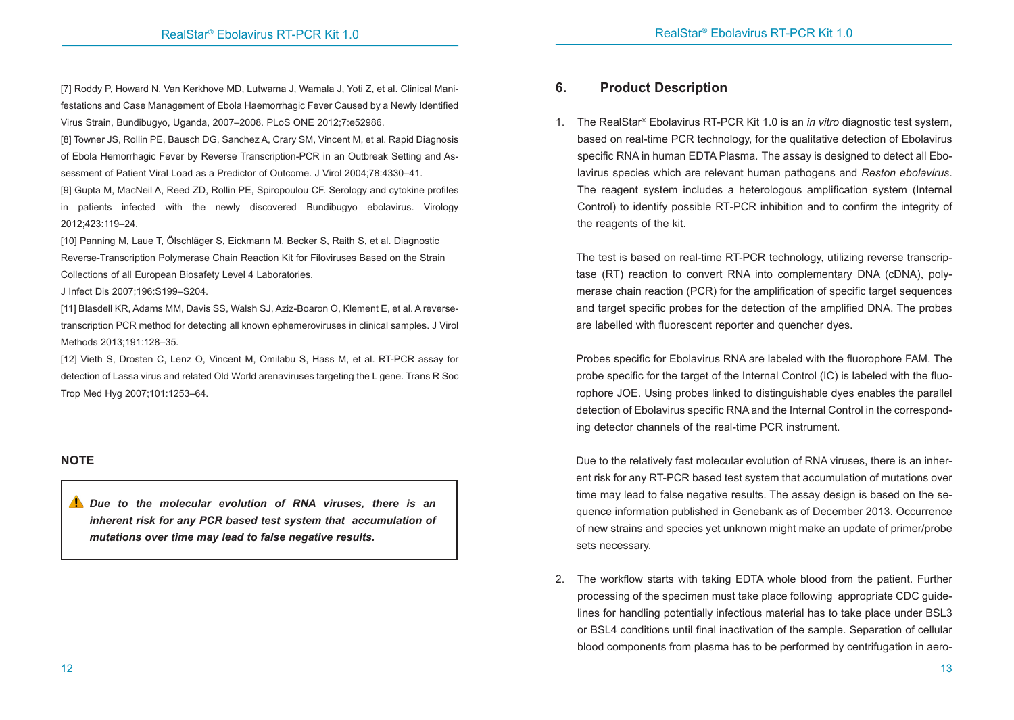[7] Roddy P, Howard N, Van Kerkhove MD, Lutwama J, Wamala J, Yoti Z, et al. Clinical Manifestations and Case Management of Ebola Haemorrhagic Fever Caused by a Newly Identified Virus Strain, Bundibugyo, Uganda, 2007–2008. PLoS ONE 2012;7:e52986.

[8] Towner JS, Rollin PE, Bausch DG, Sanchez A, Crary SM, Vincent M, et al. Rapid Diagnosis of Ebola Hemorrhagic Fever by Reverse Transcription-PCR in an Outbreak Setting and Assessment of Patient Viral Load as a Predictor of Outcome. J Virol 2004;78:4330–41.

[9] Gupta M, MacNeil A, Reed ZD, Rollin PE, Spiropoulou CF. Serology and cytokine profiles in patients infected with the newly discovered Bundibugyo ebolavirus. Virology 2012;423:119–24.

[10] Panning M, Laue T, Ölschläger S, Eickmann M, Becker S, Raith S, et al. Diagnostic Reverse-Transcription Polymerase Chain Reaction Kit for Filoviruses Based on the Strain Collections of all European Biosafety Level 4 Laboratories.

J Infect Dis 2007;196:S199–S204.

[11] Blasdell KR, Adams MM, Davis SS, Walsh SJ, Aziz-Boaron O, Klement E, et al. A reversetranscription PCR method for detecting all known ephemeroviruses in clinical samples. J Virol Methods 2013;191:128–35.

[12] Vieth S, Drosten C, Lenz O, Vincent M, Omilabu S, Hass M, et al. RT-PCR assay for detection of Lassa virus and related Old World arenaviruses targeting the L gene. Trans R Soc Trop Med Hyg 2007;101:1253–64.

# **NOTE**

*Due to the molecular evolution of RNA viruses, there is an inherent risk for any PCR based test system that accumulation of mutations over time may lead to false negative results.*

# **6. Product Description**

1. The RealStar® Ebolavirus RT-PCR Kit 1.0 is an *in vitro* diagnostic test system, based on real-time PCR technology, for the qualitative detection of Ebolavirus specific RNA in human EDTA Plasma. The assay is designed to detect all Ebolavirus species which are relevant human pathogens and *Reston ebolavirus*. The reagent system includes a heterologous amplification system (Internal Control) to identify possible RT-PCR inhibition and to confirm the integrity of the reagents of the kit.

The test is based on real-time RT-PCR technology, utilizing reverse transcriptase (RT) reaction to convert RNA into complementary DNA (cDNA), polymerase chain reaction (PCR) for the amplification of specific target sequences and target specific probes for the detection of the amplified DNA. The probes are labelled with fluorescent reporter and quencher dyes.

Probes specific for Ebolavirus RNA are labeled with the fluorophore FAM. The probe specific for the target of the Internal Control (IC) is labeled with the fluorophore JOE. Using probes linked to distinguishable dyes enables the parallel detection of Ebolavirus specific RNA and the Internal Control in the corresponding detector channels of the real-time PCR instrument.

Due to the relatively fast molecular evolution of RNA viruses, there is an inherent risk for any RT-PCR based test system that accumulation of mutations over time may lead to false negative results. The assay design is based on the sequence information published in Genebank as of December 2013. Occurrence of new strains and species yet unknown might make an update of primer/probe sets necessary.

2. The workflow starts with taking EDTA whole blood from the patient. Further processing of the specimen must take place following appropriate CDC guidelines for handling potentially infectious material has to take place under BSL3 or BSL4 conditions until final inactivation of the sample. Separation of cellular blood components from plasma has to be performed by centrifugation in aero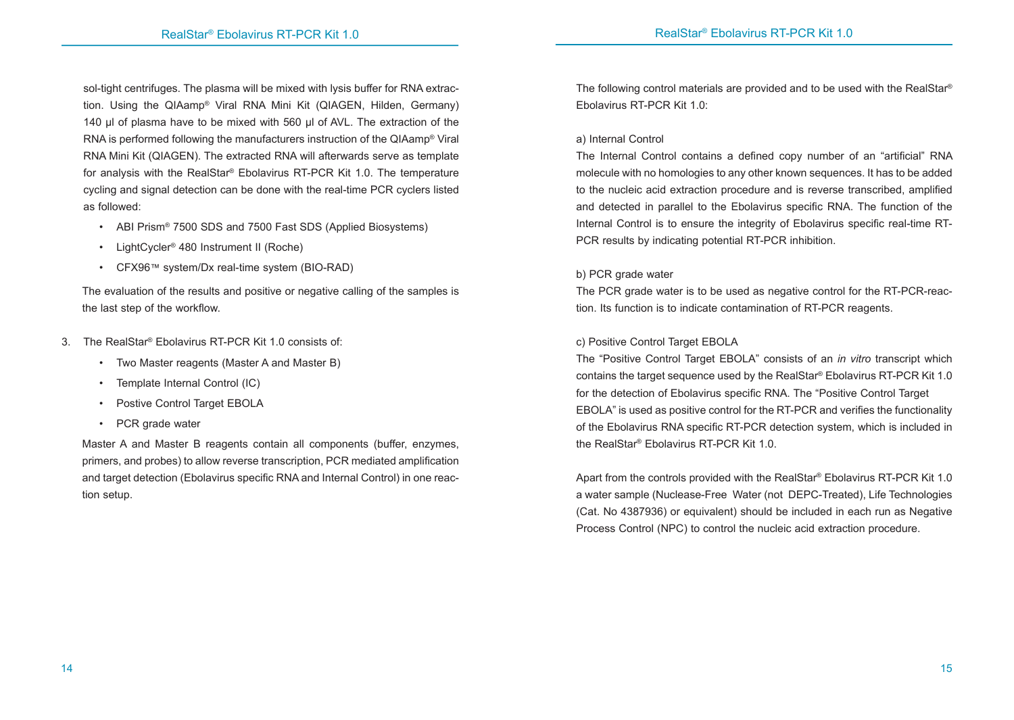sol-tight centrifuges. The plasma will be mixed with lysis buffer for RNA extraction. Using the QIAamp® Viral RNA Mini Kit (QIAGEN, Hilden, Germany) 140 µl of plasma have to be mixed with 560 µl of AVL. The extraction of the RNA is performed following the manufacturers instruction of the QIAamp® Viral RNA Mini Kit (QIAGEN). The extracted RNA will afterwards serve as template for analysis with the RealStar® Ebolavirus RT-PCR Kit 1.0. The temperature cycling and signal detection can be done with the real-time PCR cyclers listed as followed:

- ABI Prism<sup>®</sup> 7500 SDS and 7500 Fast SDS (Applied Biosystems)
- LightCycler® 480 Instrument II (Roche)
- CFX96™ system/Dx real-time system (BIO-RAD)

The evaluation of the results and positive or negative calling of the samples is the last step of the workflow.

- 3. The RealStar® Ebolavirus RT-PCR Kit 1.0 consists of:
	- Two Master reagents (Master A and Master B)
	- Template Internal Control (IC)
	- Postive Control Target EBOLA
	- PCR grade water

Master A and Master B reagents contain all components (buffer, enzymes, primers, and probes) to allow reverse transcription, PCR mediated amplification and target detection (Ebolavirus specific RNA and Internal Control) in one reaction setup.

The following control materials are provided and to be used with the RealStar® Ebolavirus RT-PCR Kit 1.0:

#### a) Internal Control

The Internal Control contains a defined copy number of an "artificial" RNA molecule with no homologies to any other known sequences. It has to be added to the nucleic acid extraction procedure and is reverse transcribed, amplified and detected in parallel to the Ebolavirus specific RNA. The function of the Internal Control is to ensure the integrity of Ebolavirus specific real-time RT-PCR results by indicating potential RT-PCR inhibition.

#### b) PCR grade water

The PCR grade water is to be used as negative control for the RT-PCR-reaction. Its function is to indicate contamination of RT-PCR reagents.

#### c) Positive Control Target EBOLA

The "Positive Control Target EBOLA" consists of an *in vitro* transcript which contains the target sequence used by the RealStar® Ebolavirus RT-PCR Kit 1.0 for the detection of Ebolavirus specific RNA. The "Positive Control Target EBOLA" is used as positive control for the RT-PCR and verifies the functionality of the Ebolavirus RNA specific RT-PCR detection system, which is included in the RealStar® Ebolavirus RT-PCR Kit 1.0.

Apart from the controls provided with the RealStar® Ebolavirus RT-PCR Kit 1.0 a water sample (Nuclease-Free Water (not DEPC-Treated), Life Technologies (Cat. No 4387936) or equivalent) should be included in each run as Negative Process Control (NPC) to control the nucleic acid extraction procedure.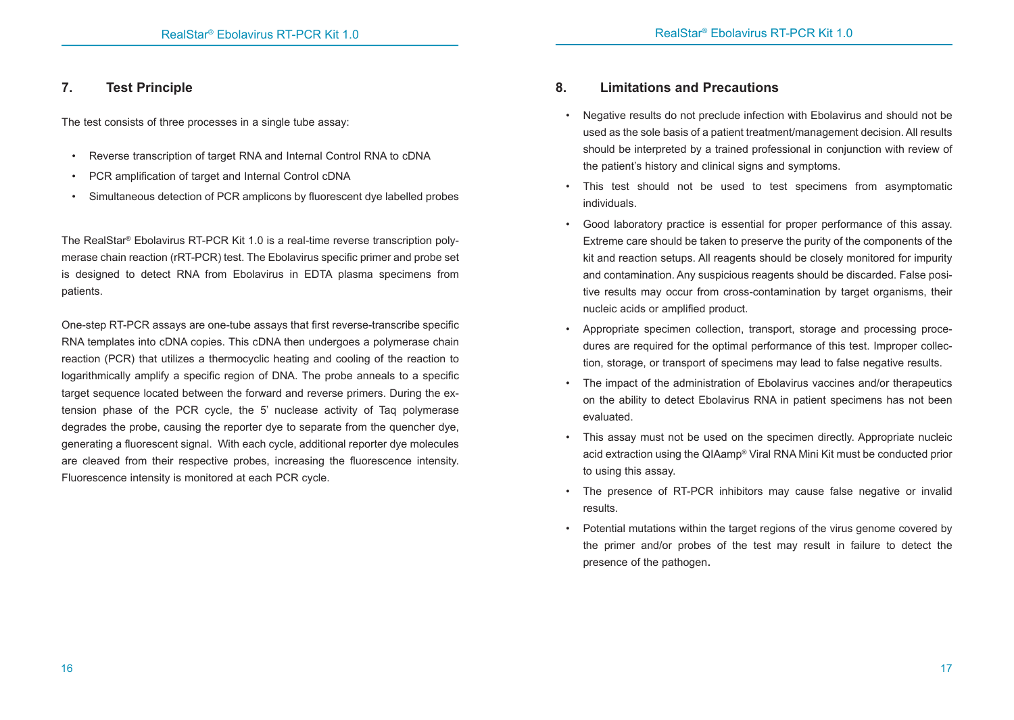# **7. Test Principle**

The test consists of three processes in a single tube assay:

- Reverse transcription of target RNA and Internal Control RNA to cDNA
- PCR amplification of target and Internal Control cDNA
- Simultaneous detection of PCR amplicons by fluorescent dye labelled probes

The RealStar® Ebolavirus RT-PCR Kit 1.0 is a real-time reverse transcription polymerase chain reaction (rRT-PCR) test. The Ebolavirus specific primer and probe set is designed to detect RNA from Ebolavirus in EDTA plasma specimens from patients.

One-step RT-PCR assays are one-tube assays that first reverse-transcribe specific RNA templates into cDNA copies. This cDNA then undergoes a polymerase chain reaction (PCR) that utilizes a thermocyclic heating and cooling of the reaction to logarithmically amplify a specific region of DNA. The probe anneals to a specific target sequence located between the forward and reverse primers. During the extension phase of the PCR cycle, the 5' nuclease activity of Taq polymerase degrades the probe, causing the reporter dye to separate from the quencher dye, generating a fluorescent signal. With each cycle, additional reporter dye molecules are cleaved from their respective probes, increasing the fluorescence intensity. Fluorescence intensity is monitored at each PCR cycle.

# **8. Limitations and Precautions**

- Negative results do not preclude infection with Ebolavirus and should not be used as the sole basis of a patient treatment/management decision. All results should be interpreted by a trained professional in conjunction with review of the patient's history and clinical signs and symptoms.
- This test should not be used to test specimens from asymptomatic individuals.
- Good laboratory practice is essential for proper performance of this assay. Extreme care should be taken to preserve the purity of the components of the kit and reaction setups. All reagents should be closely monitored for impurity and contamination. Any suspicious reagents should be discarded. False positive results may occur from cross-contamination by target organisms, their nucleic acids or amplified product.
- Appropriate specimen collection, transport, storage and processing procedures are required for the optimal performance of this test. Improper collection, storage, or transport of specimens may lead to false negative results.
- The impact of the administration of Ebolavirus vaccines and/or therapeutics on the ability to detect Ebolavirus RNA in patient specimens has not been evaluated.
- This assay must not be used on the specimen directly. Appropriate nucleic acid extraction using the QIAamp® Viral RNA Mini Kit must be conducted prior to using this assay.
- The presence of RT-PCR inhibitors may cause false negative or invalid results.
- Potential mutations within the target regions of the virus genome covered by the primer and/or probes of the test may result in failure to detect the presence of the pathogen.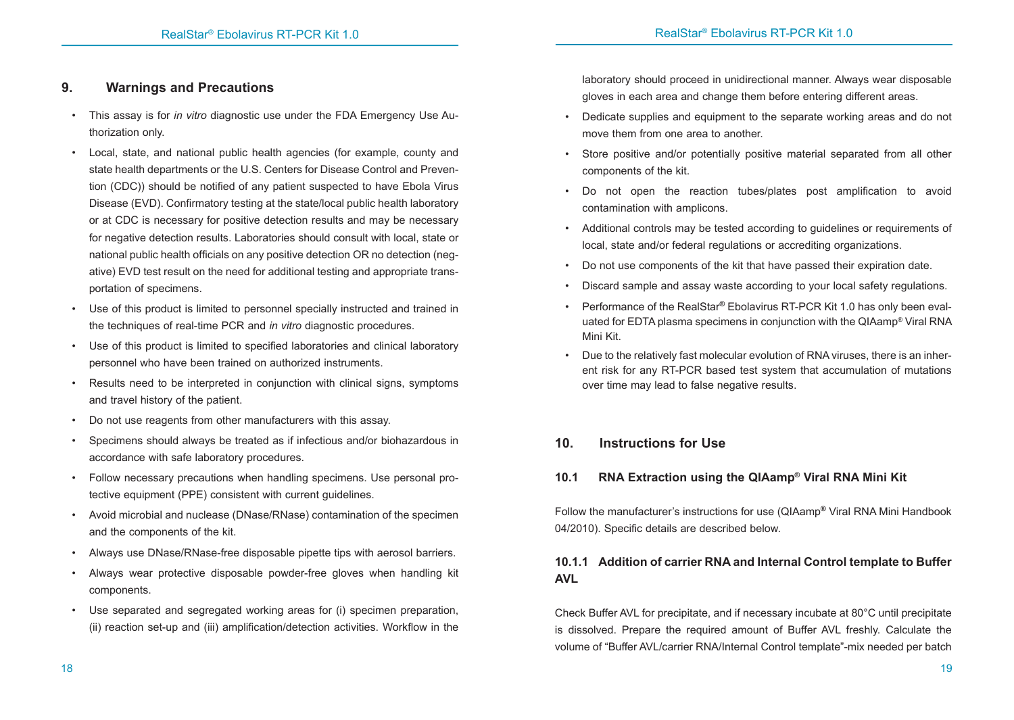# **9. Warnings and Precautions**

- This assay is for *in vitro* diagnostic use under the FDA Emergency Use Authorization only.
- Local, state, and national public health agencies (for example, county and state health departments or the U.S. Centers for Disease Control and Prevention (CDC)) should be notified of any patient suspected to have Ebola Virus Disease (EVD). Confirmatory testing at the state/local public health laboratory or at CDC is necessary for positive detection results and may be necessary for negative detection results. Laboratories should consult with local, state or national public health officials on any positive detection OR no detection (negative) EVD test result on the need for additional testing and appropriate transportation of specimens.
- Use of this product is limited to personnel specially instructed and trained in the techniques of real-time PCR and *in vitro* diagnostic procedures.
- Use of this product is limited to specified laboratories and clinical laboratory personnel who have been trained on authorized instruments.
- Results need to be interpreted in conjunction with clinical signs, symptoms and travel history of the patient.
- Do not use reagents from other manufacturers with this assay.
- Specimens should always be treated as if infectious and/or biohazardous in accordance with safe laboratory procedures.
- Follow necessary precautions when handling specimens. Use personal protective equipment (PPE) consistent with current guidelines.
- Avoid microbial and nuclease (DNase/RNase) contamination of the specimen and the components of the kit.
- Always use DNase/RNase-free disposable pipette tips with aerosol barriers.
- Always wear protective disposable powder-free gloves when handling kit components.
- Use separated and segregated working areas for (i) specimen preparation, (ii) reaction set-up and (iii) amplification/detection activities. Workflow in the

laboratory should proceed in unidirectional manner. Always wear disposable gloves in each area and change them before entering different areas.

- Dedicate supplies and equipment to the separate working areas and do not move them from one area to another.
- Store positive and/or potentially positive material separated from all other components of the kit.
- Do not open the reaction tubes/plates post amplification to avoid contamination with amplicons.
- Additional controls may be tested according to guidelines or requirements of local, state and/or federal regulations or accrediting organizations.
- Do not use components of the kit that have passed their expiration date.
- Discard sample and assay waste according to your local safety regulations.
- Performance of the RealStar**®** Ebolavirus RT-PCR Kit 1.0 has only been evaluated for EDTA plasma specimens in conjunction with the QIAamp® Viral RNA Mini Kit.
- Due to the relatively fast molecular evolution of RNA viruses, there is an inherent risk for any RT-PCR based test system that accumulation of mutations over time may lead to false negative results.

# **10. Instructions for Use**

# **10.1 RNA Extraction using the QIAamp® Viral RNA Mini Kit**

Follow the manufacturer's instructions for use (QIAamp**®** Viral RNA Mini Handbook 04/2010). Specific details are described below.

# **10.1.1 Addition of carrier RNA and Internal Control template to Buffer AVL**

Check Buffer AVL for precipitate, and if necessary incubate at 80°C until precipitate is dissolved. Prepare the required amount of Buffer AVL freshly. Calculate the volume of "Buffer AVL/carrier RNA/Internal Control template"-mix needed per batch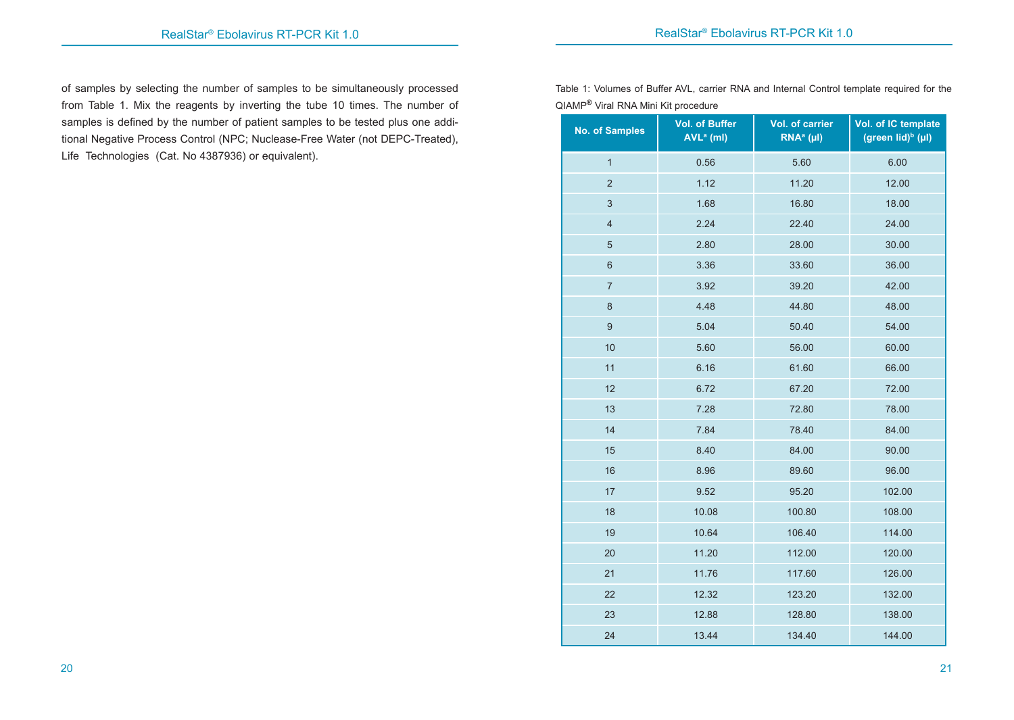of samples by selecting the number of samples to be simultaneously processed from Table 1. Mix the reagents by inverting the tube 10 times. The number of samples is defined by the number of patient samples to be tested plus one additional Negative Process Control (NPC; Nuclease-Free Water (not DEPC-Treated), Life Technologies (Cat. No 4387936) or equivalent).

Table 1: Volumes of Buffer AVL, carrier RNA and Internal Control template required for the QIAMP**®** Viral RNA Mini Kit procedure

| <b>No. of Samples</b>   | <b>Vol. of Buffer</b><br>$AVLa$ (ml) | <b>Vol. of carrier</b><br>$RNAa$ (µI) | Vol. of IC template<br>(green lid) $\rm^b$ (µl) |
|-------------------------|--------------------------------------|---------------------------------------|-------------------------------------------------|
| $\mathbf{1}$            | 0.56                                 | 5.60                                  | 6.00                                            |
| $\overline{2}$          | 1.12                                 | 11.20                                 | 12.00                                           |
| 3                       | 1.68                                 | 16.80                                 | 18.00                                           |
| $\overline{\mathbf{4}}$ | 2.24                                 | 22.40                                 | 24.00                                           |
| $\sqrt{5}$              | 2.80                                 | 28.00                                 | 30.00                                           |
| $\,6\,$                 | 3.36                                 | 33.60                                 | 36.00                                           |
| $\overline{7}$          | 3.92                                 | 39.20                                 | 42.00                                           |
| $\bf 8$                 | 4.48                                 | 44.80                                 | 48.00                                           |
| $\boldsymbol{9}$        | 5.04                                 | 50.40                                 | 54.00                                           |
| 10                      | 5.60                                 | 56.00                                 | 60.00                                           |
| 11                      | 6.16                                 | 61.60                                 | 66.00                                           |
| 12                      | 6.72                                 | 67.20                                 | 72.00                                           |
| 13                      | 7.28                                 | 72.80                                 | 78.00                                           |
| 14                      | 7.84                                 | 78.40                                 | 84.00                                           |
| 15                      | 8.40                                 | 84.00                                 | 90.00                                           |
| 16                      | 8.96                                 | 89.60                                 | 96.00                                           |
| 17                      | 9.52                                 | 95.20                                 | 102.00                                          |
| 18                      | 10.08                                | 100.80                                | 108.00                                          |
| 19                      | 10.64                                | 106.40                                | 114.00                                          |
| 20                      | 11.20                                | 112.00                                | 120.00                                          |
| 21                      | 11.76                                | 117.60                                | 126.00                                          |
| 22                      | 12.32                                | 123.20                                | 132.00                                          |
| 23                      | 12.88                                | 128.80                                | 138.00                                          |
| 24                      | 13.44                                | 134.40                                | 144.00                                          |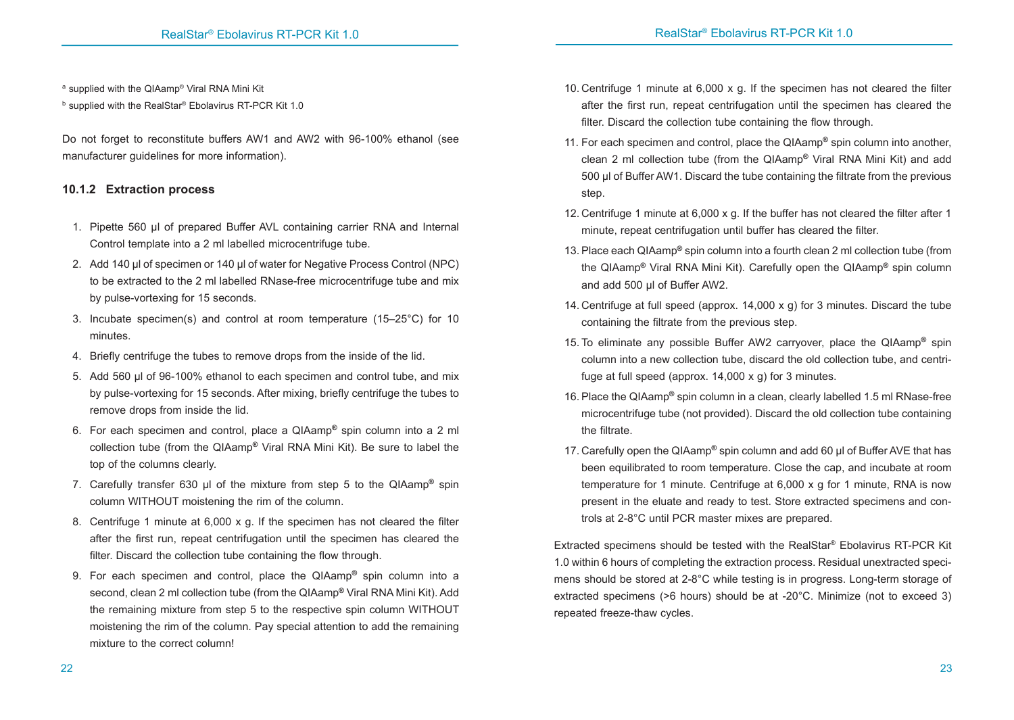a supplied with the QIAamp® Viral RNA Mini Kit

b supplied with the RealStar® Ebolavirus RT-PCR Kit 1.0

Do not forget to reconstitute buffers AW1 and AW2 with 96-100% ethanol (see manufacturer guidelines for more information).

# **10.1.2 Extraction process**

- 1. Pipette 560 μl of prepared Buffer AVL containing carrier RNA and Internal Control template into a 2 ml labelled microcentrifuge tube.
- 2. Add 140 μl of specimen or 140 μl of water for Negative Process Control (NPC) to be extracted to the 2 ml labelled RNase-free microcentrifuge tube and mix by pulse-vortexing for 15 seconds.
- 3. Incubate specimen(s) and control at room temperature (15–25°C) for 10 minutes.
- 4. Briefly centrifuge the tubes to remove drops from the inside of the lid.
- 5. Add 560 μl of 96-100% ethanol to each specimen and control tube, and mix by pulse-vortexing for 15 seconds. After mixing, briefly centrifuge the tubes to remove drops from inside the lid.
- 6. For each specimen and control, place a QIAamp**®** spin column into a 2 ml collection tube (from the QIAamp**®** Viral RNA Mini Kit). Be sure to label the top of the columns clearly.
- 7. Carefully transfer 630 μl of the mixture from step 5 to the QIAamp**®** spin column WITHOUT moistening the rim of the column.
- 8. Centrifuge 1 minute at 6,000 x g. If the specimen has not cleared the filter after the first run, repeat centrifugation until the specimen has cleared the filter. Discard the collection tube containing the flow through.
- 9. For each specimen and control, place the QIAamp**®** spin column into a second, clean 2 ml collection tube (from the QIAamp**®** Viral RNA Mini Kit). Add the remaining mixture from step 5 to the respective spin column WITHOUT moistening the rim of the column. Pay special attention to add the remaining mixture to the correct column!
- 10. Centrifuge 1 minute at 6,000 x g. If the specimen has not cleared the filter after the first run, repeat centrifugation until the specimen has cleared the filter. Discard the collection tube containing the flow through.
- 11. For each specimen and control, place the QIAamp**®** spin column into another, clean 2 ml collection tube (from the QIAamp**®** Viral RNA Mini Kit) and add 500 μl of Buffer AW1. Discard the tube containing the filtrate from the previous step.
- 12. Centrifuge 1 minute at 6,000 x g. If the buffer has not cleared the filter after 1 minute, repeat centrifugation until buffer has cleared the filter.
- 13. Place each QIAamp**®** spin column into a fourth clean 2 ml collection tube (from the QIAamp**®** Viral RNA Mini Kit). Carefully open the QIAamp**®** spin column and add 500 μl of Buffer AW2.
- 14. Centrifuge at full speed (approx. 14,000 x g) for 3 minutes. Discard the tube containing the filtrate from the previous step.
- 15. To eliminate any possible Buffer AW2 carryover, place the QIAamp**®** spin column into a new collection tube, discard the old collection tube, and centrifuge at full speed (approx. 14,000 x g) for 3 minutes.
- 16. Place the QIAamp**®** spin column in a clean, clearly labelled 1.5 ml RNase-free microcentrifuge tube (not provided). Discard the old collection tube containing the filtrate.
- 17. Carefully open the QIAamp**®** spin column and add 60 μl of Buffer AVE that has been equilibrated to room temperature. Close the cap, and incubate at room temperature for 1 minute. Centrifuge at 6,000 x g for 1 minute, RNA is now present in the eluate and ready to test. Store extracted specimens and controls at 2-8°C until PCR master mixes are prepared.

Extracted specimens should be tested with the RealStar® Ebolavirus RT-PCR Kit 1.0 within 6 hours of completing the extraction process. Residual unextracted specimens should be stored at 2-8°C while testing is in progress. Long-term storage of extracted specimens (>6 hours) should be at -20°C. Minimize (not to exceed 3) repeated freeze-thaw cycles.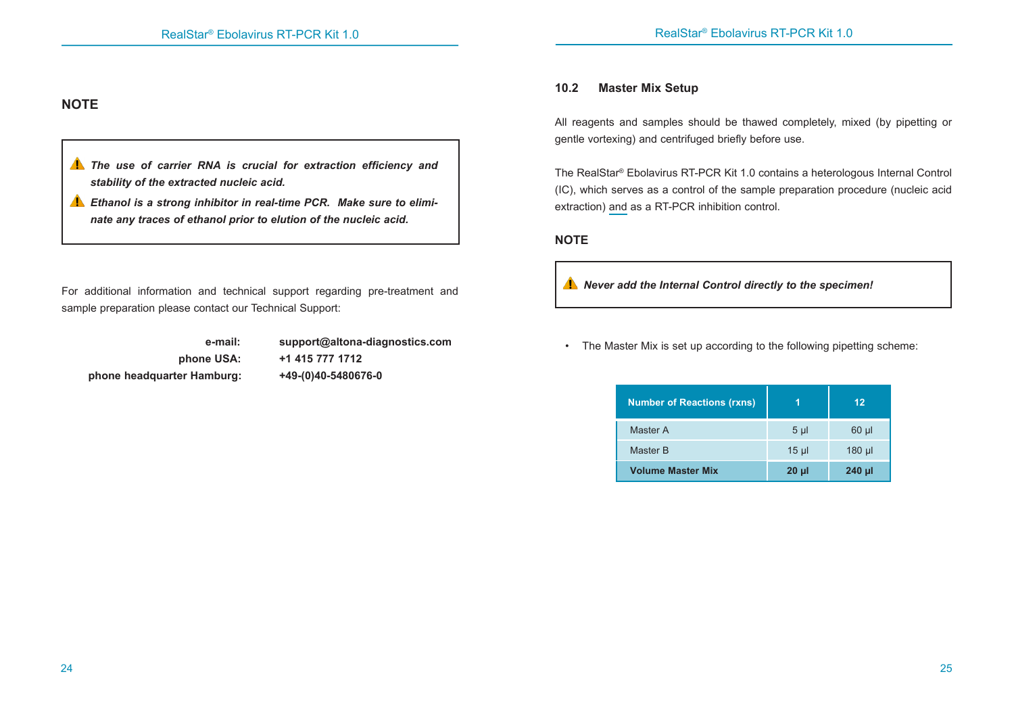# **NOTE**

- *The use of carrier RNA is crucial for extraction efficiency and stability of the extracted nucleic acid.*
- *Ethanol is a strong inhibitor in real-time PCR. Make sure to eliminate any traces of ethanol prior to elution of the nucleic acid.*

For additional information and technical support regarding pre-treatment and sample preparation please contact our Technical Support:

 **phone headquarter Hamburg: +49-(0)40-5480676-0** 

 **e-mail: support@altona-diagnostics.com phone USA: +1 415 777 1712**

# **10.2 Master Mix Setup**

All reagents and samples should be thawed completely, mixed (by pipetting or gentle vortexing) and centrifuged briefly before use.

The RealStar® Ebolavirus RT-PCR Kit 1.0 contains a heterologous Internal Control (IC), which serves as a control of the sample preparation procedure (nucleic acid extraction) and as a RT-PCR inhibition control.

#### **NOTE**

*Never add the Internal Control directly to the specimen!*

• The Master Mix is set up according to the following pipetting scheme:

| <b>Number of Reactions (rxns)</b> |                | 12         |
|-----------------------------------|----------------|------------|
| Master A                          | 5 <sub>µ</sub> | $60$ $\mu$ |
| Master B                          | $15 \mu$       | $180$ µl   |
| <b>Volume Master Mix</b>          | $20 \mu$       | 240 µl     |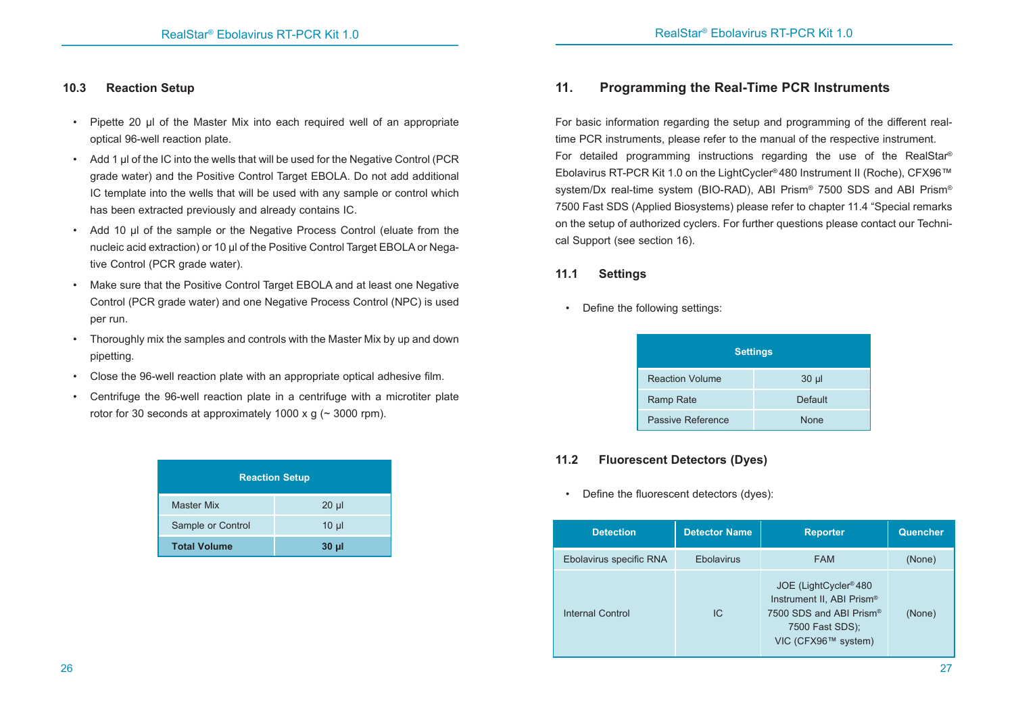#### **10.3 Reaction Setup**

- Pipette 20 µl of the Master Mix into each required well of an appropriate optical 96-well reaction plate.
- Add 1 µl of the IC into the wells that will be used for the Negative Control (PCR grade water) and the Positive Control Target EBOLA. Do not add additional IC template into the wells that will be used with any sample or control which has been extracted previously and already contains IC.
- Add 10 µl of the sample or the Negative Process Control (eluate from the nucleic acid extraction) or 10 µl of the Positive Control Target EBOLA or Negative Control (PCR grade water).
- Make sure that the Positive Control Target EBOLA and at least one Negative Control (PCR grade water) and one Negative Process Control (NPC) is used per run.
- Thoroughly mix the samples and controls with the Master Mix by up and down pipetting.
- Close the 96-well reaction plate with an appropriate optical adhesive film.
- Centrifuge the 96-well reaction plate in a centrifuge with a microtiter plate rotor for 30 seconds at approximately 1000 x g ( $\sim$  3000 rpm).

| <b>Reaction Setup</b> |                 |
|-----------------------|-----------------|
| <b>Master Mix</b>     | $20 \mu$        |
| Sample or Control     | $10 \mu$        |
| <b>Total Volume</b>   | 30 <sub>µ</sub> |

# **11. Programming the Real-Time PCR Instruments**

For basic information regarding the setup and programming of the different realtime PCR instruments, please refer to the manual of the respective instrument. For detailed programming instructions regarding the use of the RealStar® Ebolavirus RT-PCR Kit 1.0 on the LightCycler® 480 Instrument II (Roche), CFX96™ system/Dx real-time system (BIO-RAD), ABI Prism® 7500 SDS and ABI Prism® 7500 Fast SDS (Applied Biosystems) please refer to chapter 11.4 "Special remarks on the setup of authorized cyclers. For further questions please contact our Technical Support (see section 16).

#### **11.1 Settings**

• Define the following settings:

|                        | <b>Settings</b> |
|------------------------|-----------------|
| <b>Reaction Volume</b> | $30 \mu$        |
| Ramp Rate              | <b>Default</b>  |
| Passive Reference      | <b>None</b>     |

# **11.2 Fluorescent Detectors (Dyes)**

• Define the fluorescent detectors (dyes):

| <b>Detection</b>        | <b>Detector Name</b> | <b>Reporter</b>                                                                                                                     | Quencher |
|-------------------------|----------------------|-------------------------------------------------------------------------------------------------------------------------------------|----------|
| Ebolavirus specific RNA | Ebolavirus           | <b>FAM</b>                                                                                                                          | (None)   |
| Internal Control        | IC                   | JOE (LightCycler <sup>®</sup> 480<br>Instrument II, ABI Prism®<br>7500 SDS and ABI Prism®<br>7500 Fast SDS);<br>VIC (CFX96™ system) | (None)   |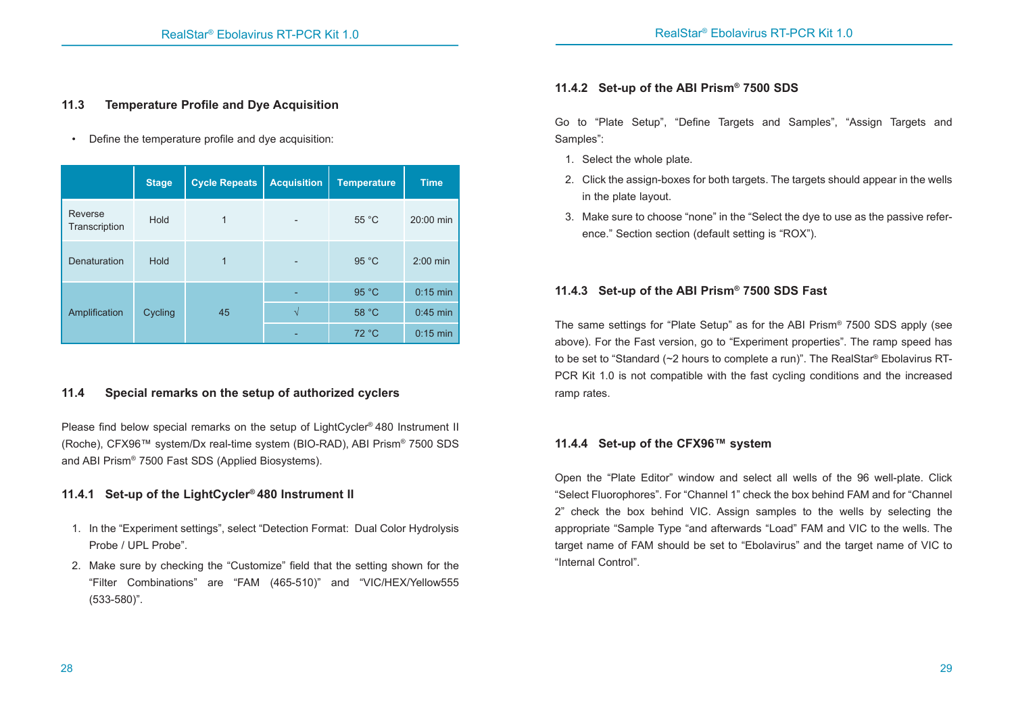#### **11.3 Temperature Profile and Dye Acquisition**

• Define the temperature profile and dye acquisition:

|                          | <b>Stage</b> | <b>Cycle Repeats</b> | <b>Acquisition</b> | <b>Temperature</b> | <b>Time</b> |
|--------------------------|--------------|----------------------|--------------------|--------------------|-------------|
| Reverse<br>Transcription | Hold         | 1                    |                    | 55 °C              | 20:00 min   |
| Denaturation             | Hold         | 1                    |                    | 95 °C              | $2:00$ min  |
|                          |              |                      |                    | 95 °C              | $0:15$ min  |
| Amplification            | Cycling      | 45                   | $\mathcal{N}$      | 58 °C              | $0:45$ min  |
|                          |              |                      |                    | 72 °C              | $0:15$ min  |

# **11.4 Special remarks on the setup of authorized cyclers**

Please find below special remarks on the setup of LightCycler® 480 Instrument II (Roche), CFX96™ system/Dx real-time system (BIO-RAD), ABI Prism® 7500 SDS and ABI Prism® 7500 Fast SDS (Applied Biosystems).

# **11.4.1 Set-up of the LightCycler® 480 Instrument II**

- 1. In the "Experiment settings", select "Detection Format: Dual Color Hydrolysis Probe / UPL Probe".
- 2. Make sure by checking the "Customize" field that the setting shown for the "Filter Combinations" are "FAM (465-510)" and "VIC/HEX/Yellow555 (533-580)".

# **11.4.2 Set-up of the ABI Prism® 7500 SDS**

Go to "Plate Setup", "Define Targets and Samples", "Assign Targets and Samples":

- 1. Select the whole plate.
- 2. Click the assign-boxes for both targets. The targets should appear in the wells in the plate layout.
- 3. Make sure to choose "none" in the "Select the dye to use as the passive reference." Section section (default setting is "ROX").

# **11.4.3 Set-up of the ABI Prism® 7500 SDS Fast**

The same settings for "Plate Setup" as for the ABI Prism® 7500 SDS apply (see above). For the Fast version, go to "Experiment properties". The ramp speed has to be set to "Standard (~2 hours to complete a run)". The RealStar® Ebolavirus RT-PCR Kit 1.0 is not compatible with the fast cycling conditions and the increased ramp rates.

# **11.4.4 Set-up of the CFX96™ system**

Open the "Plate Editor" window and select all wells of the 96 well-plate. Click "Select Fluorophores". For "Channel 1" check the box behind FAM and for "Channel 2" check the box behind VIC. Assign samples to the wells by selecting the appropriate "Sample Type "and afterwards "Load" FAM and VIC to the wells. The target name of FAM should be set to "Ebolavirus" and the target name of VIC to "Internal Control".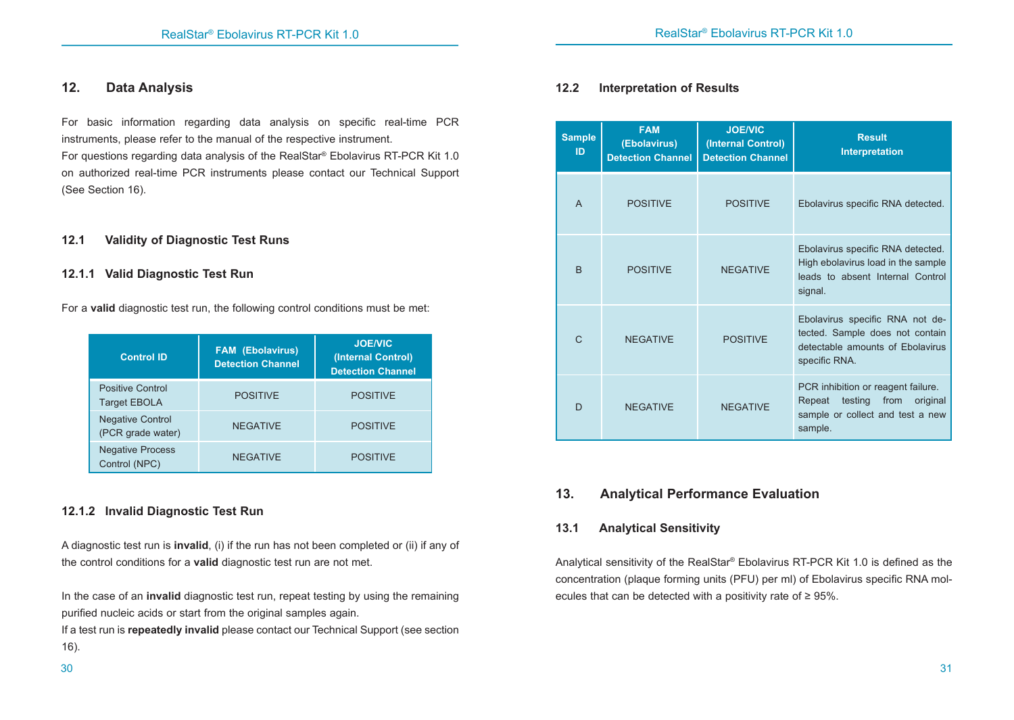# **12. Data Analysis**

For basic information regarding data analysis on specific real-time PCR instruments, please refer to the manual of the respective instrument.

For questions regarding data analysis of the RealStar® Ebolavirus RT-PCR Kit 1.0 on authorized real-time PCR instruments please contact our Technical Support (See Section 16).

#### **12.1 Validity of Diagnostic Test Runs**

#### **12.1.1 Valid Diagnostic Test Run**

For a **valid** diagnostic test run, the following control conditions must be met:

| <b>Control ID</b>                            | <b>FAM (Ebolavirus)</b><br><b>Detection Channel</b> | <b>JOE/VIC</b><br>(Internal Control)<br><b>Detection Channel</b> |
|----------------------------------------------|-----------------------------------------------------|------------------------------------------------------------------|
| Positive Control<br><b>Target EBOLA</b>      | <b>POSITIVE</b>                                     | <b>POSITIVE</b>                                                  |
| <b>Negative Control</b><br>(PCR grade water) | <b>NEGATIVE</b>                                     | <b>POSITIVE</b>                                                  |
| <b>Negative Process</b><br>Control (NPC)     | <b>NEGATIVE</b>                                     | <b>POSITIVE</b>                                                  |

# **12.1.2 Invalid Diagnostic Test Run**

A diagnostic test run is **invalid**, (i) if the run has not been completed or (ii) if any of the control conditions for a **valid** diagnostic test run are not met.

In the case of an **invalid** diagnostic test run, repeat testing by using the remaining purified nucleic acids or start from the original samples again.

If a test run is **repeatedly invalid** please contact our Technical Support (see section 16).

# **12.2 Interpretation of Results**

|  | <b>Sample</b><br>ID | <b>FAM</b><br>(Ebolavirus)<br><b>Detection Channel</b> | <b>JOE/VIC</b><br>(Internal Control)<br><b>Detection Channel</b> | <b>Result</b><br><b>Interpretation</b>                                                                                     |
|--|---------------------|--------------------------------------------------------|------------------------------------------------------------------|----------------------------------------------------------------------------------------------------------------------------|
|  | $\mathsf{A}$        | <b>POSITIVE</b>                                        | <b>POSITIVE</b>                                                  | Ebolavirus specific RNA detected.                                                                                          |
|  | <sub>B</sub>        | <b>POSITIVE</b>                                        | <b>NEGATIVE</b>                                                  | Ebolavirus specific RNA detected.<br>High ebolavirus load in the sample<br>leads to absent Internal Control<br>signal.     |
|  | $\mathsf{C}$        | <b>NFGATIVE</b>                                        | <b>POSITIVE</b>                                                  | Ebolavirus specific RNA not de-<br>tected. Sample does not contain<br>detectable amounts of Ebolavirus<br>specific RNA.    |
|  | D                   | <b>NEGATIVE</b>                                        | <b>NEGATIVE</b>                                                  | PCR inhibition or reagent failure.<br>testing<br>from<br>original<br>Repeat<br>sample or collect and test a new<br>sample. |

# **13. Analytical Performance Evaluation**

# **13.1 Analytical Sensitivity**

Analytical sensitivity of the RealStar® Ebolavirus RT-PCR Kit 1.0 is defined as the concentration (plaque forming units (PFU) per ml) of Ebolavirus specific RNA molecules that can be detected with a positivity rate of ≥ 95%.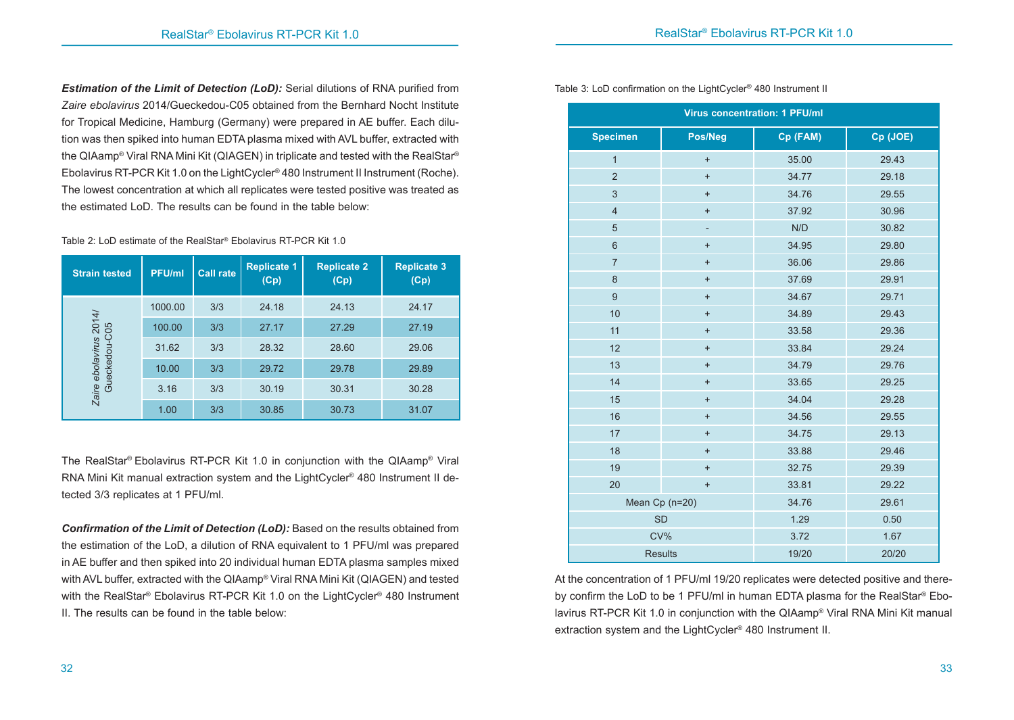*Estimation of the Limit of Detection (LoD):* Serial dilutions of RNA purified from *Zaire ebolavirus* 2014/Gueckedou-C05 obtained from the Bernhard Nocht Institute for Tropical Medicine, Hamburg (Germany) were prepared in AE buffer. Each dilution was then spiked into human EDTA plasma mixed with AVL buffer, extracted with the QIAamp® Viral RNA Mini Kit (QIAGEN) in triplicate and tested with the RealStar® Ebolavirus RT-PCR Kit 1.0 on the LightCycler® 480 Instrument II Instrument (Roche). The lowest concentration at which all replicates were tested positive was treated as the estimated LoD. The results can be found in the table below:

#### Table 2: LoD estimate of the RealStar® Ebolavirus RT-PCR Kit 1.0

| <b>Strain tested</b>                    | <b>PFU/ml</b> | <b>Call rate</b> | <b>Replicate 1</b><br>(Cp) | <b>Replicate 2</b><br>(Cp) | <b>Replicate 3</b><br>(Cp) |
|-----------------------------------------|---------------|------------------|----------------------------|----------------------------|----------------------------|
| Zaire ebolavirus 2014/<br>Gueckedou-C05 | 1000.00       | 3/3              | 24.18                      | 24.13                      | 24.17                      |
|                                         | 100.00        | 3/3              | 27.17                      | 27.29                      | 27.19                      |
|                                         | 31.62         | 3/3              | 28.32                      | 28.60                      | 29.06                      |
|                                         | 10.00         | 3/3              | 29.72                      | 29.78                      | 29.89                      |
|                                         | 3.16          | 3/3              | 30.19                      | 30.31                      | 30.28                      |
|                                         | 1.00          | 3/3              | 30.85                      | 30.73                      | 31.07                      |

The RealStar® Ebolavirus RT-PCR Kit 1.0 in conjunction with the QIAamp® Viral RNA Mini Kit manual extraction system and the LightCycler<sup>®</sup> 480 Instrument II detected 3/3 replicates at 1 PFU/ml.

*Confirmation of the Limit of Detection (LoD):* Based on the results obtained from the estimation of the LoD, a dilution of RNA equivalent to 1 PFU/ml was prepared in AE buffer and then spiked into 20 individual human EDTA plasma samples mixed with AVL buffer, extracted with the QIAamp® Viral RNA Mini Kit (QIAGEN) and tested with the RealStar® Ebolavirus RT-PCR Kit 1.0 on the LightCycler® 480 Instrument II. The results can be found in the table below:

| <b>Virus concentration: 1 PFU/ml</b> |                                  |          |          |  |
|--------------------------------------|----------------------------------|----------|----------|--|
| <b>Specimen</b>                      | Pos/Neg                          | Cp (FAM) | Cp (JOE) |  |
| $\overline{1}$                       | $\ddot{}$                        | 35.00    | 29.43    |  |
| $\overline{2}$                       | $\ddot{}$                        | 34.77    | 29.18    |  |
| $\mathfrak{S}$                       | $\ddot{}$                        | 34.76    | 29.55    |  |
| $\overline{4}$                       | $\ddot{}$                        | 37.92    | 30.96    |  |
| 5                                    | $\overline{\phantom{a}}$         | N/D      | 30.82    |  |
| $\,6\,$                              | $\ddot{}$                        | 34.95    | 29.80    |  |
| $\overline{7}$                       | $\ddot{}$                        | 36.06    | 29.86    |  |
| $\bf 8$                              | $\ddot{}$                        | 37.69    | 29.91    |  |
| $\boldsymbol{9}$                     | $\begin{array}{c} + \end{array}$ | 34.67    | 29.71    |  |
| 10                                   | $\ddot{}$                        | 34.89    | 29.43    |  |
| 11                                   | $\ddot{}$                        | 33.58    | 29.36    |  |
| 12                                   | $\ddot{}$                        | 33.84    | 29.24    |  |
| 13                                   | $\begin{array}{c} + \end{array}$ | 34.79    | 29.76    |  |
| 14                                   | $\begin{array}{c} + \end{array}$ | 33.65    | 29.25    |  |
| 15                                   | $\ddot{}$                        | 34.04    | 29.28    |  |
| 16                                   | $\begin{array}{c} + \end{array}$ | 34.56    | 29.55    |  |
| 17                                   | $\ddot{}$                        | 34.75    | 29.13    |  |
| 18                                   | $\ddot{}$                        | 33.88    | 29.46    |  |
| 19                                   | $\ddot{}$                        | 32.75    | 29.39    |  |
| 20                                   | $\ddot{}$                        | 33.81    | 29.22    |  |
|                                      | Mean Cp (n=20)                   | 34.76    | 29.61    |  |
|                                      | <b>SD</b>                        | 1.29     | 0.50     |  |
|                                      | CV%                              | 3.72     | 1.67     |  |
|                                      | <b>Results</b>                   | 19/20    | 20/20    |  |

Table 3: LoD confirmation on the LightCycler® 480 Instrument II

At the concentration of 1 PFU/ml 19/20 replicates were detected positive and thereby confirm the LoD to be 1 PFU/ml in human EDTA plasma for the RealStar® Ebolavirus RT-PCR Kit 1.0 in conjunction with the QIAamp® Viral RNA Mini Kit manual extraction system and the LightCycler® 480 Instrument II.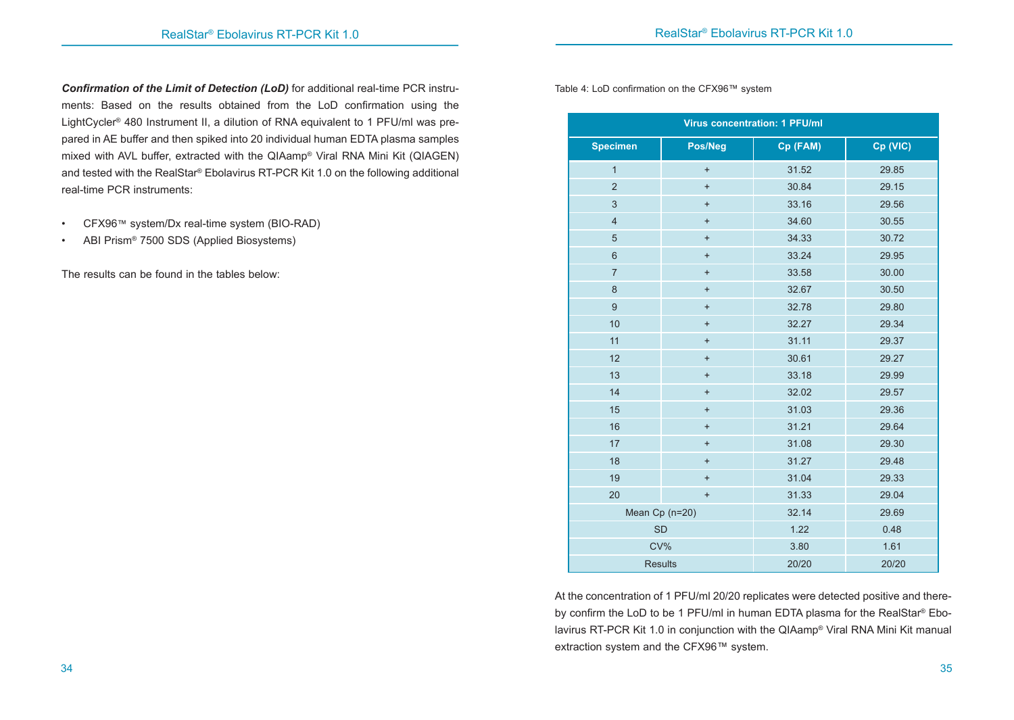*Confirmation of the Limit of Detection (LoD)* for additional real-time PCR instruments: Based on the results obtained from the LoD confirmation using the LightCycler® 480 Instrument II, a dilution of RNA equivalent to 1 PFU/ml was prepared in AE buffer and then spiked into 20 individual human EDTA plasma samples mixed with AVL buffer, extracted with the QIAamp® Viral RNA Mini Kit (QIAGEN) and tested with the RealStar® Ebolavirus RT-PCR Kit 1.0 on the following additional real-time PCR instruments:

- CFX96™ system/Dx real-time system (BIO-RAD)
- ABI Prism® 7500 SDS (Applied Biosystems)

The results can be found in the tables below:

Table 4: LoD confirmation on the CFX96™ system

| <b>Virus concentration: 1 PFU/ml</b> |                |          |          |  |
|--------------------------------------|----------------|----------|----------|--|
| <b>Specimen</b>                      | Pos/Neg        | Cp (FAM) | Cp (VIC) |  |
| $\mathbf{1}$                         | $\ddot{}$      | 31.52    | 29.85    |  |
| $\overline{2}$                       | $\ddot{}$      | 30.84    | 29.15    |  |
| 3                                    | $\ddot{}$      | 33.16    | 29.56    |  |
| $\overline{4}$                       | $\ddot{}$      | 34.60    | 30.55    |  |
| 5                                    | $\ddot{}$      | 34.33    | 30.72    |  |
| $6\phantom{a}$                       | $\ddot{}$      | 33.24    | 29.95    |  |
| $\overline{7}$                       | $\ddot{}$      | 33.58    | 30.00    |  |
| 8                                    | $\ddot{}$      | 32.67    | 30.50    |  |
| $\mathsf g$                          | $\ddot{}$      | 32.78    | 29.80    |  |
| 10                                   | $\ddot{}$      | 32.27    | 29.34    |  |
| 11                                   | $\ddot{}$      | 31.11    | 29.37    |  |
| 12                                   | $\ddot{}$      | 30.61    | 29.27    |  |
| 13                                   | $\ddot{}$      | 33.18    | 29.99    |  |
| 14                                   | $\ddot{}$      | 32.02    | 29.57    |  |
| 15                                   | $\ddot{}$      | 31.03    | 29.36    |  |
| 16                                   | $\ddot{}$      | 31.21    | 29.64    |  |
| 17                                   | $\ddot{}$      | 31.08    | 29.30    |  |
| 18                                   | $\ddot{}$      | 31.27    | 29.48    |  |
| 19                                   | $\ddot{}$      | 31.04    | 29.33    |  |
| 20                                   | $\ddot{}$      | 31.33    | 29.04    |  |
|                                      | Mean Cp (n=20) | 32.14    | 29.69    |  |
|                                      | <b>SD</b>      | 1.22     | 0.48     |  |
|                                      | CV%            | 3.80     | 1.61     |  |
|                                      | <b>Results</b> | 20/20    | 20/20    |  |

At the concentration of 1 PFU/ml 20/20 replicates were detected positive and thereby confirm the LoD to be 1 PFU/ml in human EDTA plasma for the RealStar® Ebolavirus RT-PCR Kit 1.0 in conjunction with the QIAamp® Viral RNA Mini Kit manual extraction system and the CFX96™ system.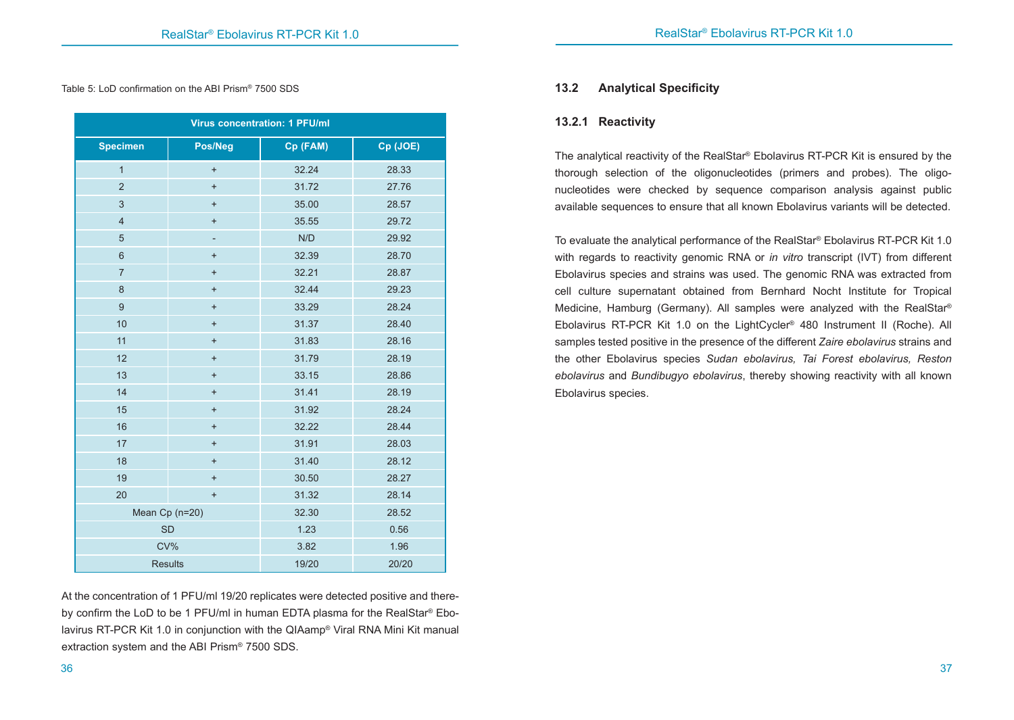Table 5: LoD confirmation on the ABI Prism® 7500 SDS

| <b>Virus concentration: 1 PFU/ml</b> |                |          |          |  |
|--------------------------------------|----------------|----------|----------|--|
| <b>Specimen</b>                      | Pos/Neg        | Cp (FAM) | Cp (JOE) |  |
| $\mathbf{1}$                         | $\ddot{}$      | 32.24    | 28.33    |  |
| $\overline{2}$                       | $\ddot{}$      | 31.72    | 27.76    |  |
| $\overline{3}$                       | $\ddot{}$      | 35.00    | 28.57    |  |
| $\overline{4}$                       | $\ddot{}$      | 35.55    | 29.72    |  |
| $\sqrt{5}$                           |                | N/D      | 29.92    |  |
| $6\phantom{1}$                       | $\ddot{}$      | 32.39    | 28.70    |  |
| $\overline{7}$                       | $\ddot{}$      | 32.21    | 28.87    |  |
| $\bf 8$                              | $\ddot{}$      | 32.44    | 29.23    |  |
| $\mathsf g$                          | $\ddot{}$      | 33.29    | 28.24    |  |
| 10                                   | $\ddot{}$      | 31.37    | 28.40    |  |
| 11                                   | $\ddot{}$      | 31.83    | 28.16    |  |
| 12                                   | $\ddot{}$      | 31.79    | 28.19    |  |
| 13                                   | $\ddot{}$      | 33.15    | 28.86    |  |
| 14                                   | $\ddot{}$      | 31.41    | 28.19    |  |
| 15                                   | $\ddot{}$      | 31.92    | 28.24    |  |
| 16                                   | $\ddot{}$      | 32.22    | 28.44    |  |
| 17                                   | $\ddot{}$      | 31.91    | 28.03    |  |
| 18                                   | $\ddot{}$      | 31.40    | 28.12    |  |
| 19                                   | $\ddot{}$      | 30.50    | 28.27    |  |
| 20                                   | $\ddot{}$      | 31.32    | 28.14    |  |
| Mean Cp (n=20)                       |                | 32.30    | 28.52    |  |
| <b>SD</b>                            |                | 1.23     | 0.56     |  |
| CV%                                  |                | 3.82     | 1.96     |  |
|                                      | <b>Results</b> | 19/20    | 20/20    |  |

At the concentration of 1 PFU/ml 19/20 replicates were detected positive and thereby confirm the LoD to be 1 PFU/ml in human EDTA plasma for the RealStar® Ebolavirus RT-PCR Kit 1.0 in conjunction with the QIAamp® Viral RNA Mini Kit manual extraction system and the ABI Prism® 7500 SDS.

#### **13.2 Analytical Specificity**

#### **13.2.1 Reactivity**

The analytical reactivity of the RealStar® Ebolavirus RT-PCR Kit is ensured by the thorough selection of the oligonucleotides (primers and probes). The oligonucleotides were checked by sequence comparison analysis against public available sequences to ensure that all known Ebolavirus variants will be detected.

To evaluate the analytical performance of the RealStar® Ebolavirus RT-PCR Kit 1.0 with regards to reactivity genomic RNA or *in vitro* transcript (IVT) from different Ebolavirus species and strains was used. The genomic RNA was extracted from cell culture supernatant obtained from Bernhard Nocht Institute for Tropical Medicine, Hamburg (Germany). All samples were analyzed with the RealStar® Ebolavirus RT-PCR Kit 1.0 on the LightCycler® 480 Instrument II (Roche). All samples tested positive in the presence of the different *Zaire ebolavirus* strains and the other Ebolavirus species *Sudan ebolavirus, Tai Forest ebolavirus, Reston ebolavirus* and *Bundibugyo ebolavirus*, thereby showing reactivity with all known Ebolavirus species.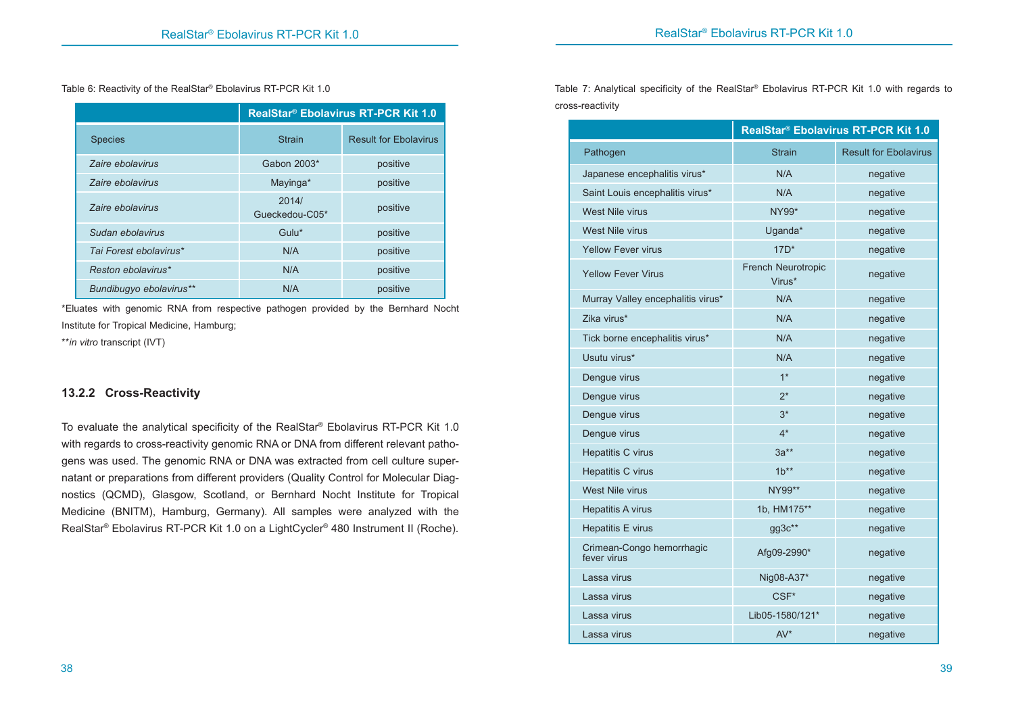Table 6: Reactivity of the RealStar® Ebolavirus RT-PCR Kit 1.0

| RealStar <sup>®</sup> Ebolavirus RT-PCR Kit 1.0 |                         |                              |  |  |
|-------------------------------------------------|-------------------------|------------------------------|--|--|
| <b>Species</b>                                  | <b>Strain</b>           | <b>Result for Ebolavirus</b> |  |  |
| Zaire ebolavirus                                | Gabon 2003*             | positive                     |  |  |
| Zaire ebolavirus                                | Mayinga*                | positive                     |  |  |
| Zaire ebolavirus                                | 2014/<br>Gueckedou-C05* | positive                     |  |  |
| Sudan ebolavirus                                | Gulu*                   | positive                     |  |  |
| Tai Forest ebolavirus*                          | N/A                     | positive                     |  |  |
| Reston ebolavirus*                              | N/A                     | positive                     |  |  |
| Bundibugyo ebolavirus**                         | N/A                     | positive                     |  |  |

\*Eluates with genomic RNA from respective pathogen provided by the Bernhard Nocht Institute for Tropical Medicine, Hamburg;

\*\**in vitro* transcript (IVT)

# **13.2.2 Cross-Reactivity**

To evaluate the analytical specificity of the RealStar® Ebolavirus RT-PCR Kit 1.0 with regards to cross-reactivity genomic RNA or DNA from different relevant pathogens was used. The genomic RNA or DNA was extracted from cell culture supernatant or preparations from different providers (Quality Control for Molecular Diagnostics (QCMD), Glasgow, Scotland, or Bernhard Nocht Institute for Tropical Medicine (BNITM), Hamburg, Germany). All samples were analyzed with the RealStar® Ebolavirus RT-PCR Kit 1.0 on a LightCycler® 480 Instrument II (Roche).

Table 7: Analytical specificity of the RealStar® Ebolavirus RT-PCR Kit 1.0 with regards to cross-reactivity

|                                          | RealStar <sup>®</sup> Ebolavirus RT-PCR Kit 1.0 |                              |  |  |
|------------------------------------------|-------------------------------------------------|------------------------------|--|--|
| Pathogen                                 | <b>Strain</b>                                   | <b>Result for Ebolavirus</b> |  |  |
| Japanese encephalitis virus*             | N/A                                             | negative                     |  |  |
| Saint Louis encephalitis virus*          | N/A                                             | negative                     |  |  |
| <b>West Nile virus</b>                   | NY99*                                           | negative                     |  |  |
| West Nile virus                          | Uganda*                                         | negative                     |  |  |
| <b>Yellow Fever virus</b>                | $17D^*$                                         | negative                     |  |  |
| <b>Yellow Fever Virus</b>                | French Neurotropic<br>Virus*                    | negative                     |  |  |
| Murray Valley encephalitis virus*        | N/A                                             | negative                     |  |  |
| Zika virus*                              | N/A                                             | negative                     |  |  |
| Tick borne encephalitis virus*           | N/A                                             | negative                     |  |  |
| Usutu virus*                             | N/A                                             | negative                     |  |  |
| Denque virus                             | $1*$                                            | negative                     |  |  |
| Dengue virus                             | $2^*$                                           | negative                     |  |  |
| Dengue virus                             | $3*$                                            | negative                     |  |  |
| Dengue virus                             | $4^*$                                           | negative                     |  |  |
| <b>Hepatitis C virus</b>                 | $3a**$                                          | negative                     |  |  |
| Hepatitis C virus                        | $1b^{**}$                                       | negative                     |  |  |
| West Nile virus                          | NY99**                                          | negative                     |  |  |
| <b>Hepatitis A virus</b>                 | 1b, HM175**                                     | negative                     |  |  |
| Hepatitis E virus                        | gg3c**                                          | negative                     |  |  |
| Crimean-Congo hemorrhagic<br>fever virus | Afg09-2990*                                     | negative                     |  |  |
| Lassa virus                              | Nig08-A37*                                      | negative                     |  |  |
| Lassa virus                              | CSF*                                            | negative                     |  |  |
| Lassa virus                              | Lib05-1580/121*                                 | negative                     |  |  |
| Lassa virus                              | $AV*$                                           | negative                     |  |  |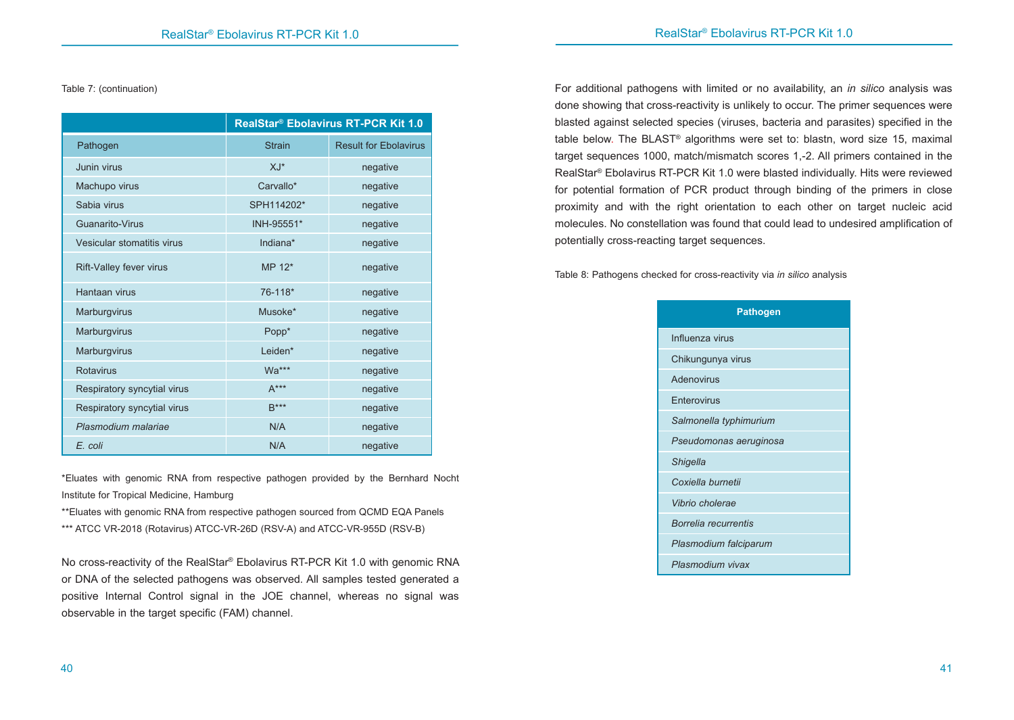Table 7: (continuation)

|                             |               | RealStar® Ebolavirus RT-PCR Kit 1.0 |
|-----------------------------|---------------|-------------------------------------|
| Pathogen                    | <b>Strain</b> | <b>Result for Ebolavirus</b>        |
| Junin virus                 | $XJ^*$        | negative                            |
| Machupo virus               | Carvallo*     | negative                            |
| Sabia virus                 | SPH114202*    | negative                            |
| Guanarito-Virus             | INH-95551*    | negative                            |
| Vesicular stomatitis virus  | Indiana*      | negative                            |
| Rift-Valley fever virus     | MP 12*        | negative                            |
| Hantaan virus               | 76-118*       | negative                            |
| Marburgvirus                | Musoke*       | negative                            |
| Marburgvirus                | Popp*         | negative                            |
| Marburgvirus                | Leiden*       | negative                            |
| Rotavirus                   | Wa***         | negative                            |
| Respiratory syncytial virus | $A***$        | negative                            |
| Respiratory syncytial virus | $R***$        | negative                            |
| Plasmodium malariae         | N/A           | negative                            |
| E. coli                     | N/A           | negative                            |

\*Eluates with genomic RNA from respective pathogen provided by the Bernhard Nocht Institute for Tropical Medicine, Hamburg

\*\*Eluates with genomic RNA from respective pathogen sourced from QCMD EQA Panels \*\*\* ATCC VR-2018 (Rotavirus) ATCC-VR-26D (RSV-A) and ATCC-VR-955D (RSV-B)

No cross-reactivity of the RealStar® Ebolavirus RT-PCR Kit 1.0 with genomic RNA or DNA of the selected pathogens was observed. All samples tested generated a positive Internal Control signal in the JOE channel, whereas no signal was observable in the target specific (FAM) channel.

For additional pathogens with limited or no availability, an *in silico* analysis was done showing that cross-reactivity is unlikely to occur. The primer sequences were blasted against selected species (viruses, bacteria and parasites) specified in the table below. The BLAST® algorithms were set to: blastn, word size 15, maximal target sequences 1000, match/mismatch scores 1,-2. All primers contained in the RealStar® Ebolavirus RT-PCR Kit 1.0 were blasted individually. Hits were reviewed for potential formation of PCR product through binding of the primers in close proximity and with the right orientation to each other on target nucleic acid molecules. No constellation was found that could lead to undesired amplification of potentially cross-reacting target sequences.

Table 8: Pathogens checked for cross-reactivity via *in silico* analysis

| <b>Pathogen</b>        |  |  |  |  |
|------------------------|--|--|--|--|
| Influenza virus        |  |  |  |  |
| Chikungunya virus      |  |  |  |  |
| Adenovirus             |  |  |  |  |
| Enterovirus            |  |  |  |  |
| Salmonella typhimurium |  |  |  |  |
| Pseudomonas aeruginosa |  |  |  |  |
| <b>Shigella</b>        |  |  |  |  |
| Coxiella burnetii      |  |  |  |  |
| Vibrio cholerae        |  |  |  |  |
| Borrelia recurrentis   |  |  |  |  |
| Plasmodium falciparum  |  |  |  |  |
| Plasmodium vivax       |  |  |  |  |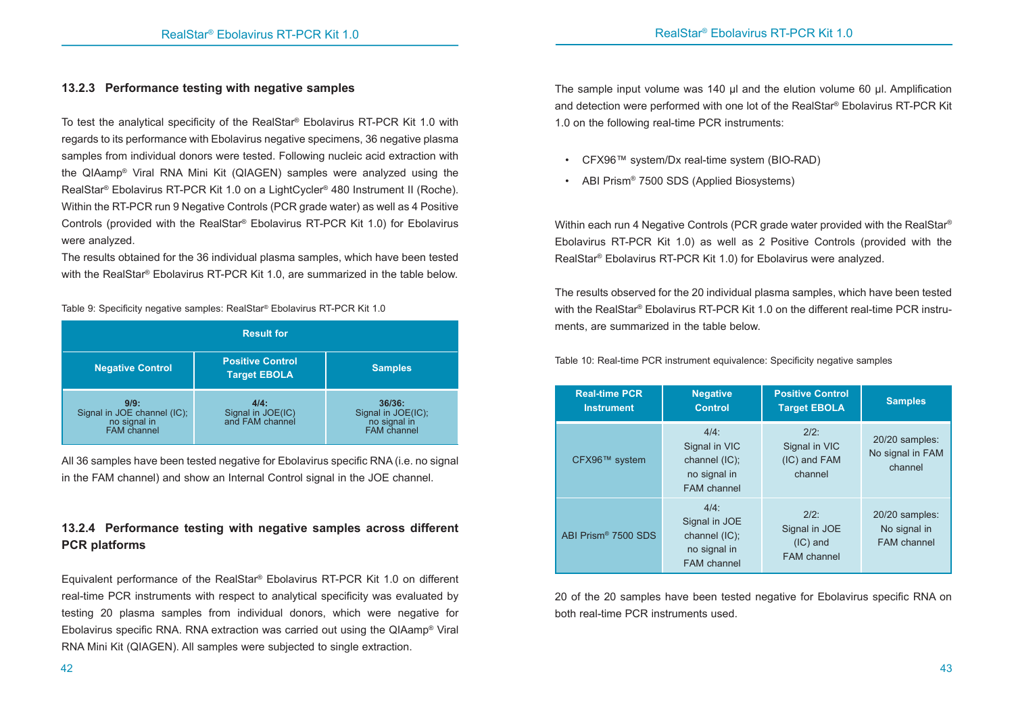# **13.2.3 Performance testing with negative samples**

To test the analytical specificity of the RealStar® Ebolavirus RT-PCR Kit 1.0 with regards to its performance with Ebolavirus negative specimens, 36 negative plasma samples from individual donors were tested. Following nucleic acid extraction with the QIAamp® Viral RNA Mini Kit (QIAGEN) samples were analyzed using the RealStar® Ebolavirus RT-PCR Kit 1.0 on a LightCycler® 480 Instrument II (Roche). Within the RT-PCR run 9 Negative Controls (PCR grade water) as well as 4 Positive Controls (provided with the RealStar® Ebolavirus RT-PCR Kit 1.0) for Ebolavirus were analyzed.

The results obtained for the 36 individual plasma samples, which have been tested with the RealStar® Ebolavirus RT-PCR Kit 1.0, are summarized in the table below.

Table 9: Specificity negative samples: RealStar® Ebolavirus RT-PCR Kit 1.0

| <b>Result for</b>                                                  |                                                |                                                             |  |  |
|--------------------------------------------------------------------|------------------------------------------------|-------------------------------------------------------------|--|--|
| <b>Negative Control</b>                                            | <b>Positive Control</b><br><b>Target EBOLA</b> | <b>Samples</b>                                              |  |  |
| 9/9:<br>Signal in JOE channel (IC);<br>no signal in<br>FAM channel | 4/4:<br>Signal in JOE(IC)<br>and FAM channel   | 36/36:<br>Signal in JOE(IC);<br>no signal in<br>FAM channel |  |  |

All 36 samples have been tested negative for Ebolavirus specific RNA (i.e. no signal in the FAM channel) and show an Internal Control signal in the JOE channel.

# **13.2.4 Performance testing with negative samples across different PCR platforms**

Equivalent performance of the RealStar® Ebolavirus RT-PCR Kit 1.0 on different real-time PCR instruments with respect to analytical specificity was evaluated by testing 20 plasma samples from individual donors, which were negative for Ebolavirus specific RNA. RNA extraction was carried out using the QIAamp® Viral RNA Mini Kit (QIAGEN). All samples were subjected to single extraction.

The sample input volume was 140 µl and the elution volume 60 µl. Amplification and detection were performed with one lot of the RealStar® Ebolavirus RT-PCR Kit 1.0 on the following real-time PCR instruments:

- CFX96™ system/Dx real-time system (BIO-RAD)
- ABI Prism<sup>®</sup> 7500 SDS (Applied Biosystems)

Within each run 4 Negative Controls (PCR grade water provided with the RealStar<sup>®</sup> Ebolavirus RT-PCR Kit 1.0) as well as 2 Positive Controls (provided with the RealStar® Ebolavirus RT-PCR Kit 1.0) for Ebolavirus were analyzed.

The results observed for the 20 individual plasma samples, which have been tested with the RealStar® Ebolavirus RT-PCR Kit 1.0 on the different real-time PCR instruments, are summarized in the table below.

Table 10: Real-time PCR instrument equivalence: Specificity negative samples

| <b>Real-time PCR</b><br><b>Instrument</b> | <b>Negative</b><br><b>Control</b>                                               | <b>Positive Control</b><br><b>Target EBOLA</b>               | <b>Samples</b>                                |
|-------------------------------------------|---------------------------------------------------------------------------------|--------------------------------------------------------------|-----------------------------------------------|
| CFX96™ system                             | $4/4$ :<br>Signal in VIC<br>channel (IC);<br>no signal in<br><b>FAM</b> channel | $2/2$ :<br>Signal in VIC<br>(IC) and FAM<br>channel          | 20/20 samples:<br>No signal in FAM<br>channel |
| ABI Prism® 7500 SDS                       | $4/4$ :<br>Signal in JOE<br>channel (IC);<br>no signal in<br><b>FAM</b> channel | $2/2$ :<br>Signal in JOE<br>$(IC)$ and<br><b>FAM</b> channel | 20/20 samples:<br>No signal in<br>FAM channel |

20 of the 20 samples have been tested negative for Ebolavirus specific RNA on both real-time PCR instruments used.

 $42$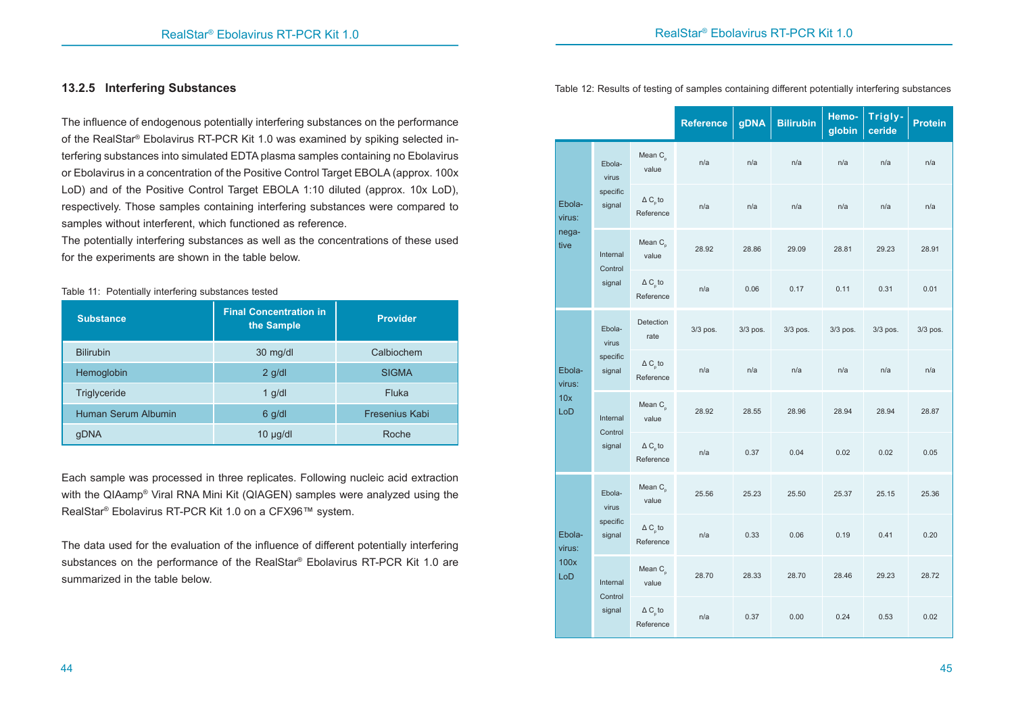#### **13.2.5 Interfering Substances**

Table 11: Potentially interfering substances tested

The influence of endogenous potentially interfering substances on the performance of the RealStar® Ebolavirus RT-PCR Kit 1.0 was examined by spiking selected interfering substances into simulated EDTA plasma samples containing no Ebolavirus or Ebolavirus in a concentration of the Positive Control Target EBOLA (approx. 100x LoD) and of the Positive Control Target EBOLA 1:10 diluted (approx. 10x LoD), respectively. Those samples containing interfering substances were compared to samples without interferent, which functioned as reference.

The potentially interfering substances as well as the concentrations of these used for the experiments are shown in the table below.

| <b>Substance</b>    | <b>Final Concentration in</b><br>the Sample | <b>Provider</b> |  |
|---------------------|---------------------------------------------|-----------------|--|
| <b>Bilirubin</b>    | 30 mg/dl                                    | Calbiochem      |  |
| Hemoglobin          | $2$ g/dl                                    | <b>SIGMA</b>    |  |
| Triglyceride        | $1$ g/dl                                    | Fluka           |  |
| Human Serum Albumin | $6$ g/dl                                    | Fresenius Kabi  |  |
| qDNA                | $10 \mu g/dl$                               | Roche           |  |

Each sample was processed in three replicates. Following nucleic acid extraction with the QIAamp® Viral RNA Mini Kit (QIAGEN) samples were analyzed using the RealStar® Ebolavirus RT-PCR Kit 1.0 on a CFX96™ system.

The data used for the evaluation of the influence of different potentially interfering substances on the performance of the RealStar® Ebolavirus RT-PCR Kit 1.0 are summarized in the table below.

Table 12: Results of testing of samples containing different potentially interfering substances

|                  |                                                                                                                                                                                                                                           |                                    | <b>Reference</b> | <b>gDNA</b> | <b>Bilirubin</b> | Hemo-<br>globin | Trigly-<br>ceride | <b>Protein</b> |
|------------------|-------------------------------------------------------------------------------------------------------------------------------------------------------------------------------------------------------------------------------------------|------------------------------------|------------------|-------------|------------------|-----------------|-------------------|----------------|
|                  | Ebola-<br>virus                                                                                                                                                                                                                           | Mean $C_n$<br>value                | n/a              | n/a         | n/a              | n/a             | n/a               | n/a            |
| Ebola-<br>virus: | specific<br>signal                                                                                                                                                                                                                        | $\Delta$ C to<br>Reference         | n/a              | n/a         | n/a              | n/a             | n/a               | n/a            |
| nega-<br>tive    | Internal<br>Control                                                                                                                                                                                                                       | Mean $C_{p}$<br>value              | 28.92            | 28.86       | 29.09            | 28.81           | 29.23             | 28.91          |
|                  | signal                                                                                                                                                                                                                                    | $\Delta C_{p}$ to<br>Reference     | n/a              | 0.06        | 0.17             | 0.11            | 0.31              | 0.01           |
|                  | Detection<br>Ebola-<br>3/3 pos.<br>3/3 pos.<br>3/3 pos.<br>rate<br>virus<br>specific<br>$\Delta C$ <sub>n</sub> to<br>Ebola-<br>signal<br>n/a<br>n/a<br>n/a<br>Reference<br>virus:<br>10x<br>Mean $C_n$<br>LoD<br>28.92<br>28.55<br>28.96 |                                    |                  |             |                  | 3/3 pos.        | 3/3 pos.          | 3/3 pos.       |
|                  |                                                                                                                                                                                                                                           | n/a                                | n/a              | n/a         |                  |                 |                   |                |
|                  | Internal<br>Control                                                                                                                                                                                                                       | value                              |                  |             |                  | 28.94           | 28.94             | 28.87          |
|                  | signal                                                                                                                                                                                                                                    | $\Delta C_{p}$ to<br>Reference     | n/a              | 0.37        | 0.04             | 0.02            | 0.02              | 0.05           |
|                  | Ebola-<br>virus                                                                                                                                                                                                                           | Mean $C_{n}$<br>value              | 25.56            | 25.23       | 25.50            | 25.37           | 25.15             | 25.36          |
| Ebola-<br>virus: | specific<br>signal                                                                                                                                                                                                                        | $\Delta C_{\rm p}$ to<br>Reference | n/a              | 0.33        | 0.06             | 0.19            | 0.41              | 0.20           |
| 100x<br>LoD      | Internal<br>Control                                                                                                                                                                                                                       | Mean $C_{n}$<br>value              | 28.70            | 28.33       | 28.70            | 28.46           | 29.23             | 28.72          |
|                  | signal                                                                                                                                                                                                                                    | $\Delta C_{p}$ to<br>Reference     | n/a              | 0.37        | 0.00             | 0.24            | 0.53              | 0.02           |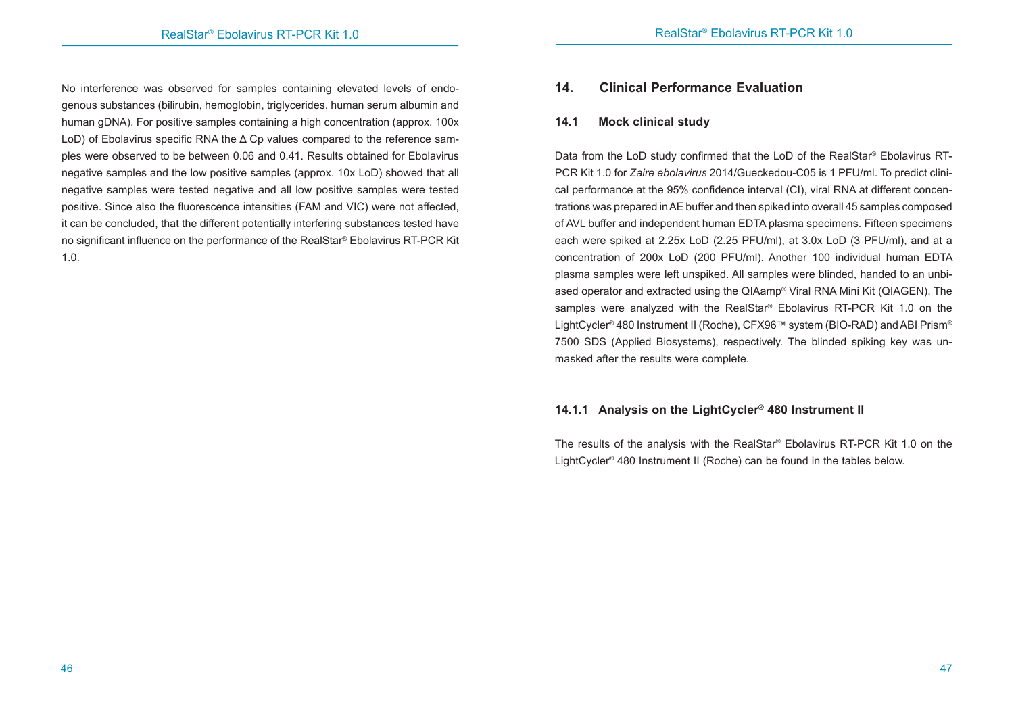No interference was observed for samples containing elevated levels of endogenous substances (bilirubin, hemoglobin, triglycerides, human serum albumin and human gDNA). For positive samples containing a high concentration (approx. 100x LoD) of Ebolavirus specific RNA the Δ Cp values compared to the reference samples were observed to be between 0.06 and 0.41. Results obtained for Ebolavirus negative samples and the low positive samples (approx. 10x LoD) showed that all negative samples were tested negative and all low positive samples were tested positive. Since also the fluorescence intensities (FAM and VIC) were not affected, it can be concluded, that the different potentially interfering substances tested have no significant influence on the performance of the RealStar® Ebolavirus RT-PCR Kit 1.0.

# **14. Clinical Performance Evaluation**

#### **14.1 Mock clinical study**

Data from the LoD study confirmed that the LoD of the RealStar® Ebolavirus RT-PCR Kit 1.0 for *Zaire ebolavirus* 2014/Gueckedou-C05 is 1 PFU/ml. To predict clinical performance at the 95% confidence interval (CI), viral RNA at different concentrations was prepared in AE buffer and then spiked into overall 45 samples composed of AVL buffer and independent human EDTA plasma specimens. Fifteen specimens each were spiked at 2.25x LoD (2.25 PFU/ml), at 3.0x LoD (3 PFU/ml), and at a concentration of 200x LoD (200 PFU/ml). Another 100 individual human EDTA plasma samples were left unspiked. All samples were blinded, handed to an unbiased operator and extracted using the QIAamp® Viral RNA Mini Kit (QIAGEN). The samples were analyzed with the RealStar® Ebolavirus RT-PCR Kit 1.0 on the LightCycler® 480 Instrument II (Roche), CFX96™ system (BIO-RAD) and ABI Prism® 7500 SDS (Applied Biosystems), respectively. The blinded spiking key was unmasked after the results were complete.

# **14.1.1 Analysis on the LightCycler® 480 Instrument II**

The results of the analysis with the RealStar® Ebolavirus RT-PCR Kit 1.0 on the LightCycler® 480 Instrument II (Roche) can be found in the tables below.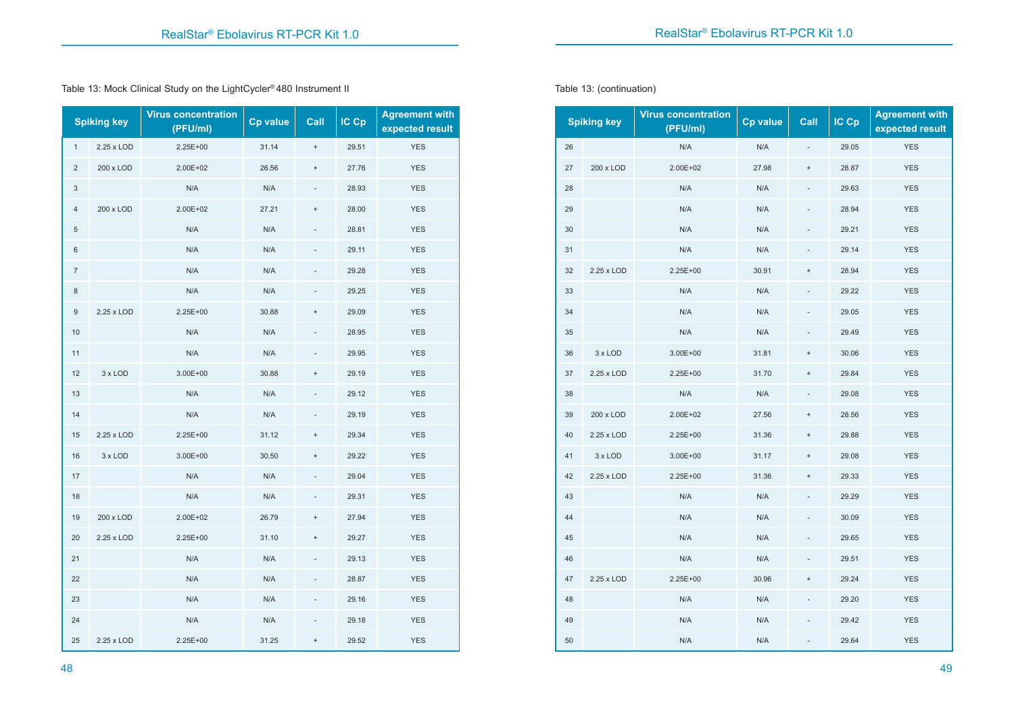Table 13: Mock Clinical Study on the LightCycler® 480 Instrument II

|                | <b>Spiking key</b> | <b>Virus concentration</b><br>(PFU/ml) | <b>Cp value</b> | Call              | $IC$ $Cp$ | <b>Agreement with</b><br>expected result |
|----------------|--------------------|----------------------------------------|-----------------|-------------------|-----------|------------------------------------------|
| 1              | 2.25 x LOD         | 2.25E+00                               | 31.14           | $\ddot{}$         | 29.51     | <b>YES</b>                               |
| $\overline{c}$ | 200 x LOD          | 2.00E+02                               | 26.56           | $\qquad \qquad +$ | 27.76     | <b>YES</b>                               |
| 3              |                    | N/A                                    | N/A             | $\frac{1}{2}$     | 28.93     | <b>YES</b>                               |
| 4              | 200 x LOD          | 2.00E+02                               | 27.21           | $\ddot{}$         | 28.00     | <b>YES</b>                               |
| 5              |                    | N/A                                    | N/A             |                   | 28.81     | <b>YES</b>                               |
| 6              |                    | N/A                                    | N/A             |                   | 29.11     | <b>YES</b>                               |
| $\overline{7}$ |                    | N/A                                    | N/A             |                   | 29.28     | <b>YES</b>                               |
| 8              |                    | N/A                                    | N/A             |                   | 29.25     | <b>YES</b>                               |
| 9              | 2.25 x LOD         | 2.25E+00                               | 30.88           | $\ddot{}$         | 29.09     | <b>YES</b>                               |
| 10             |                    | N/A                                    | N/A             |                   | 28.95     | <b>YES</b>                               |
| 11             |                    | N/A                                    | N/A             |                   | 29.95     | <b>YES</b>                               |
| 12             | 3 x LOD            | $3.00E + 00$                           | 30.88           | $^{+}$            | 29.19     | <b>YES</b>                               |
| 13             |                    | N/A                                    | N/A             |                   | 29.12     | <b>YES</b>                               |
| 14             |                    | N/A                                    | N/A             |                   | 29.19     | <b>YES</b>                               |
| 15             | 2.25 x LOD         | 2.25E+00                               | 31.12           | $\ddot{}$         | 29.34     | <b>YES</b>                               |
| 16             | 3 x LOD            | 3.00E+00                               | 30.50           | $\ddot{}$         | 29.22     | <b>YES</b>                               |
| 17             |                    | N/A                                    | N/A             |                   | 29.04     | <b>YES</b>                               |
| 18             |                    | N/A                                    | N/A             |                   | 29.31     | <b>YES</b>                               |
| 19             | 200 x LOD          | 2.00E+02                               | 26.79           | $^{+}$            | 27.94     | <b>YES</b>                               |
| 20             | 2.25 x LOD         | 2.25E+00                               | 31.10           | $\ddot{}$         | 29.27     | <b>YES</b>                               |
| 21             |                    | N/A                                    | N/A             |                   | 29.13     | <b>YES</b>                               |
| 22             |                    | N/A                                    | N/A             |                   | 28.87     | <b>YES</b>                               |
| 23             |                    | N/A                                    | N/A             |                   | 29.16     | <b>YES</b>                               |
| 24             |                    | N/A                                    | N/A             |                   | 29.18     | <b>YES</b>                               |
| 25             | 2.25 x LOD         | 2.25E+00                               | 31.25           | $\ddot{}$         | 29.52     | <b>YES</b>                               |

Table 13: (continuation)

|    | <b>Spiking key</b> | <b>Virus concentration</b><br>(PFU/ml) | <b>Cp value</b> | Call                             | $IC$ $Cp$ | <b>Agreement with</b><br>expected result |
|----|--------------------|----------------------------------------|-----------------|----------------------------------|-----------|------------------------------------------|
| 26 |                    | N/A                                    | N/A             |                                  | 29.05     | <b>YES</b>                               |
| 27 | 200 x LOD          | 2.00E+02                               | 27.98           | $\begin{array}{c} + \end{array}$ | 28.87     | <b>YES</b>                               |
| 28 |                    | N/A                                    | N/A             |                                  | 29.63     | <b>YES</b>                               |
| 29 |                    | N/A                                    | N/A             |                                  | 28.94     | <b>YES</b>                               |
| 30 |                    | N/A                                    | N/A             |                                  | 29.21     | <b>YES</b>                               |
| 31 |                    | N/A                                    | N/A             |                                  | 29.14     | <b>YES</b>                               |
| 32 | 2.25 x LOD         | 2.25E+00                               | 30.91           | $\! + \!$                        | 28.94     | <b>YES</b>                               |
| 33 |                    | N/A                                    | N/A             |                                  | 29.22     | <b>YES</b>                               |
| 34 |                    | N/A                                    | N/A             |                                  | 29.05     | <b>YES</b>                               |
| 35 |                    | N/A                                    | N/A             |                                  | 29.49     | <b>YES</b>                               |
| 36 | 3 x LOD            | 3.00E+00                               | 31.81           | $\ddot{}$                        | 30.06     | <b>YES</b>                               |
| 37 | 2.25 x LOD         | 2.25E+00                               | 31.70           | $\begin{array}{c} + \end{array}$ | 29.84     | <b>YES</b>                               |
| 38 |                    | N/A                                    | N/A             |                                  | 29.08     | <b>YES</b>                               |
| 39 | 200 x LOD          | 2.00E+02                               | 27.56           | $\! + \!$                        | 28.56     | <b>YES</b>                               |
| 40 | 2.25 x LOD         | 2.25E+00                               | 31.36           | $\begin{array}{c} + \end{array}$ | 29.88     | <b>YES</b>                               |
| 41 | 3 x LOD            | 3.00E+00                               | 31.17           | $\! + \!$                        | 29.08     | <b>YES</b>                               |
| 42 | 2.25 x LOD         | 2.25E+00                               | 31.36           | $\ddot{}$                        | 29.33     | <b>YES</b>                               |
| 43 |                    | N/A                                    | N/A             |                                  | 29.29     | <b>YES</b>                               |
| 44 |                    | N/A                                    | N/A             |                                  | 30.09     | <b>YES</b>                               |
| 45 |                    | N/A                                    | N/A             | $\overline{a}$                   | 29.65     | <b>YES</b>                               |
| 46 |                    | N/A                                    | N/A             | $\frac{1}{2}$                    | 29.51     | <b>YES</b>                               |
| 47 | 2.25 x LOD         | 2.25E+00                               | 30.96           | $\ddot{}$                        | 29.24     | <b>YES</b>                               |
| 48 |                    | N/A                                    | N/A             |                                  | 29.20     | <b>YES</b>                               |
| 49 |                    | N/A                                    | N/A             |                                  | 29.42     | <b>YES</b>                               |
| 50 |                    | N/A                                    | N/A             |                                  | 29.64     | <b>YES</b>                               |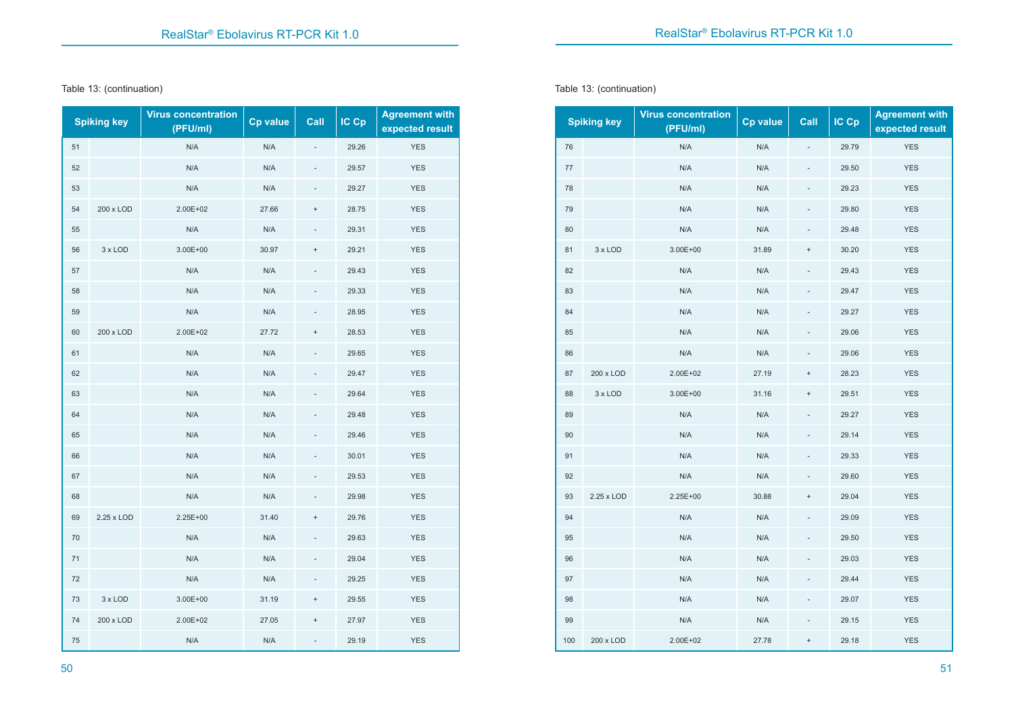#### Table 13: (continuation)

|    | <b>Spiking key</b> | <b>Virus concentration</b><br>(PFU/ml) | <b>Cp value</b> | Call          | IC Cp | <b>Agreement with</b><br>expected result |
|----|--------------------|----------------------------------------|-----------------|---------------|-------|------------------------------------------|
| 51 |                    | N/A                                    | N/A             |               | 29.26 | <b>YES</b>                               |
| 52 |                    | N/A                                    | N/A             |               | 29.57 | <b>YES</b>                               |
| 53 |                    | N/A                                    | N/A             |               | 29.27 | <b>YES</b>                               |
| 54 | 200 x LOD          | 2.00E+02                               | 27.66           | $\ddot{}$     | 28.75 | <b>YES</b>                               |
| 55 |                    | N/A                                    | N/A             |               | 29.31 | <b>YES</b>                               |
| 56 | 3 x LOD            | 3.00E+00                               | 30.97           | $^{+}$        | 29.21 | <b>YES</b>                               |
| 57 |                    | N/A                                    | N/A             |               | 29.43 | <b>YES</b>                               |
| 58 |                    | N/A                                    | N/A             |               | 29.33 | <b>YES</b>                               |
| 59 |                    | N/A                                    | N/A             |               | 28.95 | <b>YES</b>                               |
| 60 | 200 x LOD          | 2.00E+02                               | 27.72           | $\ddot{}$     | 28.53 | <b>YES</b>                               |
| 61 |                    | N/A                                    | N/A             |               | 29.65 | <b>YES</b>                               |
| 62 |                    | N/A                                    | N/A             |               | 29.47 | <b>YES</b>                               |
| 63 |                    | N/A                                    | N/A             |               | 29.64 | <b>YES</b>                               |
| 64 |                    | N/A                                    | N/A             |               | 29.48 | <b>YES</b>                               |
| 65 |                    | N/A                                    | N/A             |               | 29.46 | <b>YES</b>                               |
| 66 |                    | N/A                                    | N/A             |               | 30.01 | <b>YES</b>                               |
| 67 |                    | N/A                                    | N/A             |               | 29.53 | <b>YES</b>                               |
| 68 |                    | N/A                                    | N/A             |               | 29.98 | <b>YES</b>                               |
| 69 | 2.25 x LOD         | 2.25E+00                               | 31.40           | $\ddot{}$     | 29.76 | <b>YES</b>                               |
| 70 |                    | N/A                                    | N/A             | $\frac{1}{2}$ | 29.63 | <b>YES</b>                               |
| 71 |                    | N/A                                    | N/A             |               | 29.04 | <b>YES</b>                               |
| 72 |                    | N/A                                    | N/A             |               | 29.25 | <b>YES</b>                               |
| 73 | 3 x LOD            | 3.00E+00                               | 31.19           | $\ddot{}$     | 29.55 | <b>YES</b>                               |
| 74 | 200 x LOD          | 2.00E+02                               | 27.05           | $\ddot{}$     | 27.97 | <b>YES</b>                               |
| 75 |                    | N/A                                    | N/A             | ÷,            | 29.19 | <b>YES</b>                               |

Table 13: (continuation)

|     | <b>Spiking key</b> | <b>Virus concentration</b><br>(PFU/ml) | Cp value | Call          | IC Cp | <b>Agreement with</b><br>expected result |
|-----|--------------------|----------------------------------------|----------|---------------|-------|------------------------------------------|
| 76  |                    | N/A                                    | N/A      |               | 29.79 | <b>YES</b>                               |
| 77  |                    | N/A                                    | N/A      |               | 29.50 | <b>YES</b>                               |
| 78  |                    | N/A                                    | N/A      |               | 29.23 | <b>YES</b>                               |
| 79  |                    | N/A                                    | N/A      |               | 29.80 | <b>YES</b>                               |
| 80  |                    | N/A                                    | N/A      |               | 29.48 | <b>YES</b>                               |
| 81  | 3 x LOD            | 3.00E+00                               | 31.89    | $\ddot{}$     | 30.20 | <b>YES</b>                               |
| 82  |                    | N/A                                    | N/A      | $\frac{1}{2}$ | 29.43 | <b>YES</b>                               |
| 83  |                    | N/A                                    | N/A      |               | 29.47 | <b>YES</b>                               |
| 84  |                    | N/A                                    | N/A      |               | 29.27 | <b>YES</b>                               |
| 85  |                    | N/A                                    | N/A      |               | 29.06 | <b>YES</b>                               |
| 86  |                    | N/A                                    | N/A      |               | 29.06 | <b>YES</b>                               |
| 87  | 200 x LOD          | 2.00E+02                               | 27.19    | $^{+}$        | 28.23 | <b>YES</b>                               |
| 88  | 3 x LOD            | $3.00E + 00$                           | 31.16    | $\ddot{}$     | 29.51 | <b>YES</b>                               |
| 89  |                    | N/A                                    | N/A      |               | 29.27 | <b>YES</b>                               |
| 90  |                    | N/A                                    | N/A      |               | 29.14 | <b>YES</b>                               |
| 91  |                    | N/A                                    | N/A      | $\frac{1}{2}$ | 29.33 | <b>YES</b>                               |
| 92  |                    | N/A                                    | N/A      |               | 29.60 | <b>YES</b>                               |
| 93  | 2.25 x LOD         | 2.25E+00                               | 30.88    | $^{+}$        | 29.04 | <b>YES</b>                               |
| 94  |                    | N/A                                    | N/A      |               | 29.09 | <b>YES</b>                               |
| 95  |                    | N/A                                    | N/A      | L,            | 29.50 | <b>YES</b>                               |
| 96  |                    | N/A                                    | N/A      |               | 29.03 | <b>YES</b>                               |
| 97  |                    | N/A                                    | N/A      |               | 29.44 | <b>YES</b>                               |
| 98  |                    | N/A                                    | N/A      | $\frac{1}{2}$ | 29.07 | <b>YES</b>                               |
| 99  |                    | N/A                                    | N/A      |               | 29.15 | <b>YES</b>                               |
| 100 | 200 x LOD          | 2.00E+02                               | 27.78    | $\ddot{}$     | 29.18 | <b>YES</b>                               |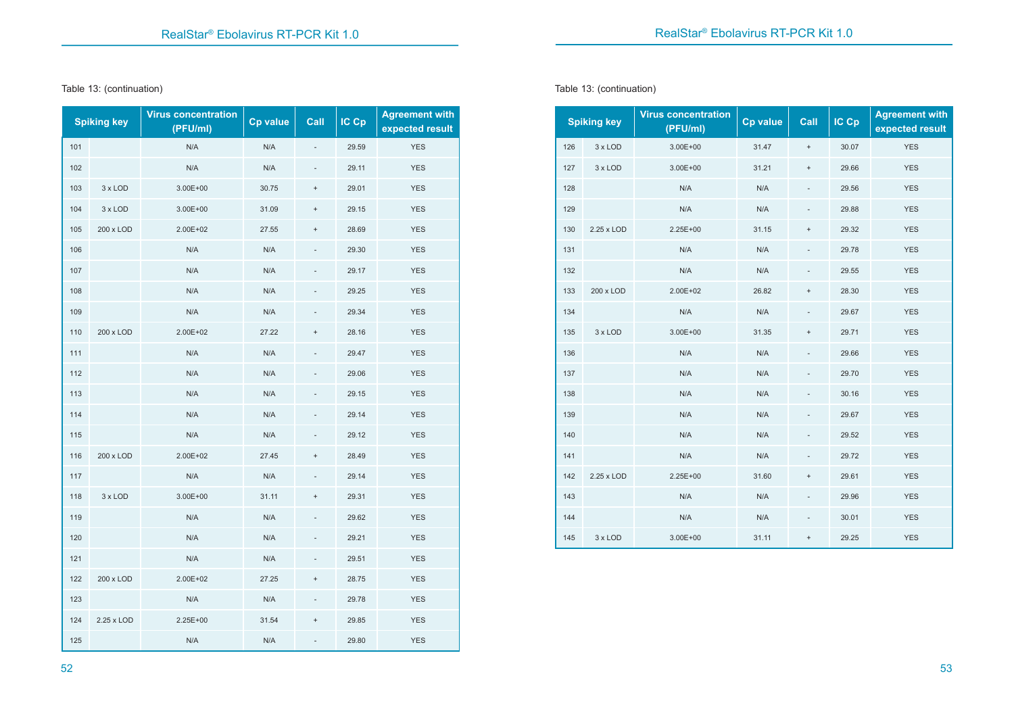#### Table 13: (continuation)

|     | <b>Spiking key</b> | <b>Virus concentration</b><br>(PFU/ml) | <b>Cp value</b> | Call      | $IC$ $Cp$ | <b>Agreement with</b><br>expected result |
|-----|--------------------|----------------------------------------|-----------------|-----------|-----------|------------------------------------------|
| 101 |                    | N/A                                    | N/A             |           | 29.59     | <b>YES</b>                               |
| 102 |                    | N/A                                    | N/A             |           | 29.11     | <b>YES</b>                               |
| 103 | 3 x LOD            | 3.00E+00                               | 30.75           | $\ddot{}$ | 29.01     | <b>YES</b>                               |
| 104 | 3 x LOD            | 3.00E+00                               | 31.09           | $\ddot{}$ | 29.15     | <b>YES</b>                               |
| 105 | 200 x LOD          | 2.00E+02                               | 27.55           | $\ddot{}$ | 28.69     | <b>YES</b>                               |
| 106 |                    | N/A                                    | N/A             |           | 29.30     | <b>YES</b>                               |
| 107 |                    | N/A                                    | N/A             |           | 29.17     | <b>YES</b>                               |
| 108 |                    | N/A                                    | N/A             |           | 29.25     | <b>YES</b>                               |
| 109 |                    | N/A                                    | N/A             |           | 29.34     | <b>YES</b>                               |
| 110 | 200 x LOD          | 2.00E+02                               | 27.22           | $\ddot{}$ | 28.16     | <b>YES</b>                               |
| 111 |                    | N/A                                    | N/A             |           | 29.47     | <b>YES</b>                               |
| 112 |                    | N/A                                    | N/A             |           | 29.06     | <b>YES</b>                               |
| 113 |                    | N/A                                    | N/A             |           | 29.15     | <b>YES</b>                               |
| 114 |                    | N/A                                    | N/A             |           | 29.14     | <b>YES</b>                               |
| 115 |                    | N/A                                    | N/A             |           | 29.12     | <b>YES</b>                               |
| 116 | 200 x LOD          | 2.00E+02                               | 27.45           | $\ddot{}$ | 28.49     | <b>YES</b>                               |
| 117 |                    | N/A                                    | N/A             |           | 29.14     | <b>YES</b>                               |
| 118 | 3 x LOD            | 3.00E+00                               | 31.11           | $\ddot{}$ | 29.31     | <b>YES</b>                               |
| 119 |                    | N/A                                    | N/A             |           | 29.62     | <b>YES</b>                               |
| 120 |                    | N/A                                    | N/A             |           | 29.21     | <b>YES</b>                               |
| 121 |                    | N/A                                    | N/A             |           | 29.51     | <b>YES</b>                               |
| 122 | 200 x LOD          | 2.00E+02                               | 27.25           | $\ddot{}$ | 28.75     | <b>YES</b>                               |
| 123 |                    | N/A                                    | N/A             |           | 29.78     | <b>YES</b>                               |
| 124 | 2.25 x LOD         | 2.25E+00                               | 31.54           | $\ddot{}$ | 29.85     | <b>YES</b>                               |
| 125 |                    | N/A                                    | N/A             |           | 29.80     | <b>YES</b>                               |

Table 13: (continuation)

|     | <b>Spiking key</b> | <b>Virus concentration</b><br>(PFU/ml) | Cp value | Call                     | IC Cp | <b>Agreement with</b><br>expected result |
|-----|--------------------|----------------------------------------|----------|--------------------------|-------|------------------------------------------|
| 126 | 3 x LOD            | $3.00E + 00$                           | 31.47    | $\pmb{+}$                | 30.07 | <b>YES</b>                               |
| 127 | 3 x LOD            | $3.00E + 00$                           | 31.21    | $\ddot{}$                | 29.66 | <b>YES</b>                               |
| 128 |                    | N/A                                    | N/A      |                          | 29.56 | <b>YES</b>                               |
| 129 |                    | N/A                                    | N/A      |                          | 29.88 | <b>YES</b>                               |
| 130 | 2.25 x LOD         | $2.25E+00$                             | 31.15    | $\ddot{}$                | 29.32 | <b>YES</b>                               |
| 131 |                    | N/A                                    | N/A      |                          | 29.78 | <b>YES</b>                               |
| 132 |                    | N/A                                    | N/A      | $\overline{\phantom{0}}$ | 29.55 | <b>YES</b>                               |
| 133 | 200 x LOD          | 2.00E+02                               | 26.82    | $\ddot{}$                | 28.30 | <b>YES</b>                               |
| 134 |                    | N/A                                    | N/A      | $\overline{\phantom{a}}$ | 29.67 | <b>YES</b>                               |
| 135 | 3 x LOD            | $3.00E + 00$                           | 31.35    | $\ddot{}$                | 29.71 | <b>YES</b>                               |
| 136 |                    | N/A                                    | N/A      | $\overline{a}$           | 29.66 | <b>YES</b>                               |
| 137 |                    | N/A                                    | N/A      |                          | 29.70 | <b>YES</b>                               |
| 138 |                    | N/A                                    | N/A      | $\overline{\phantom{a}}$ | 30.16 | <b>YES</b>                               |
| 139 |                    | N/A                                    | N/A      |                          | 29.67 | <b>YES</b>                               |
| 140 |                    | N/A                                    | N/A      | $\qquad \qquad -$        | 29.52 | <b>YES</b>                               |
| 141 |                    | N/A                                    | N/A      | $\frac{1}{2}$            | 29.72 | <b>YES</b>                               |
| 142 | 2.25 x LOD         | 2.25E+00                               | 31.60    | $^{+}$                   | 29.61 | <b>YES</b>                               |
| 143 |                    | N/A                                    | N/A      |                          | 29.96 | <b>YES</b>                               |
| 144 |                    | N/A                                    | N/A      | $\overline{\phantom{a}}$ | 30.01 | <b>YES</b>                               |
| 145 | 3 x LOD            | 3.00E+00                               | 31.11    | $\ddot{}$                | 29.25 | <b>YES</b>                               |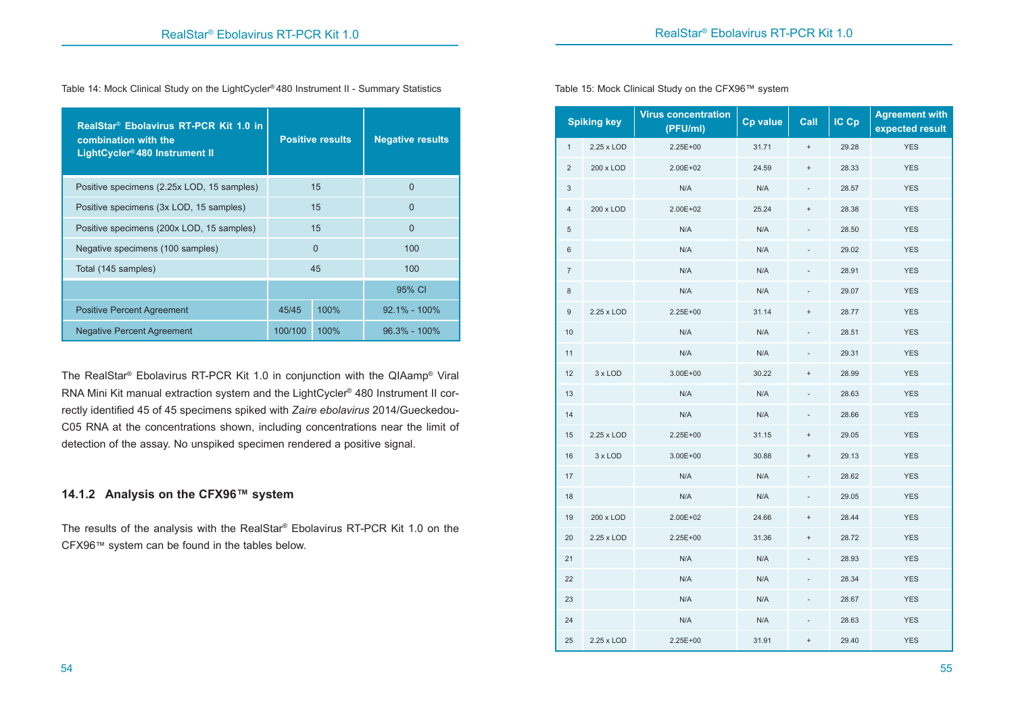Table 14: Mock Clinical Study on the LightCycler® 480 Instrument II - Summary Statistics

| RealStar <sup>®</sup> Ebolavirus RT-PCR Kit 1.0 in<br>combination with the<br>LightCycler® 480 Instrument II |          | <b>Positive results</b> | <b>Negative results</b> |
|--------------------------------------------------------------------------------------------------------------|----------|-------------------------|-------------------------|
| Positive specimens (2.25x LOD, 15 samples)                                                                   |          | 15                      | 0                       |
| Positive specimens (3x LOD, 15 samples)                                                                      |          | 15                      | $\Omega$                |
| Positive specimens (200x LOD, 15 samples)                                                                    |          | 15                      | $\Omega$                |
| Negative specimens (100 samples)                                                                             | $\Omega$ |                         | 100                     |
| Total (145 samples)                                                                                          |          | 45                      | 100                     |
|                                                                                                              |          |                         | 95% CI                  |
| <b>Positive Percent Agreement</b>                                                                            | 45/45    | 100%                    | $92.1\% - 100\%$        |
| <b>Negative Percent Agreement</b>                                                                            | 100/100  | 100%                    | $96.3\% - 100\%$        |

The RealStar® Ebolavirus RT-PCR Kit 1.0 in conjunction with the QIAamp® Viral RNA Mini Kit manual extraction system and the LightCycler® 480 Instrument II correctly identified 45 of 45 specimens spiked with *Zaire ebolavirus* 2014/Gueckedou-C05 RNA at the concentrations shown, including concentrations near the limit of detection of the assay. No unspiked specimen rendered a positive signal.

# **14.1.2 Analysis on the CFX96™ system**

The results of the analysis with the RealStar® Ebolavirus RT-PCR Kit 1.0 on the CFX96™ system can be found in the tables below.

**Spiking key Virus concentration (PFU/ml) Cp value Call IC Cp Agreement with expected result** 1 2.25 x LOD 2.25E+00 31.71 + 29.28 YES 2 200 x LOD 2.00E+02 24.59 + 28.33 YES  $N/A$  N/A  $N/A$   $N/A$   $28.57$  YES 4 200 x LOD 2.00E+02 25.24 + 28.38 YES 5 N/A N/A N/A N/A 28.50 YES 6 N/A N/A N/A N/A 29.02 YES 7 N/A N/A N/A N/A 28.91 YES 8 N/A N/A N/A N/A 29.07 YES 9 2.25 x LOD 2.25E+00 31.14 + 28.77 YES 10 N/A N/A N/A N/A - 28.51 YES 11 N/A N/A N/A N/A 29.31 YES 12 3 x LOD 3.00E+00 30.22 + 28.99 YES 13 N/A N/A N/A N/A - 28.63 YES 14 N/A N/A N/A N/A - 28.66 YES 15 2.25 x LOD 2.25E+00 31.15 + 29.05 YES 16 3 x LOD 3.00E+00 30.88 + 29.13 YES 17 N/A N/A N/A N/A - 28.62 YES 18 N/A N/A N/A N/A N/A 29.05 YES 19 200 x LOD 2.00E+02 24.66 + 28.44 YES 20 2.25 x LOD 2.25E+00 31.36 + 28.72 YES 21 N/A N/A N/A N/A 28.93 YES 22 N/A N/A N/A N/A 28.34 YES

23 N/A N/A N/A N/A 28.67 YES 24 N/A N/A N/A N/A - 28.63 YES 25 2.25 x LOD 2.25E+00 31.91 + 29.40 YES

Table 15: Mock Clinical Study on the CFX96™ system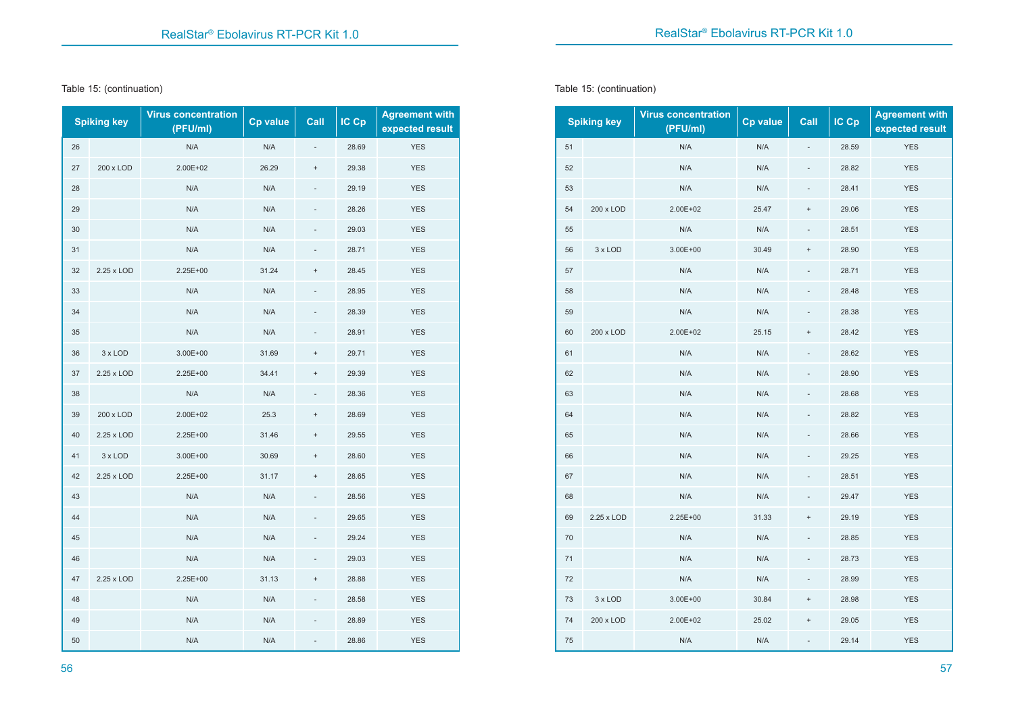#### Table 15: (continuation)

|    | <b>Spiking key</b> | <b>Virus concentration</b><br>(PFU/ml) | <b>Cp value</b> | Call                             | IC Cp | <b>Agreement with</b><br>expected result |
|----|--------------------|----------------------------------------|-----------------|----------------------------------|-------|------------------------------------------|
| 26 |                    | N/A                                    | N/A             |                                  | 28.69 | <b>YES</b>                               |
| 27 | 200 x LOD          | 2.00E+02                               | 26.29           | $^{+}$                           | 29.38 | <b>YES</b>                               |
| 28 |                    | N/A                                    | N/A             |                                  | 29.19 | <b>YES</b>                               |
| 29 |                    | N/A                                    | N/A             |                                  | 28.26 | <b>YES</b>                               |
| 30 |                    | N/A                                    | N/A             |                                  | 29.03 | <b>YES</b>                               |
| 31 |                    | N/A                                    | N/A             |                                  | 28.71 | <b>YES</b>                               |
| 32 | 2.25 x LOD         | 2.25E+00                               | 31.24           | $^{+}$                           | 28.45 | <b>YES</b>                               |
| 33 |                    | N/A                                    | N/A             |                                  | 28.95 | <b>YES</b>                               |
| 34 |                    | N/A                                    | N/A             |                                  | 28.39 | <b>YES</b>                               |
| 35 |                    | N/A                                    | N/A             |                                  | 28.91 | <b>YES</b>                               |
| 36 | 3 x LOD            | 3.00E+00                               | 31.69           | $\ddot{}$                        | 29.71 | <b>YES</b>                               |
| 37 | 2.25 x LOD         | $2.25E+00$                             | 34.41           | $\ddot{}$                        | 29.39 | <b>YES</b>                               |
| 38 |                    | N/A                                    | N/A             |                                  | 28.36 | <b>YES</b>                               |
| 39 | 200 x LOD          | 2.00E+02                               | 25.3            | $\ddot{}$                        | 28.69 | <b>YES</b>                               |
| 40 | 2.25 x LOD         | 2.25E+00                               | 31.46           | $\ddot{}$                        | 29.55 | <b>YES</b>                               |
| 41 | 3 x LOD            | 3.00E+00                               | 30.69           | $\begin{array}{c} + \end{array}$ | 28.60 | <b>YES</b>                               |
| 42 | 2.25 x LOD         | 2.25E+00                               | 31.17           | $^{+}$                           | 28.65 | <b>YES</b>                               |
| 43 |                    | N/A                                    | N/A             |                                  | 28.56 | <b>YES</b>                               |
| 44 |                    | N/A                                    | N/A             |                                  | 29.65 | <b>YES</b>                               |
| 45 |                    | N/A                                    | N/A             |                                  | 29.24 | <b>YES</b>                               |
| 46 |                    | N/A                                    | N/A             |                                  | 29.03 | <b>YES</b>                               |
| 47 | 2.25 x LOD         | 2.25E+00                               | 31.13           | $^{+}$                           | 28.88 | <b>YES</b>                               |
| 48 |                    | N/A                                    | N/A             |                                  | 28.58 | <b>YES</b>                               |
| 49 |                    | N/A                                    | N/A             |                                  | 28.89 | <b>YES</b>                               |
| 50 |                    | N/A                                    | N/A             |                                  | 28.86 | <b>YES</b>                               |

Table 15: (continuation)

|    | <b>Spiking key</b> | <b>Virus concentration</b><br>(PFU/ml) | Cp value | Call                     | IC Cp | <b>Agreement with</b><br>expected result |
|----|--------------------|----------------------------------------|----------|--------------------------|-------|------------------------------------------|
| 51 |                    | N/A                                    | N/A      |                          | 28.59 | <b>YES</b>                               |
| 52 |                    | N/A                                    | N/A      |                          | 28.82 | <b>YES</b>                               |
| 53 |                    | N/A                                    | N/A      |                          | 28.41 | <b>YES</b>                               |
| 54 | 200 x LOD          | 2.00E+02                               | 25.47    | $^{+}$                   | 29.06 | <b>YES</b>                               |
| 55 |                    | N/A                                    | N/A      |                          | 28.51 | <b>YES</b>                               |
| 56 | 3 x LOD            | $3.00E + 00$                           | 30.49    | $^{+}$                   | 28.90 | <b>YES</b>                               |
| 57 |                    | N/A                                    | N/A      |                          | 28.71 | <b>YES</b>                               |
| 58 |                    | N/A                                    | N/A      |                          | 28.48 | <b>YES</b>                               |
| 59 |                    | N/A                                    | N/A      | ÷,                       | 28.38 | <b>YES</b>                               |
| 60 | 200 x LOD          | 2.00E+02                               | 25.15    | $\ddot{}$                | 28.42 | <b>YES</b>                               |
| 61 |                    | N/A                                    | N/A      |                          | 28.62 | <b>YES</b>                               |
| 62 |                    | N/A                                    | N/A      |                          | 28.90 | <b>YES</b>                               |
| 63 |                    | N/A                                    | N/A      |                          | 28.68 | <b>YES</b>                               |
| 64 |                    | N/A                                    | N/A      |                          | 28.82 | <b>YES</b>                               |
| 65 |                    | N/A                                    | N/A      |                          | 28.66 | <b>YES</b>                               |
| 66 |                    | N/A                                    | N/A      |                          | 29.25 | <b>YES</b>                               |
| 67 |                    | N/A                                    | N/A      |                          | 28.51 | <b>YES</b>                               |
| 68 |                    | N/A                                    | N/A      |                          | 29.47 | <b>YES</b>                               |
| 69 | 2.25 x LOD         | 2.25E+00                               | 31.33    | $^{+}$                   | 29.19 | <b>YES</b>                               |
| 70 |                    | N/A                                    | N/A      |                          | 28.85 | <b>YES</b>                               |
| 71 |                    | N/A                                    | N/A      | $\overline{\phantom{a}}$ | 28.73 | <b>YES</b>                               |
| 72 |                    | N/A                                    | N/A      |                          | 28.99 | <b>YES</b>                               |
| 73 | 3 x LOD            | 3.00E+00                               | 30.84    | $^{+}$                   | 28.98 | <b>YES</b>                               |
| 74 | 200 x LOD          | 2.00E+02                               | 25.02    | $\ddot{}$                | 29.05 | <b>YES</b>                               |
| 75 |                    | N/A                                    | N/A      | $\overline{\phantom{a}}$ | 29.14 | <b>YES</b>                               |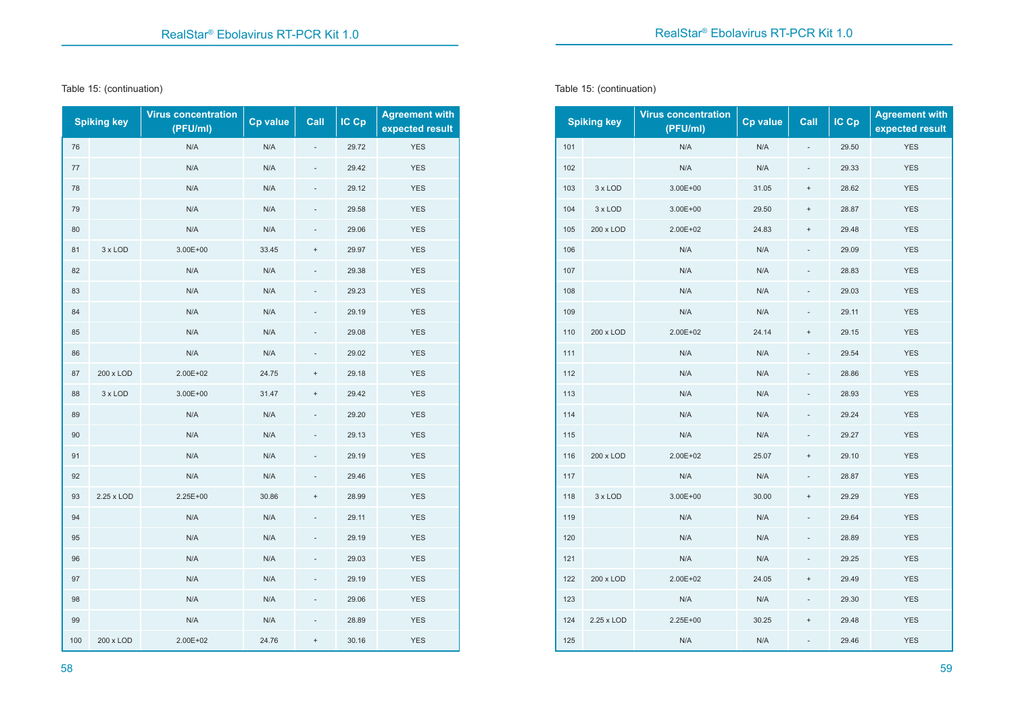Table 15: (continuation)

|     | <b>Spiking key</b> | <b>Virus concentration</b><br>(PFU/ml) | Cp value | Call                             | IC Cp | <b>Agreement with</b><br>expected result |
|-----|--------------------|----------------------------------------|----------|----------------------------------|-------|------------------------------------------|
| 76  |                    | N/A                                    | N/A      |                                  | 29.72 | <b>YES</b>                               |
| 77  |                    | N/A                                    | N/A      |                                  | 29.42 | <b>YES</b>                               |
| 78  |                    | N/A                                    | N/A      |                                  | 29.12 | <b>YES</b>                               |
| 79  |                    | N/A                                    | N/A      |                                  | 29.58 | <b>YES</b>                               |
| 80  |                    | N/A                                    | N/A      |                                  | 29.06 | <b>YES</b>                               |
| 81  | 3 x LOD            | $3.00E + 00$                           | 33.45    | $\ddot{}$                        | 29.97 | <b>YES</b>                               |
| 82  |                    | N/A                                    | N/A      |                                  | 29.38 | <b>YES</b>                               |
| 83  |                    | N/A                                    | N/A      |                                  | 29.23 | <b>YES</b>                               |
| 84  |                    | N/A                                    | N/A      |                                  | 29.19 | <b>YES</b>                               |
| 85  |                    | N/A                                    | N/A      |                                  | 29.08 | <b>YES</b>                               |
| 86  |                    | N/A                                    | N/A      |                                  | 29.02 | <b>YES</b>                               |
| 87  | 200 x LOD          | 2.00E+02                               | 24.75    | $\begin{array}{c} + \end{array}$ | 29.18 | <b>YES</b>                               |
| 88  | 3 x LOD            | $3.00E + 00$                           | 31.47    | $\ddot{}$                        | 29.42 | <b>YES</b>                               |
| 89  |                    | N/A                                    | N/A      |                                  | 29.20 | <b>YES</b>                               |
| 90  |                    | N/A                                    | N/A      |                                  | 29.13 | <b>YES</b>                               |
| 91  |                    | N/A                                    | N/A      |                                  | 29.19 | <b>YES</b>                               |
| 92  |                    | N/A                                    | N/A      |                                  | 29.46 | <b>YES</b>                               |
| 93  | 2.25 x LOD         | 2.25E+00                               | 30.86    | $\ddot{}$                        | 28.99 | <b>YES</b>                               |
| 94  |                    | N/A                                    | N/A      |                                  | 29.11 | <b>YES</b>                               |
| 95  |                    | N/A                                    | N/A      |                                  | 29.19 | <b>YES</b>                               |
| 96  |                    | N/A                                    | N/A      |                                  | 29.03 | <b>YES</b>                               |
| 97  |                    | N/A                                    | N/A      |                                  | 29.19 | <b>YES</b>                               |
| 98  |                    | N/A                                    | N/A      |                                  | 29.06 | <b>YES</b>                               |
| 99  |                    | N/A                                    | N/A      |                                  | 28.89 | <b>YES</b>                               |
| 100 | 200 x LOD          | 2.00E+02                               | 24.76    | $\ddot{}$                        | 30.16 | <b>YES</b>                               |

Table 15: (continuation)

|     | <b>Spiking key</b> | <b>Virus concentration</b><br>(PFU/ml) | Cp value | Call                     | IC Cp | <b>Agreement with</b><br>expected result |
|-----|--------------------|----------------------------------------|----------|--------------------------|-------|------------------------------------------|
| 101 |                    | N/A                                    | N/A      | -                        | 29.50 | <b>YES</b>                               |
| 102 |                    | N/A                                    | N/A      | $\frac{1}{2}$            | 29.33 | <b>YES</b>                               |
| 103 | 3 x LOD            | 3.00E+00                               | 31.05    | $\ddot{}$                | 28.62 | <b>YES</b>                               |
| 104 | 3 x LOD            | 3.00E+00                               | 29.50    | $^{+}$                   | 28.87 | <b>YES</b>                               |
| 105 | 200 x LOD          | 2.00E+02                               | 24.83    | $\ddot{}$                | 29.48 | <b>YES</b>                               |
| 106 |                    | N/A                                    | N/A      |                          | 29.09 | <b>YES</b>                               |
| 107 |                    | N/A                                    | N/A      | $\frac{1}{2}$            | 28.83 | <b>YES</b>                               |
| 108 |                    | N/A                                    | N/A      |                          | 29.03 | <b>YES</b>                               |
| 109 |                    | N/A                                    | N/A      | $\overline{\phantom{m}}$ | 29.11 | <b>YES</b>                               |
| 110 | 200 x LOD          | 2.00E+02                               | 24.14    | $\ddot{}$                | 29.15 | <b>YES</b>                               |
| 111 |                    | N/A                                    | N/A      |                          | 29.54 | <b>YES</b>                               |
| 112 |                    | N/A                                    | N/A      |                          | 28.86 | <b>YES</b>                               |
| 113 |                    | N/A                                    | N/A      |                          | 28.93 | <b>YES</b>                               |
| 114 |                    | N/A                                    | N/A      |                          | 29.24 | <b>YES</b>                               |
| 115 |                    | N/A                                    | N/A      |                          | 29.27 | <b>YES</b>                               |
| 116 | 200 x LOD          | 2.00E+02                               | 25.07    | $\ddot{}$                | 29.10 | <b>YES</b>                               |
| 117 |                    | N/A                                    | N/A      |                          | 28.87 | <b>YES</b>                               |
| 118 | 3 x LOD            | 3.00E+00                               | 30.00    | $^{+}$                   | 29.29 | <b>YES</b>                               |
| 119 |                    | N/A                                    | N/A      |                          | 29.64 | <b>YES</b>                               |
| 120 |                    | N/A                                    | N/A      |                          | 28.89 | <b>YES</b>                               |
| 121 |                    | N/A                                    | N/A      | $\overline{\phantom{0}}$ | 29.25 | <b>YES</b>                               |
| 122 | 200 x LOD          | 2.00E+02                               | 24.05    | $\ddot{}$                | 29.49 | <b>YES</b>                               |
| 123 |                    | N/A                                    | N/A      |                          | 29.30 | <b>YES</b>                               |
| 124 | 2.25 x LOD         | 2.25E+00                               | 30.25    | $^{+}$                   | 29.48 | <b>YES</b>                               |
| 125 |                    | N/A                                    | N/A      |                          | 29.46 | <b>YES</b>                               |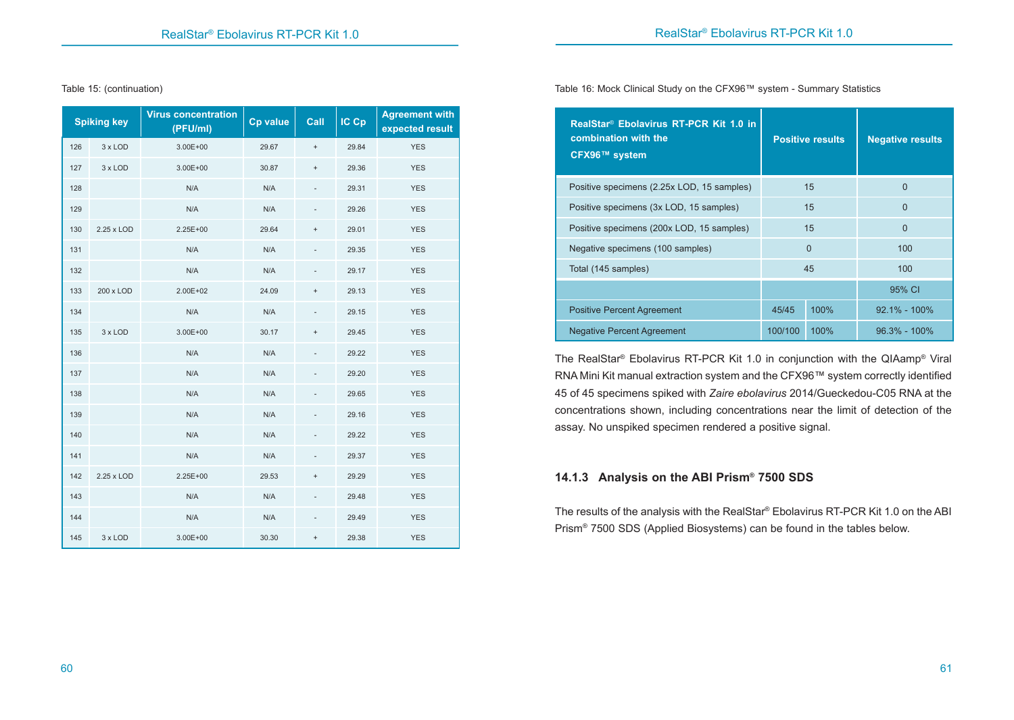Table 15: (continuation)

|     | <b>Spiking key</b> | <b>Virus concentration</b><br>(PFU/ml) | <b>Cp value</b> | Call                             | IC Cp | <b>Agreement with</b><br>expected result |
|-----|--------------------|----------------------------------------|-----------------|----------------------------------|-------|------------------------------------------|
| 126 | 3 x LOD            | $3.00E + 00$                           | 29.67           | $\begin{array}{c} + \end{array}$ | 29.84 | <b>YES</b>                               |
| 127 | 3 x LOD            | $3.00E + 00$                           | 30.87           | $\ddot{}$                        | 29.36 | <b>YES</b>                               |
| 128 |                    | N/A                                    | N/A             |                                  | 29.31 | <b>YES</b>                               |
| 129 |                    | N/A                                    | N/A             |                                  | 29.26 | <b>YES</b>                               |
| 130 | 2.25 x LOD         | 2.25E+00                               | 29.64           | $\ddot{}$                        | 29.01 | <b>YES</b>                               |
| 131 |                    | N/A                                    | N/A             |                                  | 29.35 | <b>YES</b>                               |
| 132 |                    | N/A                                    | N/A             |                                  | 29.17 | <b>YES</b>                               |
| 133 | 200 x LOD          | 2.00E+02                               | 24.09           | $\ddot{}$                        | 29.13 | <b>YES</b>                               |
| 134 |                    | N/A                                    | N/A             |                                  | 29.15 | <b>YES</b>                               |
| 135 | 3 x LOD            | $3.00E + 00$                           | 30.17           | $\begin{array}{c} + \end{array}$ | 29.45 | <b>YES</b>                               |
| 136 |                    | N/A                                    | N/A             |                                  | 29.22 | <b>YES</b>                               |
| 137 |                    | N/A                                    | N/A             |                                  | 29.20 | <b>YES</b>                               |
| 138 |                    | N/A                                    | N/A             |                                  | 29.65 | <b>YES</b>                               |
| 139 |                    | N/A                                    | N/A             |                                  | 29.16 | <b>YES</b>                               |
| 140 |                    | N/A                                    | N/A             |                                  | 29.22 | <b>YES</b>                               |
| 141 |                    | N/A                                    | N/A             | $\overline{\phantom{0}}$         | 29.37 | <b>YES</b>                               |
| 142 | 2.25 x LOD         | 2.25E+00                               | 29.53           | $\ddot{}$                        | 29.29 | <b>YES</b>                               |
| 143 |                    | N/A                                    | N/A             | $\overline{\phantom{0}}$         | 29.48 | <b>YES</b>                               |
| 144 |                    | N/A                                    | N/A             |                                  | 29.49 | <b>YES</b>                               |
| 145 | 3 x LOD            | 3.00E+00                               | 30.30           | $\ddot{}$                        | 29.38 | <b>YES</b>                               |

Table 16: Mock Clinical Study on the CFX96™ system - Summary Statistics

| RealStar <sup>®</sup> Ebolavirus RT-PCR Kit 1.0 in<br>combination with the<br>CFX96™ system |         | <b>Positive results</b> | <b>Negative results</b> |  |  |
|---------------------------------------------------------------------------------------------|---------|-------------------------|-------------------------|--|--|
| Positive specimens (2.25x LOD, 15 samples)                                                  |         | 15                      | 0                       |  |  |
| Positive specimens (3x LOD, 15 samples)                                                     |         | 15                      | $\Omega$                |  |  |
| Positive specimens (200x LOD, 15 samples)                                                   |         | 15                      | $\Omega$                |  |  |
| Negative specimens (100 samples)                                                            |         | $\Omega$                | 100                     |  |  |
| Total (145 samples)                                                                         |         | 45                      | 100                     |  |  |
|                                                                                             |         |                         | 95% CI                  |  |  |
| <b>Positive Percent Agreement</b>                                                           | 45/45   | 100%                    | $92.1\% - 100\%$        |  |  |
| <b>Negative Percent Agreement</b>                                                           | 100/100 | 100%                    | $96.3\% - 100\%$        |  |  |

The RealStar® Ebolavirus RT-PCR Kit 1.0 in conjunction with the QIAamp® Viral RNA Mini Kit manual extraction system and the CFX96™ system correctly identified 45 of 45 specimens spiked with *Zaire ebolavirus* 2014/Gueckedou-C05 RNA at the concentrations shown, including concentrations near the limit of detection of the assay. No unspiked specimen rendered a positive signal.

# **14.1.3 Analysis on the ABI Prism® 7500 SDS**

The results of the analysis with the RealStar® Ebolavirus RT-PCR Kit 1.0 on the ABI Prism® 7500 SDS (Applied Biosystems) can be found in the tables below.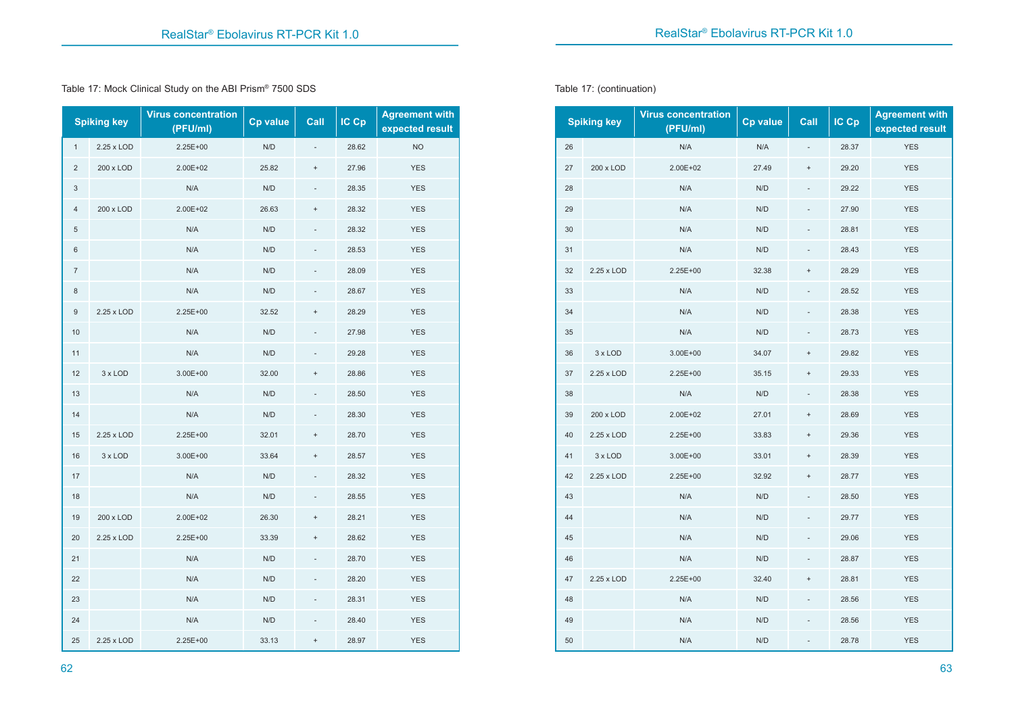Table 17: Mock Clinical Study on the ABI Prism® 7500 SDS

|                         | <b>Spiking key</b> | <b>Virus concentration</b><br>(PFU/ml) | <b>Cp value</b> | Call                             | $IC$ $Cp$ | <b>Agreement with</b><br>expected result |  |
|-------------------------|--------------------|----------------------------------------|-----------------|----------------------------------|-----------|------------------------------------------|--|
| $\mathbf{1}$            | 2.25 x LOD         | 2.25E+00                               | N/D             |                                  | 28.62     | <b>NO</b>                                |  |
| $\overline{\mathbf{c}}$ | 200 x LOD          | 2.00E+02                               | 25.82           | $\ddot{}$                        | 27.96     | <b>YES</b>                               |  |
| 3                       |                    | N/A                                    | N/D             | $\overline{\phantom{a}}$         | 28.35     | <b>YES</b>                               |  |
| 4                       | 200 x LOD          | 2.00E+02                               | 26.63           | $^{+}$                           | 28.32     | <b>YES</b>                               |  |
| 5                       |                    | N/A                                    | N/D             |                                  | 28.32     | <b>YES</b>                               |  |
| 6                       |                    | N/A                                    | N/D             |                                  | 28.53     | <b>YES</b>                               |  |
| $\overline{7}$          |                    | N/A                                    | N/D             |                                  | 28.09     | <b>YES</b>                               |  |
| 8                       |                    | N/A                                    | N/D             |                                  | 28.67     | <b>YES</b>                               |  |
| $\boldsymbol{9}$        | 2.25 x LOD         | 2.25E+00                               | 32.52           | $\ddot{}$                        | 28.29     | <b>YES</b>                               |  |
| 10                      |                    | N/A                                    | N/D             |                                  |           | <b>YES</b>                               |  |
| 11                      |                    | N/A                                    | N/D             |                                  |           | <b>YES</b>                               |  |
| 12                      | 3 x LOD            | 3.00E+00                               | 32.00           | $\ddot{}$                        | 28.86     | <b>YES</b>                               |  |
| 13                      |                    | N/A                                    | N/D             |                                  | 28.50     | <b>YES</b>                               |  |
| 14                      |                    | N/A                                    | N/D             |                                  | 28.30     | <b>YES</b>                               |  |
| 15                      | 2.25 x LOD         | 2.25E+00                               | 32.01           | $\begin{array}{c} + \end{array}$ | 28.70     | <b>YES</b>                               |  |
| 16                      | 3 x LOD            | 3.00E+00                               | 33.64           | $\ddot{}$                        | 28.57     | <b>YES</b>                               |  |
| 17                      |                    | N/A                                    | N/D             |                                  | 28.32     | <b>YES</b>                               |  |
| 18                      |                    | N/A                                    | N/D             |                                  | 28.55     | <b>YES</b>                               |  |
| 19                      | 200 x LOD          | 2.00E+02                               | 26.30           | $^{+}$                           | 28.21     | <b>YES</b>                               |  |
| 20                      | 2.25 x LOD         | 2.25E+00                               | 33.39           | $\ddot{}$                        | 28.62     | <b>YES</b>                               |  |
| 21                      |                    | N/A                                    | N/D             |                                  | 28.70     | <b>YES</b>                               |  |
| 22                      |                    | N/A                                    | N/D             |                                  | 28.20     | <b>YES</b>                               |  |
| 23                      |                    | N/A                                    | N/D             |                                  | 28.31     | <b>YES</b>                               |  |
| 24                      |                    | N/A                                    | N/D             |                                  | 28.40     | <b>YES</b>                               |  |
| 25                      | 2.25 x LOD         | 2.25E+00                               | 33.13           | $\ddot{}$                        | 28.97     | <b>YES</b>                               |  |

Table 17: (continuation)

|    | <b>Spiking key</b> | <b>Virus concentration</b><br>Cp value<br>(PFU/ml) |       | Call                             | IC Cp | <b>Agreement with</b><br>expected result |  |
|----|--------------------|----------------------------------------------------|-------|----------------------------------|-------|------------------------------------------|--|
| 26 |                    | N/A                                                | N/A   |                                  | 28.37 | <b>YES</b>                               |  |
| 27 | 200 x LOD          | 2.00E+02                                           | 27.49 | $\ddot{}$                        | 29.20 | <b>YES</b>                               |  |
| 28 |                    | N/A                                                | N/D   |                                  | 29.22 | <b>YES</b>                               |  |
| 29 |                    | N/A                                                | N/D   |                                  | 27.90 | <b>YES</b>                               |  |
| 30 |                    | N/A                                                | N/D   |                                  | 28.81 | <b>YES</b>                               |  |
| 31 |                    | N/A                                                | N/D   |                                  | 28.43 | <b>YES</b>                               |  |
| 32 | 2.25 x LOD         | 2.25E+00                                           | 32.38 | $\ddot{}$                        | 28.29 | <b>YES</b>                               |  |
| 33 |                    | N/A                                                | N/D   |                                  | 28.52 | <b>YES</b>                               |  |
| 34 |                    | N/A                                                | N/D   |                                  | 28.38 | <b>YES</b>                               |  |
| 35 |                    | N/A                                                | N/D   |                                  | 28.73 | <b>YES</b>                               |  |
| 36 | 3 x LOD            | 3.00E+00                                           | 34.07 | $\ddot{}$                        | 29.82 | <b>YES</b>                               |  |
| 37 | 2.25 x LOD         | 2.25E+00                                           | 35.15 | $\ddot{}$                        | 29.33 | <b>YES</b>                               |  |
| 38 |                    | N/A                                                | N/D   |                                  | 28.38 | <b>YES</b>                               |  |
| 39 | 200 x LOD          | 2.00E+02                                           | 27.01 | $\ddot{}$                        | 28.69 | <b>YES</b>                               |  |
| 40 | 2.25 x LOD         | 2.25E+00                                           | 33.83 | $\ddot{}$                        | 29.36 | <b>YES</b>                               |  |
| 41 | 3 x LOD            | 3.00E+00                                           | 33.01 | $\ddot{}$                        | 28.39 | <b>YES</b>                               |  |
| 42 | 2.25 x LOD         | 2.25E+00                                           | 32.92 | $\ddot{}$                        | 28.77 | <b>YES</b>                               |  |
| 43 |                    | N/A                                                | N/D   |                                  | 28.50 | <b>YES</b>                               |  |
| 44 |                    | N/A                                                | N/D   |                                  | 29.77 | <b>YES</b>                               |  |
| 45 |                    | N/A                                                | N/D   | $\frac{1}{2}$                    | 29.06 | <b>YES</b>                               |  |
| 46 |                    | N/A                                                | N/D   |                                  | 28.87 | <b>YES</b>                               |  |
| 47 | 2.25 x LOD         | 2.25E+00                                           | 32.40 | $\begin{array}{c} + \end{array}$ | 28.81 | <b>YES</b>                               |  |
| 48 |                    | N/A                                                | N/D   |                                  | 28.56 | <b>YES</b>                               |  |
| 49 |                    | N/A                                                | N/D   |                                  | 28.56 | <b>YES</b>                               |  |
| 50 |                    | N/A                                                | N/D   |                                  | 28.78 | <b>YES</b>                               |  |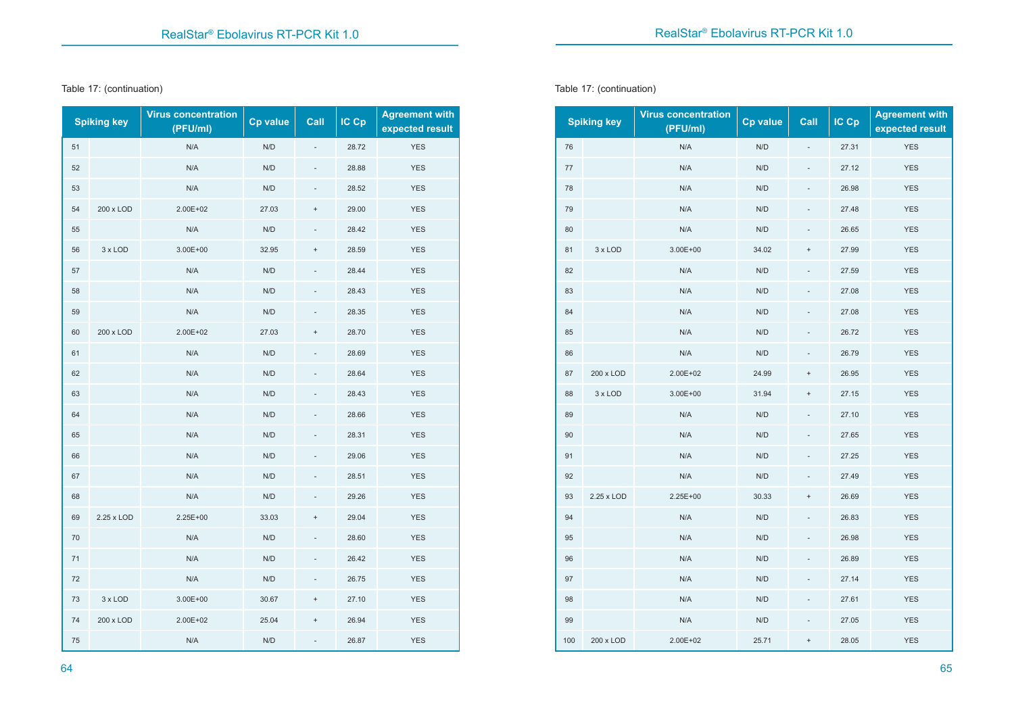#### Table 17: (continuation)

|    | <b>Spiking key</b> | <b>Virus concentration</b><br>(PFU/ml) | <b>Cp value</b> | Call      | IC Cp | <b>Agreement with</b><br>expected result |  |
|----|--------------------|----------------------------------------|-----------------|-----------|-------|------------------------------------------|--|
| 51 |                    | N/A                                    | N/D             |           | 28.72 | <b>YES</b>                               |  |
| 52 |                    | N/A                                    | N/D             |           | 28.88 | <b>YES</b>                               |  |
| 53 |                    | N/A                                    | N/D             |           | 28.52 | <b>YES</b>                               |  |
| 54 | 200 x LOD          | 2.00E+02                               | 27.03           | $\ddot{}$ | 29.00 | <b>YES</b>                               |  |
| 55 |                    | N/A                                    | N/D             |           | 28.42 | <b>YES</b>                               |  |
| 56 | 3 x LOD            | $3.00E + 00$                           | 32.95           | $^{+}$    | 28.59 | <b>YES</b>                               |  |
| 57 |                    | N/A                                    | N/D             |           |       | <b>YES</b>                               |  |
| 58 |                    | N/A                                    | N/D             |           | 28.43 | <b>YES</b>                               |  |
| 59 |                    | N/A                                    | N/D             |           | 28.35 | <b>YES</b>                               |  |
| 60 | 200 x LOD          | 2.00E+02                               | 27.03           | $\ddot{}$ | 28.70 | <b>YES</b>                               |  |
| 61 |                    | N/A                                    | N/D             |           | 28.69 | <b>YES</b>                               |  |
| 62 |                    | N/A                                    | N/D             |           | 28.64 | <b>YES</b>                               |  |
| 63 |                    | N/A                                    | N/D             |           | 28.43 | <b>YES</b>                               |  |
| 64 |                    | N/A                                    | N/D             |           | 28.66 | <b>YES</b>                               |  |
| 65 |                    | N/A                                    | N/D             |           | 28.31 | <b>YES</b>                               |  |
| 66 |                    | N/A                                    | N/D             |           | 29.06 | <b>YES</b>                               |  |
| 67 |                    | N/A                                    | N/D             |           | 28.51 | <b>YES</b>                               |  |
| 68 |                    | N/A                                    | N/D             |           | 29.26 | <b>YES</b>                               |  |
| 69 | 2.25 x LOD         | 2.25E+00                               | 33.03           | $\ddot{}$ | 29.04 | <b>YES</b>                               |  |
| 70 |                    | N/A                                    | N/D             |           | 28.60 | <b>YES</b>                               |  |
| 71 |                    | N/A                                    | N/D             |           | 26.42 | <b>YES</b>                               |  |
| 72 |                    | N/A                                    | N/D             |           | 26.75 | <b>YES</b>                               |  |
| 73 | 3 x LOD            | $3.00E + 00$                           | 30.67           | $^{+}$    | 27.10 | <b>YES</b>                               |  |
| 74 | 200 x LOD          | 2.00E+02                               | 25.04           | $\ddot{}$ | 26.94 | <b>YES</b>                               |  |
| 75 |                    | N/A                                    | N/D             |           | 26.87 | <b>YES</b>                               |  |

Table 17: (continuation)

|         | <b>Spiking key</b> | <b>Virus concentration</b><br>(PFU/ml) | Cp value | Call      | IC Cp | <b>Agreement with</b><br>expected result |  |
|---------|--------------------|----------------------------------------|----------|-----------|-------|------------------------------------------|--|
| 76      |                    | N/A                                    | N/D      | L,        | 27.31 | <b>YES</b>                               |  |
| $77 \,$ |                    | N/A                                    | N/D      |           | 27.12 | <b>YES</b>                               |  |
| 78      |                    | N/A                                    | N/D      |           | 26.98 | <b>YES</b>                               |  |
| 79      |                    | N/A                                    | N/D      |           | 27.48 | <b>YES</b>                               |  |
| 80      |                    | N/A                                    | N/D      |           | 26.65 | <b>YES</b>                               |  |
| 81      | 3 x LOD            | 3.00E+00                               | 34.02    | $\ddot{}$ | 27.99 | <b>YES</b>                               |  |
| 82      |                    | N/A                                    | N/D      |           | 27.59 | <b>YES</b>                               |  |
| 83      |                    | N/A                                    | N/D      |           | 27.08 | <b>YES</b>                               |  |
| 84      |                    | N/A                                    | N/D      |           | 27.08 | <b>YES</b>                               |  |
| 85      |                    | N/A                                    | N/D      |           | 26.72 | <b>YES</b>                               |  |
| 86      |                    | N/A                                    | N/D      |           | 26.79 | <b>YES</b>                               |  |
| 87      | 200 x LOD          | 2.00E+02                               | 24.99    | $\ddot{}$ | 26.95 | <b>YES</b>                               |  |
| 88      | 3 x LOD            | 3.00E+00                               | 31.94    | $\ddot{}$ | 27.15 | <b>YES</b>                               |  |
| 89      |                    | N/A                                    | N/D      |           | 27.10 | <b>YES</b>                               |  |
| 90      |                    | N/A                                    | N/D      |           | 27.65 | <b>YES</b>                               |  |
| 91      |                    | N/A                                    | N/D      | L,        | 27.25 | <b>YES</b>                               |  |
| 92      |                    | N/A                                    | N/D      |           | 27.49 | <b>YES</b>                               |  |
| 93      | 2.25 x LOD         | 2.25E+00                               | 30.33    | $\ddot{}$ | 26.69 | <b>YES</b>                               |  |
| 94      |                    | N/A                                    | N/D      |           | 26.83 | <b>YES</b>                               |  |
| 95      |                    | N/A                                    | N/D      |           | 26.98 | <b>YES</b>                               |  |
| 96      |                    | N/A                                    | N/D      |           | 26.89 | <b>YES</b>                               |  |
| 97      |                    | N/A                                    | N/D      |           | 27.14 | <b>YES</b>                               |  |
| 98      |                    | N/A                                    | N/D      |           | 27.61 | <b>YES</b>                               |  |
| 99      |                    | N/A                                    | N/D      |           | 27.05 | <b>YES</b>                               |  |
| 100     | 200 x LOD          | 2.00E+02                               | 25.71    | $\ddot{}$ | 28.05 | <b>YES</b>                               |  |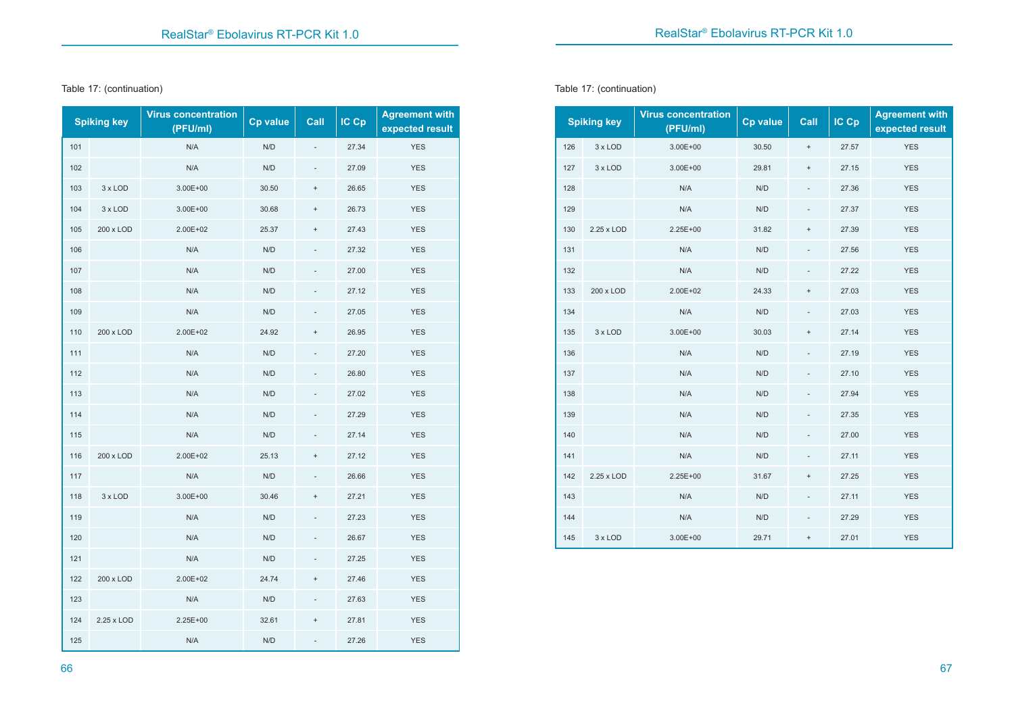#### Table 17: (continuation)

|     | <b>Spiking key</b> | <b>Virus concentration</b><br>(PFU/ml) | <b>Cp value</b> | Call                             | IC Cp | <b>Agreement with</b><br>expected result |  |
|-----|--------------------|----------------------------------------|-----------------|----------------------------------|-------|------------------------------------------|--|
| 101 |                    | N/A                                    | N/D             |                                  | 27.34 | <b>YES</b>                               |  |
| 102 |                    | N/A                                    | N/D             |                                  | 27.09 | <b>YES</b>                               |  |
| 103 | 3 x LOD            | 3.00E+00                               | 30.50           | $\ddot{}$                        | 26.65 | <b>YES</b>                               |  |
| 104 | 3 x LOD            | 3.00E+00                               | 30.68           | $\begin{array}{c} + \end{array}$ | 26.73 | <b>YES</b>                               |  |
| 105 | 200 x LOD          | 2.00E+02                               | 25.37           | $\begin{array}{c} + \end{array}$ | 27.43 | <b>YES</b>                               |  |
| 106 |                    | N/A                                    | N/D             |                                  | 27.32 | <b>YES</b>                               |  |
| 107 |                    | N/A                                    | N/D             |                                  | 27.00 | <b>YES</b>                               |  |
| 108 |                    | N/A                                    | N/D             |                                  | 27.12 | <b>YES</b>                               |  |
| 109 |                    | N/A                                    | N/D             |                                  | 27.05 | <b>YES</b>                               |  |
| 110 | 200 x LOD          | 2.00E+02                               | 24.92           | $\begin{array}{c} + \end{array}$ | 26.95 | <b>YES</b>                               |  |
| 111 |                    | N/A                                    | N/D             |                                  | 27.20 | <b>YES</b>                               |  |
| 112 |                    | N/A                                    | N/D             |                                  | 26.80 | <b>YES</b>                               |  |
| 113 |                    | N/A                                    | N/D             |                                  | 27.02 | <b>YES</b>                               |  |
| 114 |                    | N/A                                    | N/D             |                                  | 27.29 | <b>YES</b>                               |  |
| 115 |                    | N/A                                    | N/D             |                                  | 27.14 | <b>YES</b>                               |  |
| 116 | 200 x LOD          | 2.00E+02                               | 25.13           | $\begin{array}{c} + \end{array}$ | 27.12 | <b>YES</b>                               |  |
| 117 |                    | N/A                                    | N/D             |                                  | 26.66 | <b>YES</b>                               |  |
| 118 | 3 x LOD            | $3.00E + 00$                           | 30.46           | $\ddot{}$                        | 27.21 | <b>YES</b>                               |  |
| 119 |                    | N/A                                    | N/D             |                                  | 27.23 | <b>YES</b>                               |  |
| 120 |                    | N/A                                    | N/D             |                                  | 26.67 | <b>YES</b>                               |  |
| 121 |                    | N/A                                    | N/D             |                                  | 27.25 | <b>YES</b>                               |  |
| 122 | 200 x LOD          | 2.00E+02                               | 24.74           | $\ddot{}$                        | 27.46 | <b>YES</b>                               |  |
| 123 |                    | N/A                                    | N/D             |                                  | 27.63 | <b>YES</b>                               |  |
| 124 | 2.25 x LOD         | 2.25E+00                               | 32.61           | $\ddot{}$                        | 27.81 | <b>YES</b>                               |  |
| 125 |                    | N/A                                    | N/D             |                                  | 27.26 | <b>YES</b>                               |  |

Table 17: (continuation)

|     | <b>Spiking key</b> | <b>Virus concentration</b><br>(PFU/ml) | Cp value | Call                     | IC Cp | <b>Agreement with</b><br>expected result |  |
|-----|--------------------|----------------------------------------|----------|--------------------------|-------|------------------------------------------|--|
| 126 | 3 x LOD            | $3.00E + 00$                           | 30.50    | $\pmb{+}$                | 27.57 | <b>YES</b>                               |  |
| 127 | 3 x LOD            | $3.00E + 00$                           | 29.81    | $\ddot{}$                | 27.15 | <b>YES</b>                               |  |
| 128 |                    | N/A                                    | N/D      |                          | 27.36 | <b>YES</b>                               |  |
| 129 |                    | N/A                                    | N/D      |                          | 27.37 | <b>YES</b>                               |  |
| 130 | 2.25 x LOD         | $2.25E+00$                             | 31.82    | $\ddot{}$                | 27.39 | <b>YES</b>                               |  |
| 131 |                    | N/A                                    | N/D      |                          | 27.56 | <b>YES</b>                               |  |
| 132 |                    | N/A                                    | N/D      | $\overline{\phantom{0}}$ | 27.22 | <b>YES</b>                               |  |
| 133 | 200 x LOD          | 2.00E+02                               | 24.33    | $\ddot{}$                | 27.03 | <b>YES</b>                               |  |
| 134 |                    | N/A                                    | N/D      | $\overline{\phantom{a}}$ | 27.03 | <b>YES</b>                               |  |
| 135 | 3 x LOD            | $3.00E + 00$                           | 30.03    | $\ddot{}$                | 27.14 | <b>YES</b>                               |  |
| 136 |                    | N/A                                    | N/D      | $\overline{a}$           | 27.19 | <b>YES</b>                               |  |
| 137 |                    | N/A                                    | N/D      |                          | 27.10 | <b>YES</b>                               |  |
| 138 |                    | N/A                                    | N/D      | $\overline{\phantom{0}}$ | 27.94 | <b>YES</b>                               |  |
| 139 |                    | N/A                                    | N/D      |                          | 27.35 | <b>YES</b>                               |  |
| 140 |                    | N/A                                    | N/D      | $\qquad \qquad -$        | 27.00 | <b>YES</b>                               |  |
| 141 |                    | N/A                                    | N/D      | $\frac{1}{2}$            | 27.11 | <b>YES</b>                               |  |
| 142 | 2.25 x LOD         | 2.25E+00                               | 31.67    | $^{+}$                   | 27.25 | <b>YES</b>                               |  |
| 143 |                    | N/A                                    | N/D      |                          | 27.11 | <b>YES</b>                               |  |
| 144 |                    | N/A                                    | N/D      | $\overline{\phantom{a}}$ | 27.29 | <b>YES</b>                               |  |
| 145 | 3 x LOD            | 3.00E+00                               | 29.71    | $\ddot{}$                | 27.01 | <b>YES</b>                               |  |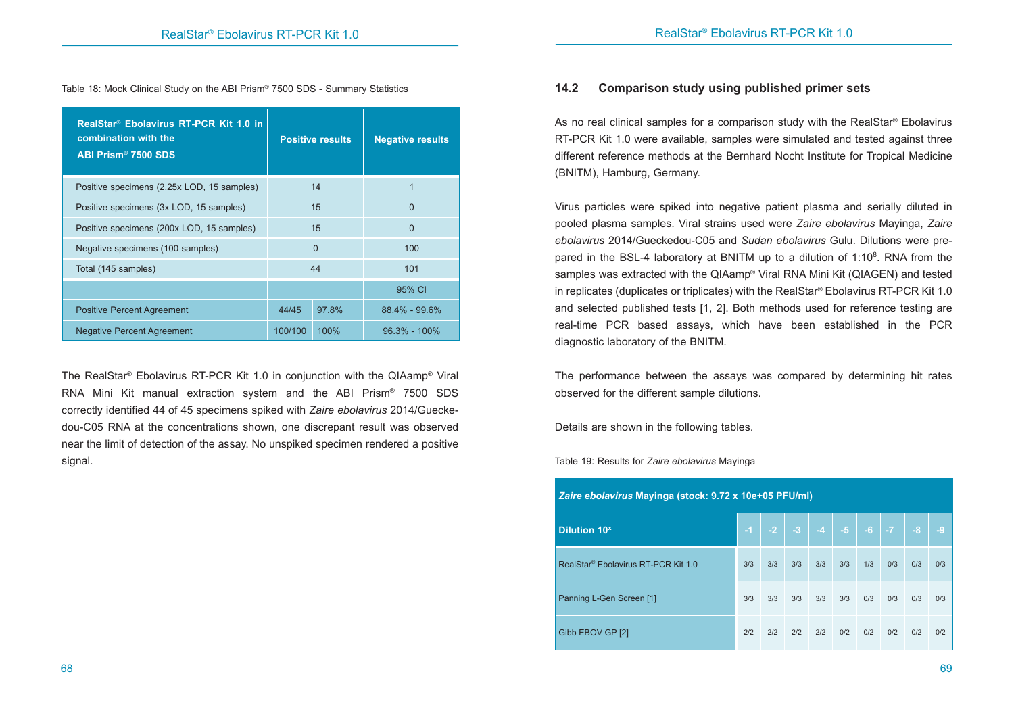Table 18: Mock Clinical Study on the ABI Prism® 7500 SDS - Summary Statistics

| RealStar <sup>®</sup> Ebolavirus RT-PCR Kit 1.0 in<br>combination with the<br>ABI Prism® 7500 SDS |         | <b>Positive results</b> | <b>Negative results</b> |
|---------------------------------------------------------------------------------------------------|---------|-------------------------|-------------------------|
| Positive specimens (2.25x LOD, 15 samples)                                                        |         | 14                      |                         |
| Positive specimens (3x LOD, 15 samples)                                                           |         | 15                      | $\Omega$                |
| Positive specimens (200x LOD, 15 samples)                                                         |         | 15                      | $\Omega$                |
| Negative specimens (100 samples)                                                                  |         | $\Omega$                | 100                     |
| Total (145 samples)                                                                               |         | 44                      | 101                     |
|                                                                                                   |         |                         | 95% CI                  |
| <b>Positive Percent Agreement</b>                                                                 | 44/45   | 97.8%                   | $88.4\% - 99.6\%$       |
| <b>Negative Percent Agreement</b>                                                                 | 100/100 | $100\%$                 | $96.3\% - 100\%$        |

The RealStar® Ebolavirus RT-PCR Kit 1.0 in conjunction with the QIAamp® Viral RNA Mini Kit manual extraction system and the ABI Prism® 7500 SDS correctly identified 44 of 45 specimens spiked with *Zaire ebolavirus* 2014/Gueckedou-C05 RNA at the concentrations shown, one discrepant result was observed near the limit of detection of the assay. No unspiked specimen rendered a positive signal.

#### **14.2 Comparison study using published primer sets**

As no real clinical samples for a comparison study with the RealStar® Ebolavirus RT-PCR Kit 1.0 were available, samples were simulated and tested against three different reference methods at the Bernhard Nocht Institute for Tropical Medicine (BNITM), Hamburg, Germany.

Virus particles were spiked into negative patient plasma and serially diluted in pooled plasma samples. Viral strains used were *Zaire ebolavirus* Mayinga, *Zaire ebolavirus* 2014/Gueckedou-C05 and *Sudan ebolavirus* Gulu. Dilutions were prepared in the BSL-4 laboratory at BNITM up to a dilution of  $1:10<sup>8</sup>$ . RNA from the samples was extracted with the QIAamp® Viral RNA Mini Kit (QIAGEN) and tested in replicates (duplicates or triplicates) with the RealStar® Ebolavirus RT-PCR Kit 1.0 and selected published tests [1, 2]. Both methods used for reference testing are real-time PCR based assays, which have been established in the PCR diagnostic laboratory of the BNITM.

The performance between the assays was compared by determining hit rates observed for the different sample dilutions.

Details are shown in the following tables.

Table 19: Results for *Zaire ebolavirus* Mayinga

| Zaire ebolavirus Mayinga (stock: 9.72 x 10e+05 PFU/ml) |      |      |     |           |      |      |           |      |      |
|--------------------------------------------------------|------|------|-----|-----------|------|------|-----------|------|------|
| <b>Dilution 10<sup>x</sup></b>                         | $-1$ | $-2$ |     | $-3$ $-4$ | $-5$ | $-6$ | <b>TA</b> | $-8$ | $-9$ |
| RealStar <sup>®</sup> Ebolavirus RT-PCR Kit 1.0        | 3/3  | 3/3  | 3/3 | 3/3       | 3/3  | 1/3  | 0/3       | 0/3  | 0/3  |
| Panning L-Gen Screen [1]                               | 3/3  | 3/3  | 3/3 | 3/3       | 3/3  | 0/3  | 0/3       | 0/3  | 0/3  |
| Gibb EBOV GP [2]                                       | 2/2  | 2/2  | 2/2 | 2/2       | 0/2  | 0/2  | 0/2       | 0/2  | 0/2  |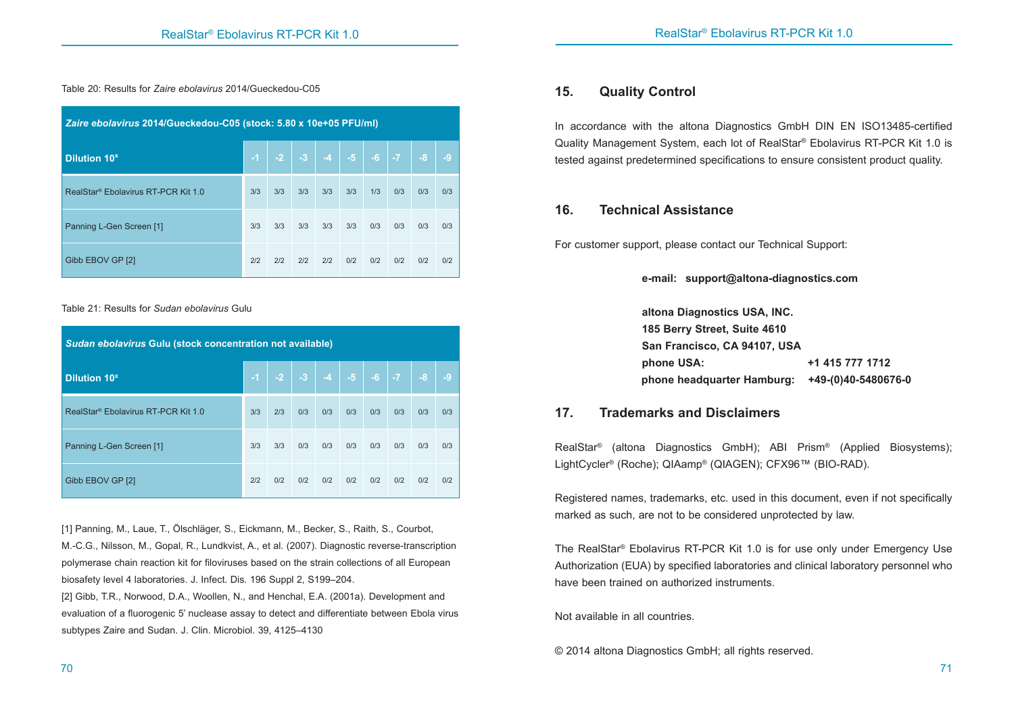Table 20: Results for *Zaire ebolavirus* 2014/Gueckedou-C05

| Zaire ebolavirus 2014/Gueckedou-C05 (stock: 5.80 x 10e+05 PFU/ml) |           |     |                |     |                                          |     |     |      |      |
|-------------------------------------------------------------------|-----------|-----|----------------|-----|------------------------------------------|-----|-----|------|------|
| <b>Dilution 10<sup>x</sup></b>                                    | <b>AV</b> |     | $-2$ $-3$ $-4$ |     | $\vert$ -5 $\vert$ -6 $\vert$ -7 $\vert$ |     |     | $-8$ | $-9$ |
| RealStar <sup>®</sup> Ebolavirus RT-PCR Kit 1.0                   | 3/3       | 3/3 | 3/3            | 3/3 | 3/3                                      | 1/3 | 0/3 | 0/3  | 0/3  |
| Panning L-Gen Screen [1]                                          | 3/3       | 3/3 | 3/3            | 3/3 | 3/3                                      | 0/3 | 0/3 | 0/3  | 0/3  |
| Gibb EBOV GP [2]                                                  | 2/2       | 2/2 | 2/2            | 2/2 | 0/2                                      | 0/2 | 0/2 | 0/2  | 0/2  |

#### Table 21: Results for *Sudan ebolavirus* Gulu

| Sudan ebolavirus Gulu (stock concentration not available) |      |     |                               |     |     |     |     |      |      |
|-----------------------------------------------------------|------|-----|-------------------------------|-----|-----|-----|-----|------|------|
| <b>Dilution 10<sup>x</sup></b>                            | $-1$ |     | $-2$ $-3$ $-4$ $-5$ $-6$ $-7$ |     |     |     |     | $-8$ | $-9$ |
| RealStar <sup>®</sup> Ebolavirus RT-PCR Kit 1.0           | 3/3  | 2/3 | 0/3                           | 0/3 | 0/3 | 0/3 | 0/3 | 0/3  | 0/3  |
| Panning L-Gen Screen [1]                                  | 3/3  | 3/3 | 0/3                           | 0/3 | 0/3 | 0/3 | 0/3 | 0/3  | 0/3  |
| Gibb EBOV GP [2]                                          | 2/2  | 0/2 | 0/2                           | 0/2 | 0/2 | 0/2 | 0/2 | 0/2  | 0/2  |

[1] Panning, M., Laue, T., Ölschläger, S., Eickmann, M., Becker, S., Raith, S., Courbot, M.-C.G., Nilsson, M., Gopal, R., Lundkvist, A., et al. (2007). Diagnostic reverse-transcription polymerase chain reaction kit for filoviruses based on the strain collections of all European biosafety level 4 laboratories. J. Infect. Dis. 196 Suppl 2, S199–204.

[2] Gibb, T.R., Norwood, D.A., Woollen, N., and Henchal, E.A. (2001a). Development and evaluation of a fluorogenic 5' nuclease assay to detect and differentiate between Ebola virus subtypes Zaire and Sudan. J. Clin. Microbiol. 39, 4125–4130

# **15. Quality Control**

In accordance with the altona Diagnostics GmbH DIN EN ISO13485-certified Quality Management System, each lot of RealStar® Ebolavirus RT-PCR Kit 1.0 is tested against predetermined specifications to ensure consistent product quality.

# **16. Technical Assistance**

For customer support, please contact our Technical Support:

 **e-mail: support@altona-diagnostics.com**

 **altona Diagnostics USA, INC. 185 Berry Street, Suite 4610 San Francisco, CA 94107, USA phone USA: +1 415 777 1712 phone headquarter Hamburg: +49-(0)40-5480676-0** 

# **17. Trademarks and Disclaimers**

RealStar® (altona Diagnostics GmbH); ABI Prism® (Applied Biosystems); LightCycler® (Roche); QIAamp® (QIAGEN); CFX96™ (BIO-RAD).

Registered names, trademarks, etc. used in this document, even if not specifically marked as such, are not to be considered unprotected by law.

The RealStar® Ebolavirus RT-PCR Kit 1.0 is for use only under Emergency Use Authorization (EUA) by specified laboratories and clinical laboratory personnel who have been trained on authorized instruments.

Not available in all countries.

© 2014 altona Diagnostics GmbH; all rights reserved.